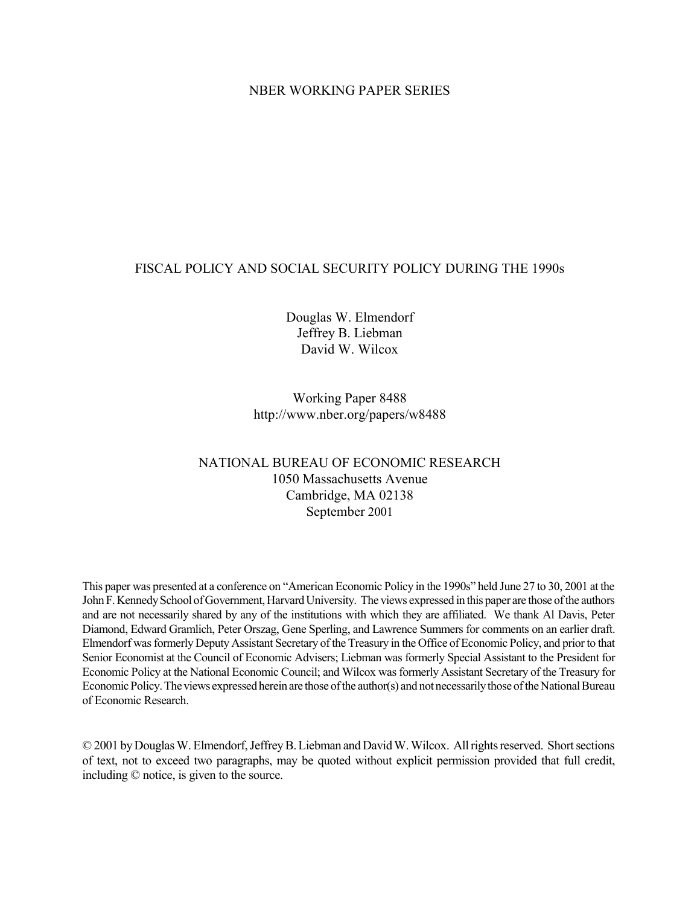#### NBER WORKING PAPER SERIES

#### FISCAL POLICY AND SOCIAL SECURITY POLICY DURING THE 1990s

Douglas W. Elmendorf Jeffrey B. Liebman David W. Wilcox

Working Paper 8488 http://www.nber.org/papers/w8488

# NATIONAL BUREAU OF ECONOMIC RESEARCH 1050 Massachusetts Avenue Cambridge, MA 02138 September 2001

This paper was presented at a conference on "American Economic Policy in the 1990s" held June 27 to 30, 2001 at the John F. Kennedy School of Government, Harvard University. The views expressed in this paper are those of the authors and are not necessarily shared by any of the institutions with which they are affiliated. We thank Al Davis, Peter Diamond, Edward Gramlich, Peter Orszag, Gene Sperling, and Lawrence Summers for comments on an earlier draft. Elmendorf was formerly Deputy Assistant Secretary of the Treasury in the Office of Economic Policy, and prior to that Senior Economist at the Council of Economic Advisers; Liebman was formerly Special Assistant to the President for Economic Policy at the National Economic Council; and Wilcox was formerly Assistant Secretary of the Treasury for Economic Policy. The views expressed herein are those of the author(s) and not necessarily those of the National Bureau of Economic Research.

© 2001 by Douglas W. Elmendorf, Jeffrey B. Liebman and David W. Wilcox. All rights reserved. Short sections of text, not to exceed two paragraphs, may be quoted without explicit permission provided that full credit, including © notice, is given to the source.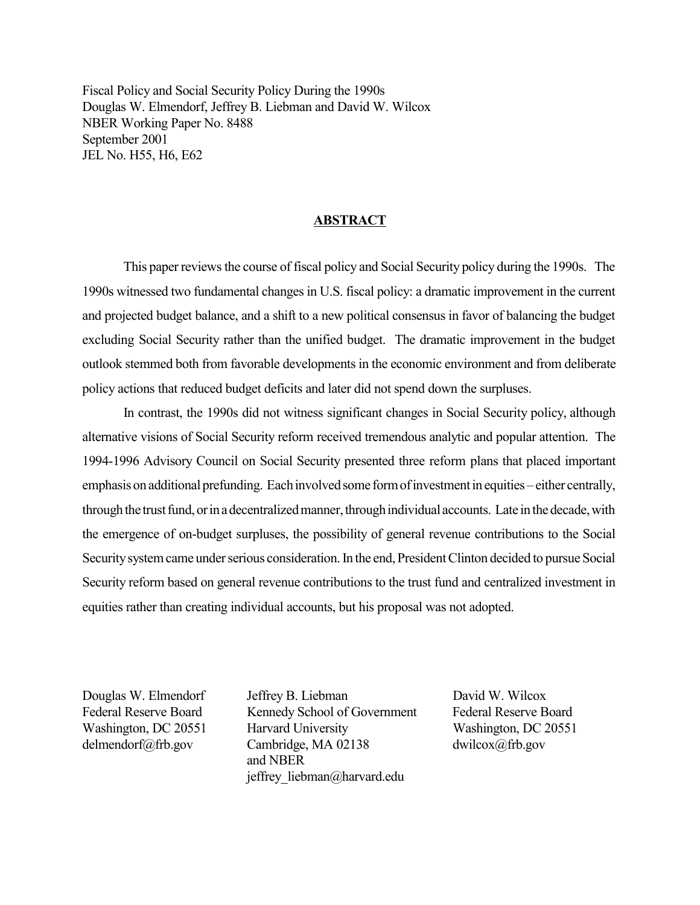Fiscal Policy and Social Security Policy During the 1990s Douglas W. Elmendorf, Jeffrey B. Liebman and David W. Wilcox NBER Working Paper No. 8488 September 2001 JEL No. H55, H6, E62

#### **ABSTRACT**

This paper reviews the course of fiscal policy and Social Security policy during the 1990s. The 1990s witnessed two fundamental changes in U.S. fiscal policy: a dramatic improvement in the current and projected budget balance, and a shift to a new political consensus in favor of balancing the budget excluding Social Security rather than the unified budget. The dramatic improvement in the budget outlook stemmed both from favorable developments in the economic environment and from deliberate policy actions that reduced budget deficits and later did not spend down the surpluses.

 In contrast, the 1990s did not witness significant changes in Social Security policy, although alternative visions of Social Security reform received tremendous analytic and popular attention. The 1994-1996 Advisory Council on Social Security presented three reform plans that placed important emphasis on additional prefunding. Each involved some form of investment in equities – either centrally, through the trust fund, or in a decentralized manner, through individual accounts. Late in the decade, with the emergence of on-budget surpluses, the possibility of general revenue contributions to the Social Security system came under serious consideration. In the end, President Clinton decided to pursue Social Security reform based on general revenue contributions to the trust fund and centralized investment in equities rather than creating individual accounts, but his proposal was not adopted.

Douglas W. Elmendorf Jeffrey B. Liebman David W. Wilcox Federal Reserve Board Kennedy School of Government Federal Reserve Board Washington, DC 20551 Harvard University Washington, DC 20551 delmendorf@frb.gov Cambridge, MA 02138 dwilcox@frb.gov and NBER jeffrey\_liebman@harvard.edu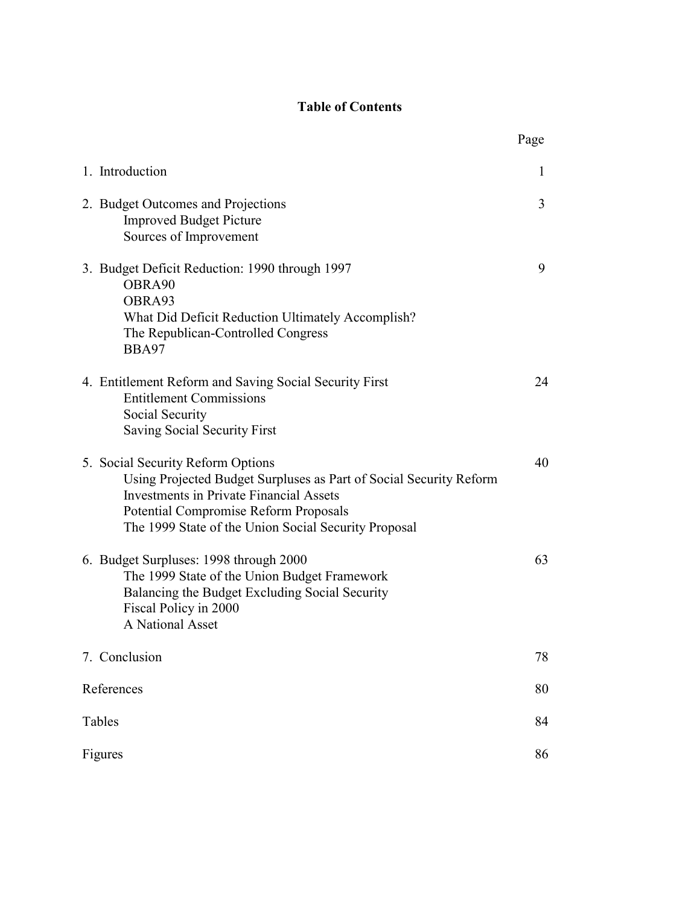# **Table of Contents**

|            |                                                                                                                                                                                                                                                                   | Page |
|------------|-------------------------------------------------------------------------------------------------------------------------------------------------------------------------------------------------------------------------------------------------------------------|------|
|            | 1. Introduction                                                                                                                                                                                                                                                   | 1    |
|            | 2. Budget Outcomes and Projections<br><b>Improved Budget Picture</b><br>Sources of Improvement                                                                                                                                                                    | 3    |
|            | 3. Budget Deficit Reduction: 1990 through 1997<br>OBRA90<br>OBRA93<br>What Did Deficit Reduction Ultimately Accomplish?<br>The Republican-Controlled Congress<br>BBA97                                                                                            | 9    |
|            | 4. Entitlement Reform and Saving Social Security First<br><b>Entitlement Commissions</b><br>Social Security<br>Saving Social Security First                                                                                                                       | 24   |
|            | 5. Social Security Reform Options<br>Using Projected Budget Surpluses as Part of Social Security Reform<br><b>Investments in Private Financial Assets</b><br><b>Potential Compromise Reform Proposals</b><br>The 1999 State of the Union Social Security Proposal | 40   |
|            | 6. Budget Surpluses: 1998 through 2000<br>The 1999 State of the Union Budget Framework<br>Balancing the Budget Excluding Social Security<br>Fiscal Policy in 2000<br><b>A National Asset</b>                                                                      | 63   |
|            | 7. Conclusion                                                                                                                                                                                                                                                     | 78   |
| References |                                                                                                                                                                                                                                                                   | 80   |
| Tables     |                                                                                                                                                                                                                                                                   | 84   |
| Figures    |                                                                                                                                                                                                                                                                   | 86   |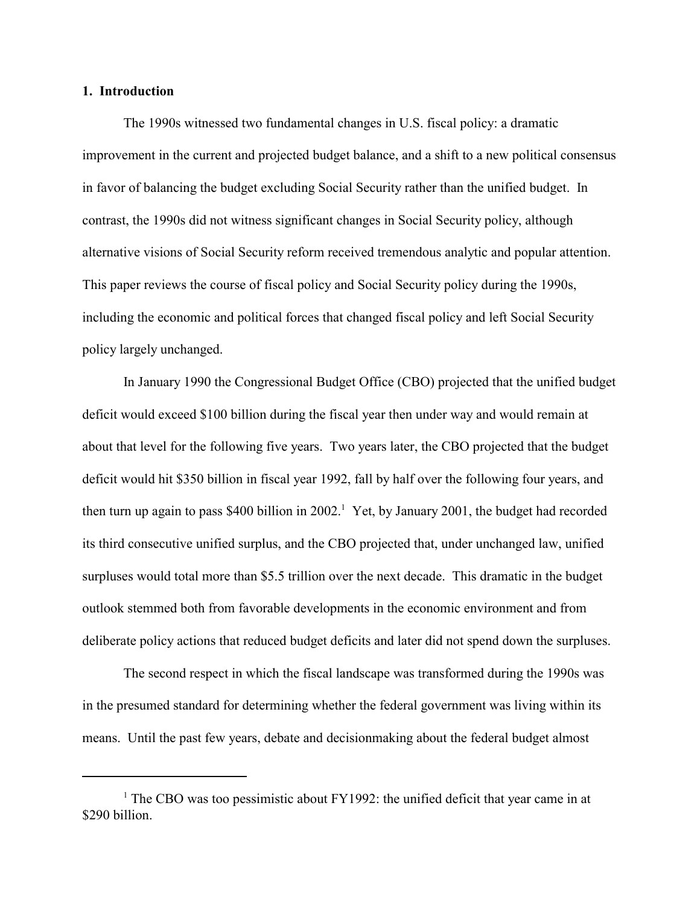#### **1. Introduction**

The 1990s witnessed two fundamental changes in U.S. fiscal policy: a dramatic improvement in the current and projected budget balance, and a shift to a new political consensus in favor of balancing the budget excluding Social Security rather than the unified budget. In contrast, the 1990s did not witness significant changes in Social Security policy, although alternative visions of Social Security reform received tremendous analytic and popular attention. This paper reviews the course of fiscal policy and Social Security policy during the 1990s, including the economic and political forces that changed fiscal policy and left Social Security policy largely unchanged.

In January 1990 the Congressional Budget Office (CBO) projected that the unified budget deficit would exceed \$100 billion during the fiscal year then under way and would remain at about that level for the following five years. Two years later, the CBO projected that the budget deficit would hit \$350 billion in fiscal year 1992, fall by half over the following four years, and then turn up again to pass \$400 billion in 2002.<sup>1</sup> Yet, by January 2001, the budget had recorded its third consecutive unified surplus, and the CBO projected that, under unchanged law, unified surpluses would total more than \$5.5 trillion over the next decade. This dramatic in the budget outlook stemmed both from favorable developments in the economic environment and from deliberate policy actions that reduced budget deficits and later did not spend down the surpluses.

The second respect in which the fiscal landscape was transformed during the 1990s was in the presumed standard for determining whether the federal government was living within its means. Until the past few years, debate and decisionmaking about the federal budget almost

<sup>&</sup>lt;sup>1</sup> The CBO was too pessimistic about FY1992: the unified deficit that year came in at \$290 billion.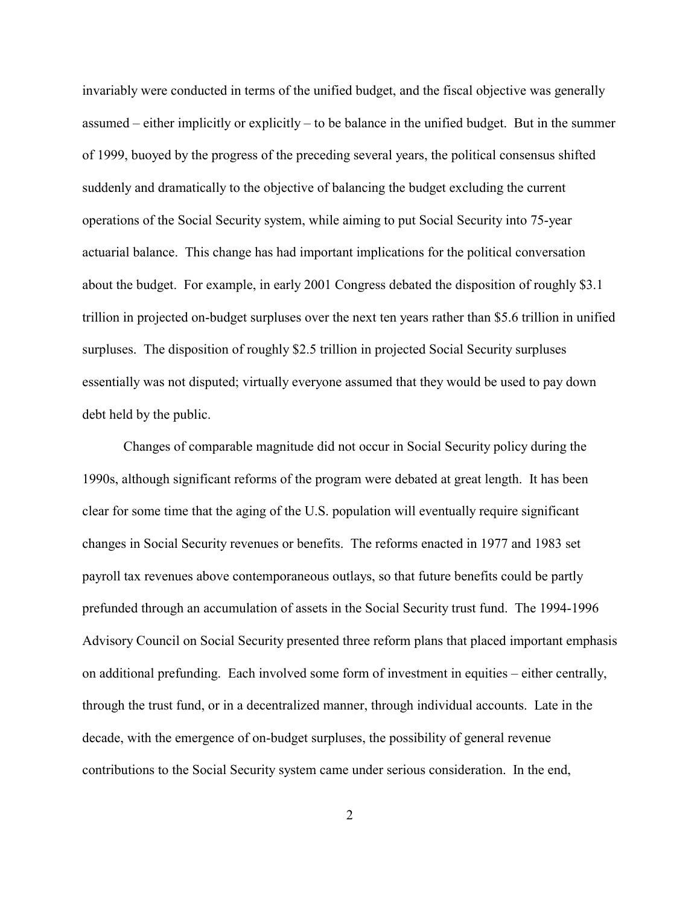invariably were conducted in terms of the unified budget, and the fiscal objective was generally assumed  $\alpha$  either implicitly or explicitly  $\alpha$  to be balance in the unified budget. But in the summer of 1999, buoyed by the progress of the preceding several years, the political consensus shifted suddenly and dramatically to the objective of balancing the budget excluding the current operations of the Social Security system, while aiming to put Social Security into 75-year actuarial balance. This change has had important implications for the political conversation about the budget. For example, in early 2001 Congress debated the disposition of roughly \$3.1 trillion in projected on-budget surpluses over the next ten years rather than \$5.6 trillion in unified surpluses. The disposition of roughly \$2.5 trillion in projected Social Security surpluses essentially was not disputed; virtually everyone assumed that they would be used to pay down debt held by the public.

Changes of comparable magnitude did not occur in Social Security policy during the 1990s, although significant reforms of the program were debated at great length. It has been clear for some time that the aging of the U.S. population will eventually require significant changes in Social Security revenues or benefits. The reforms enacted in 1977 and 1983 set payroll tax revenues above contemporaneous outlays, so that future benefits could be partly prefunded through an accumulation of assets in the Social Security trust fund. The 1994-1996 Advisory Council on Social Security presented three reform plans that placed important emphasis on additional prefunding. Each involved some form of investment in equities – either centrally, through the trust fund, or in a decentralized manner, through individual accounts. Late in the decade, with the emergence of on-budget surpluses, the possibility of general revenue contributions to the Social Security system came under serious consideration. In the end,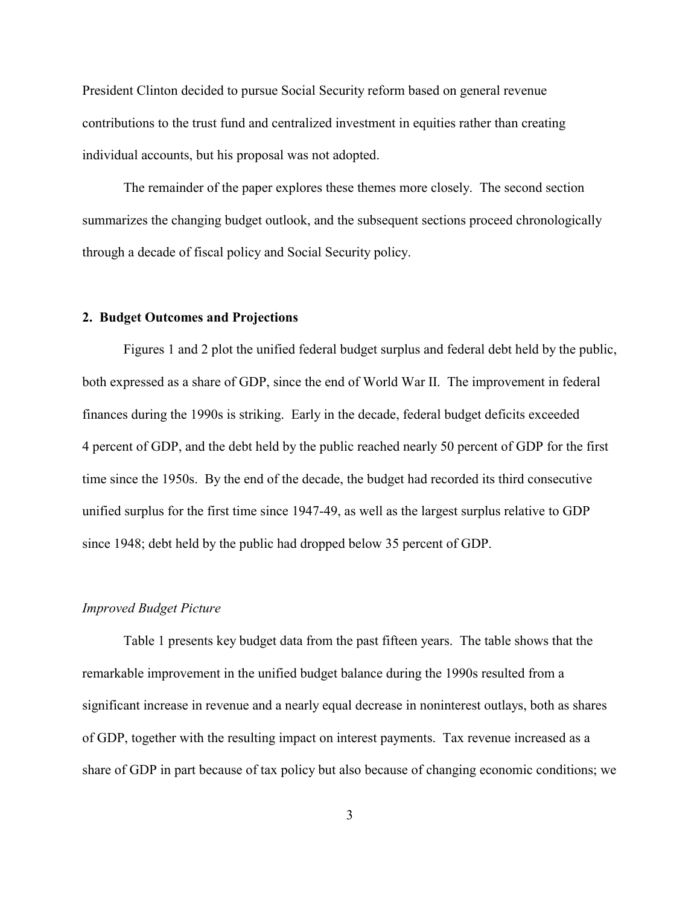President Clinton decided to pursue Social Security reform based on general revenue contributions to the trust fund and centralized investment in equities rather than creating individual accounts, but his proposal was not adopted.

The remainder of the paper explores these themes more closely. The second section summarizes the changing budget outlook, and the subsequent sections proceed chronologically through a decade of fiscal policy and Social Security policy.

### **2. Budget Outcomes and Projections**

Figures 1 and 2 plot the unified federal budget surplus and federal debt held by the public, both expressed as a share of GDP, since the end of World War II. The improvement in federal finances during the 1990s is striking. Early in the decade, federal budget deficits exceeded 4 percent of GDP, and the debt held by the public reached nearly 50 percent of GDP for the first time since the 1950s. By the end of the decade, the budget had recorded its third consecutive unified surplus for the first time since 1947-49, as well as the largest surplus relative to GDP since 1948; debt held by the public had dropped below 35 percent of GDP.

#### *Improved Budget Picture*

Table 1 presents key budget data from the past fifteen years. The table shows that the remarkable improvement in the unified budget balance during the 1990s resulted from a significant increase in revenue and a nearly equal decrease in noninterest outlays, both as shares of GDP, together with the resulting impact on interest payments. Tax revenue increased as a share of GDP in part because of tax policy but also because of changing economic conditions; we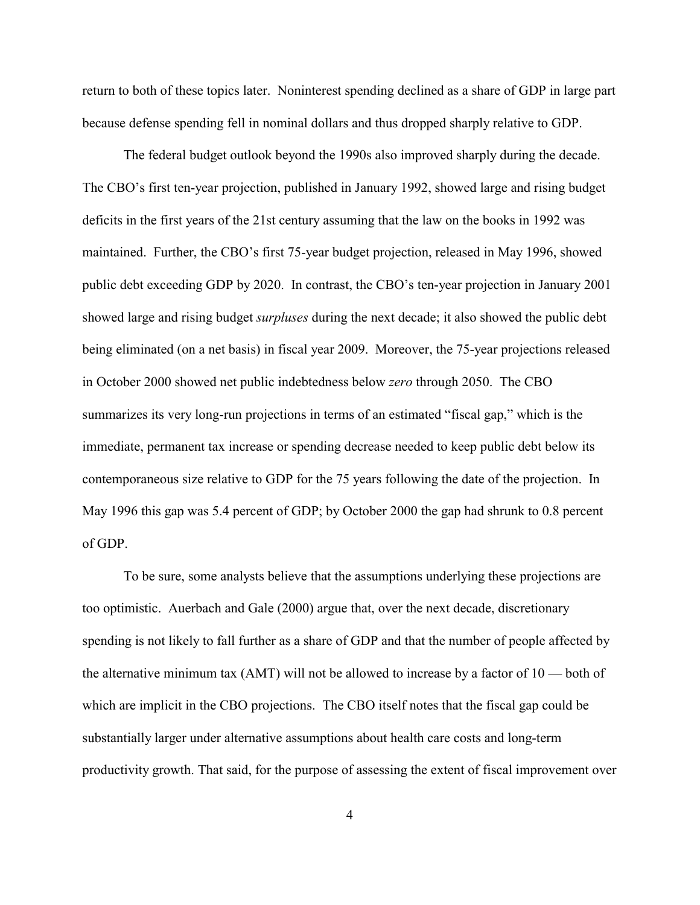return to both of these topics later. Noninterest spending declined as a share of GDP in large part because defense spending fell in nominal dollars and thus dropped sharply relative to GDP.

The federal budget outlook beyond the 1990s also improved sharply during the decade. The CBO's first ten-year projection, published in January 1992, showed large and rising budget deficits in the first years of the 21st century assuming that the law on the books in 1992 was maintained. Further, the CBO's first 75-year budget projection, released in May 1996, showed public debt exceeding GDP by 2020. In contrast, the CBO's ten-year projection in January 2001 showed large and rising budget *surpluses* during the next decade; it also showed the public debt being eliminated (on a net basis) in fiscal year 2009. Moreover, the 75-year projections released in October 2000 showed net public indebtedness below *zero* through 2050. The CBO summarizes its very long-run projections in terms of an estimated "fiscal gap," which is the immediate, permanent tax increase or spending decrease needed to keep public debt below its contemporaneous size relative to GDP for the 75 years following the date of the projection. In May 1996 this gap was 5.4 percent of GDP; by October 2000 the gap had shrunk to 0.8 percent of GDP.

To be sure, some analysts believe that the assumptions underlying these projections are too optimistic. Auerbach and Gale (2000) argue that, over the next decade, discretionary spending is not likely to fall further as a share of GDP and that the number of people affected by the alternative minimum tax (AMT) will not be allowed to increase by a factor of  $10$  – both of which are implicit in the CBO projections. The CBO itself notes that the fiscal gap could be substantially larger under alternative assumptions about health care costs and long-term productivity growth. That said, for the purpose of assessing the extent of fiscal improvement over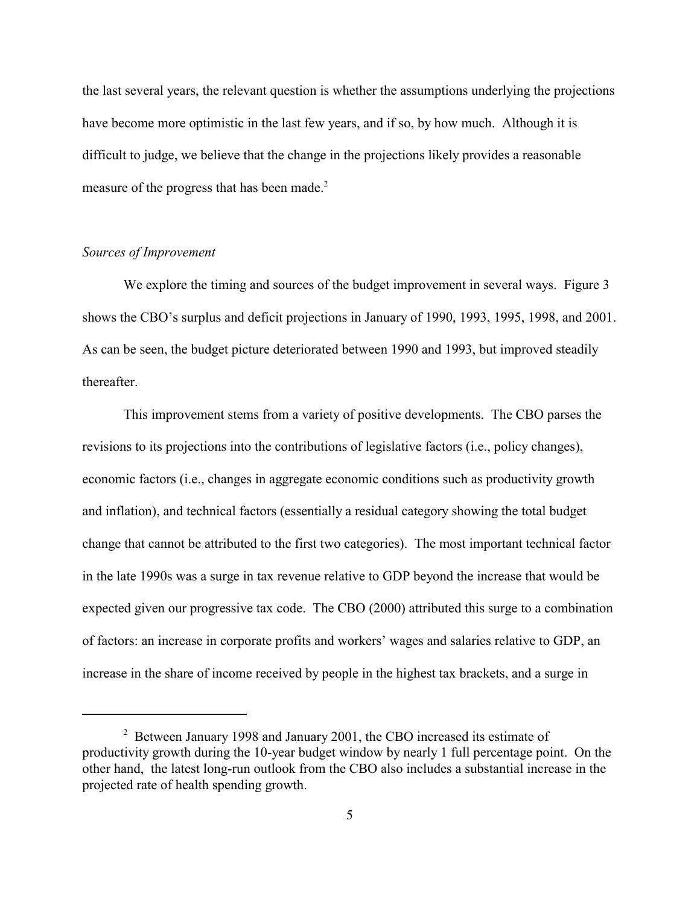the last several years, the relevant question is whether the assumptions underlying the projections have become more optimistic in the last few years, and if so, by how much. Although it is difficult to judge, we believe that the change in the projections likely provides a reasonable measure of the progress that has been made.<sup>2</sup>

### *Sources of Improvement*

We explore the timing and sources of the budget improvement in several ways. Figure 3 shows the CBO's surplus and deficit projections in January of 1990, 1993, 1995, 1998, and 2001. As can be seen, the budget picture deteriorated between 1990 and 1993, but improved steadily thereafter.

This improvement stems from a variety of positive developments. The CBO parses the revisions to its projections into the contributions of legislative factors (i.e., policy changes), economic factors (i.e., changes in aggregate economic conditions such as productivity growth and inflation), and technical factors (essentially a residual category showing the total budget change that cannot be attributed to the first two categories). The most important technical factor in the late 1990s was a surge in tax revenue relative to GDP beyond the increase that would be expected given our progressive tax code. The CBO (2000) attributed this surge to a combination of factors: an increase in corporate profits and workers' wages and salaries relative to GDP, an increase in the share of income received by people in the highest tax brackets, and a surge in

<sup>&</sup>lt;sup>2</sup> Between January 1998 and January 2001, the CBO increased its estimate of productivity growth during the 10-year budget window by nearly 1 full percentage point. On the other hand, the latest long-run outlook from the CBO also includes a substantial increase in the projected rate of health spending growth.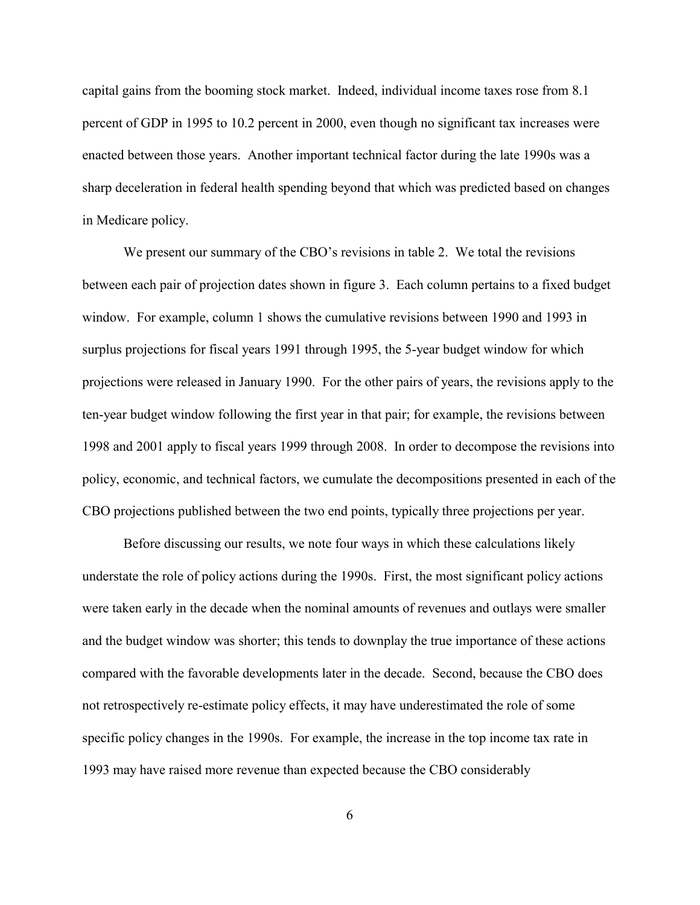capital gains from the booming stock market. Indeed, individual income taxes rose from 8.1 percent of GDP in 1995 to 10.2 percent in 2000, even though no significant tax increases were enacted between those years. Another important technical factor during the late 1990s was a sharp deceleration in federal health spending beyond that which was predicted based on changes in Medicare policy.

We present our summary of the CBO's revisions in table 2. We total the revisions between each pair of projection dates shown in figure 3. Each column pertains to a fixed budget window. For example, column 1 shows the cumulative revisions between 1990 and 1993 in surplus projections for fiscal years 1991 through 1995, the 5-year budget window for which projections were released in January 1990. For the other pairs of years, the revisions apply to the ten-year budget window following the first year in that pair; for example, the revisions between 1998 and 2001 apply to fiscal years 1999 through 2008. In order to decompose the revisions into policy, economic, and technical factors, we cumulate the decompositions presented in each of the CBO projections published between the two end points, typically three projections per year.

Before discussing our results, we note four ways in which these calculations likely understate the role of policy actions during the 1990s. First, the most significant policy actions were taken early in the decade when the nominal amounts of revenues and outlays were smaller and the budget window was shorter; this tends to downplay the true importance of these actions compared with the favorable developments later in the decade. Second, because the CBO does not retrospectively re-estimate policy effects, it may have underestimated the role of some specific policy changes in the 1990s. For example, the increase in the top income tax rate in 1993 may have raised more revenue than expected because the CBO considerably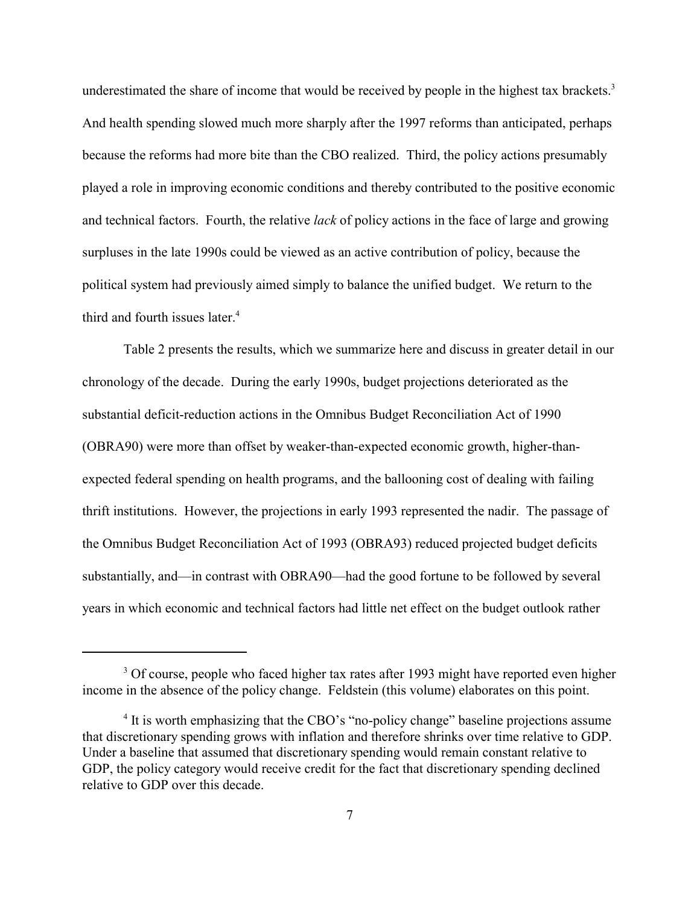underestimated the share of income that would be received by people in the highest tax brackets.<sup>3</sup> And health spending slowed much more sharply after the 1997 reforms than anticipated, perhaps because the reforms had more bite than the CBO realized. Third, the policy actions presumably played a role in improving economic conditions and thereby contributed to the positive economic and technical factors. Fourth, the relative *lack* of policy actions in the face of large and growing surpluses in the late 1990s could be viewed as an active contribution of policy, because the political system had previously aimed simply to balance the unified budget. We return to the third and fourth issues later. $4$ 

Table 2 presents the results, which we summarize here and discuss in greater detail in our chronology of the decade. During the early 1990s, budget projections deteriorated as the substantial deficit-reduction actions in the Omnibus Budget Reconciliation Act of 1990 (OBRA90) were more than offset by weaker-than-expected economic growth, higher-thanexpected federal spending on health programs, and the ballooning cost of dealing with failing thrift institutions. However, the projections in early 1993 represented the nadir. The passage of the Omnibus Budget Reconciliation Act of 1993 (OBRA93) reduced projected budget deficits substantially, and—in contrast with OBRA90—had the good fortune to be followed by several years in which economic and technical factors had little net effect on the budget outlook rather

<sup>&</sup>lt;sup>3</sup> Of course, people who faced higher tax rates after 1993 might have reported even higher income in the absence of the policy change. Feldstein (this volume) elaborates on this point.

<sup>&</sup>lt;sup>4</sup> It is worth emphasizing that the CBO's "no-policy change" baseline projections assume that discretionary spending grows with inflation and therefore shrinks over time relative to GDP. Under a baseline that assumed that discretionary spending would remain constant relative to GDP, the policy category would receive credit for the fact that discretionary spending declined relative to GDP over this decade.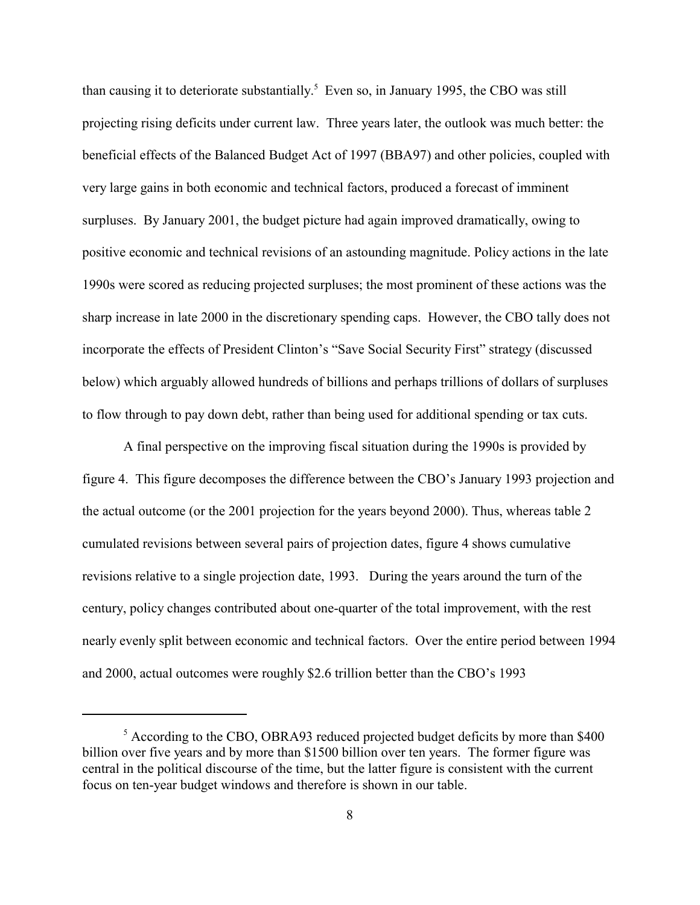than causing it to deteriorate substantially.<sup>5</sup> Even so, in January 1995, the CBO was still projecting rising deficits under current law. Three years later, the outlook was much better: the beneficial effects of the Balanced Budget Act of 1997 (BBA97) and other policies, coupled with very large gains in both economic and technical factors, produced a forecast of imminent surpluses. By January 2001, the budget picture had again improved dramatically, owing to positive economic and technical revisions of an astounding magnitude. Policy actions in the late 1990s were scored as reducing projected surpluses; the most prominent of these actions was the sharp increase in late 2000 in the discretionary spending caps. However, the CBO tally does not incorporate the effects of President Clinton's "Save Social Security First" strategy (discussed below) which arguably allowed hundreds of billions and perhaps trillions of dollars of surpluses to flow through to pay down debt, rather than being used for additional spending or tax cuts.

A final perspective on the improving fiscal situation during the 1990s is provided by figure 4. This figure decomposes the difference between the CBO's January 1993 projection and the actual outcome (or the 2001 projection for the years beyond 2000). Thus, whereas table 2 cumulated revisions between several pairs of projection dates, figure 4 shows cumulative revisions relative to a single projection date, 1993. During the years around the turn of the century, policy changes contributed about one-quarter of the total improvement, with the rest nearly evenly split between economic and technical factors. Over the entire period between 1994 and 2000, actual outcomes were roughly \$2.6 trillion better than the CBO's 1993

<sup>&</sup>lt;sup>5</sup> According to the CBO, OBRA93 reduced projected budget deficits by more than \$400 billion over five years and by more than \$1500 billion over ten years. The former figure was central in the political discourse of the time, but the latter figure is consistent with the current focus on ten-year budget windows and therefore is shown in our table.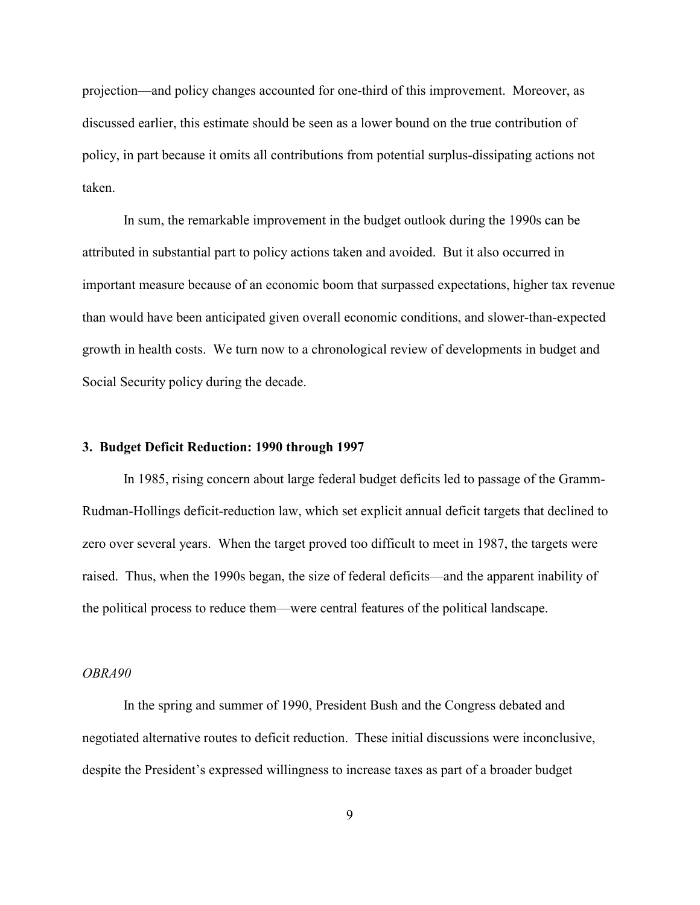projection—and policy changes accounted for one-third of this improvement. Moreover, as discussed earlier, this estimate should be seen as a lower bound on the true contribution of policy, in part because it omits all contributions from potential surplus-dissipating actions not taken.

In sum, the remarkable improvement in the budget outlook during the 1990s can be attributed in substantial part to policy actions taken and avoided. But it also occurred in important measure because of an economic boom that surpassed expectations, higher tax revenue than would have been anticipated given overall economic conditions, and slower-than-expected growth in health costs. We turn now to a chronological review of developments in budget and Social Security policy during the decade.

### **3. Budget Deficit Reduction: 1990 through 1997**

In 1985, rising concern about large federal budget deficits led to passage of the Gramm-Rudman-Hollings deficit-reduction law, which set explicit annual deficit targets that declined to zero over several years. When the target proved too difficult to meet in 1987, the targets were raised. Thus, when the 1990s began, the size of federal deficits—and the apparent inability of the political process to reduce them—were central features of the political landscape.

### *OBRA90*

In the spring and summer of 1990, President Bush and the Congress debated and negotiated alternative routes to deficit reduction. These initial discussions were inconclusive, despite the President's expressed willingness to increase taxes as part of a broader budget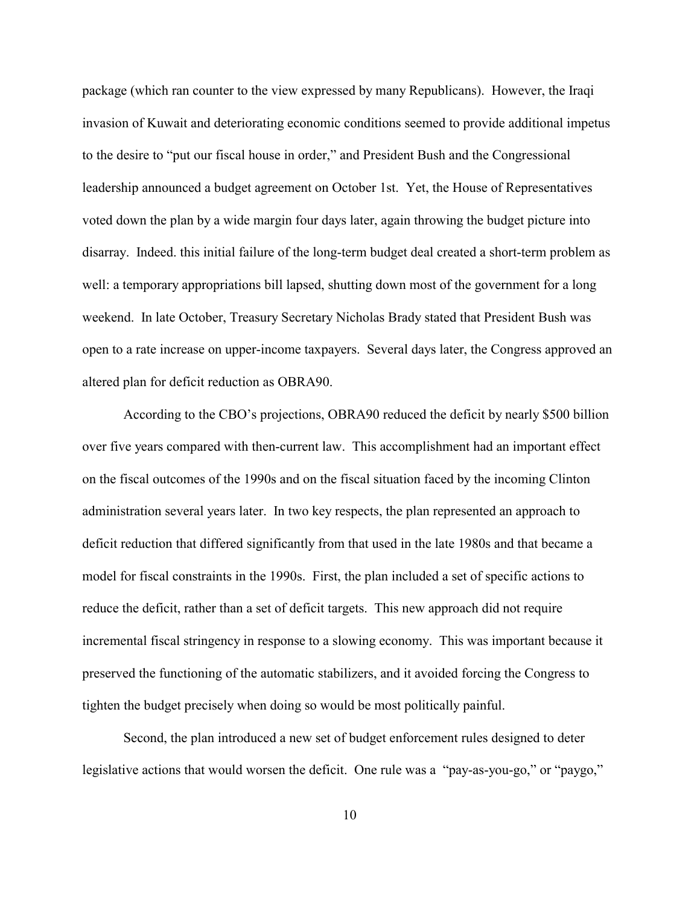package (which ran counter to the view expressed by many Republicans). However, the Iraqi invasion of Kuwait and deteriorating economic conditions seemed to provide additional impetus to the desire to "put our fiscal house in order," and President Bush and the Congressional leadership announced a budget agreement on October 1st. Yet, the House of Representatives voted down the plan by a wide margin four days later, again throwing the budget picture into disarray. Indeed. this initial failure of the long-term budget deal created a short-term problem as well: a temporary appropriations bill lapsed, shutting down most of the government for a long weekend. In late October, Treasury Secretary Nicholas Brady stated that President Bush was open to a rate increase on upper-income taxpayers. Several days later, the Congress approved an altered plan for deficit reduction as OBRA90.

According to the CBO's projections, OBRA90 reduced the deficit by nearly \$500 billion over five years compared with then-current law. This accomplishment had an important effect on the fiscal outcomes of the 1990s and on the fiscal situation faced by the incoming Clinton administration several years later. In two key respects, the plan represented an approach to deficit reduction that differed significantly from that used in the late 1980s and that became a model for fiscal constraints in the 1990s. First, the plan included a set of specific actions to reduce the deficit, rather than a set of deficit targets. This new approach did not require incremental fiscal stringency in response to a slowing economy. This was important because it preserved the functioning of the automatic stabilizers, and it avoided forcing the Congress to tighten the budget precisely when doing so would be most politically painful.

Second, the plan introduced a new set of budget enforcement rules designed to deter legislative actions that would worsen the deficit. One rule was a "pay-as-you-go," or "paygo,"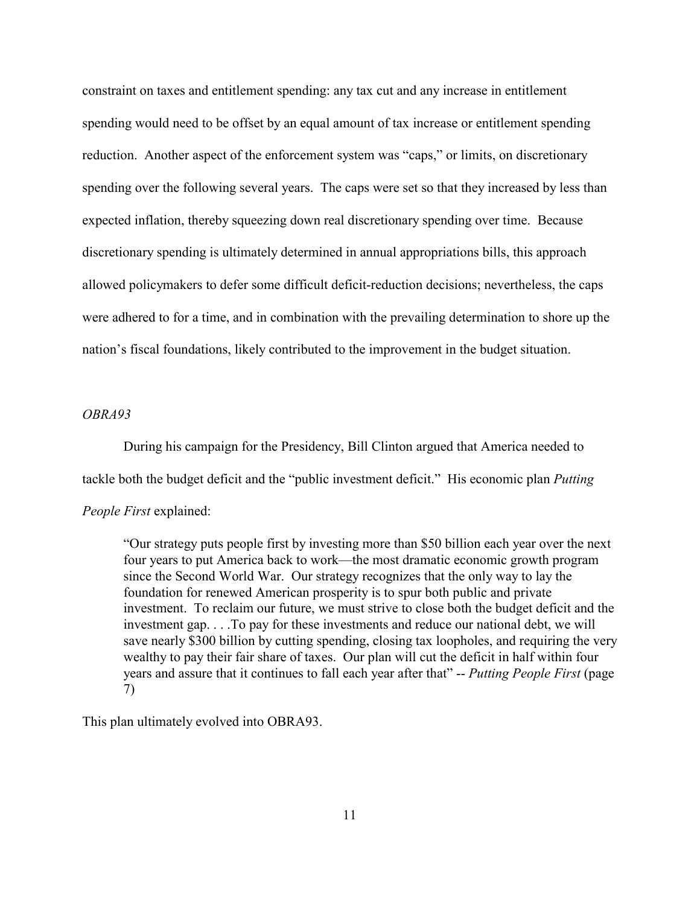constraint on taxes and entitlement spending: any tax cut and any increase in entitlement spending would need to be offset by an equal amount of tax increase or entitlement spending reduction. Another aspect of the enforcement system was "caps," or limits, on discretionary spending over the following several years. The caps were set so that they increased by less than expected inflation, thereby squeezing down real discretionary spending over time. Because discretionary spending is ultimately determined in annual appropriations bills, this approach allowed policymakers to defer some difficult deficit-reduction decisions; nevertheless, the caps were adhered to for a time, and in combination with the prevailing determination to shore up the nation's fiscal foundations, likely contributed to the improvement in the budget situation.

*OBRA93*

During his campaign for the Presidency, Bill Clinton argued that America needed to

tackle both the budget deficit and the "public investment deficit." His economic plan *Putting* 

### *People First* explained:

ìOur strategy puts people first by investing more than \$50 billion each year over the next four years to put America back to work—the most dramatic economic growth program since the Second World War. Our strategy recognizes that the only way to lay the foundation for renewed American prosperity is to spur both public and private investment. To reclaim our future, we must strive to close both the budget deficit and the investment gap. . . .To pay for these investments and reduce our national debt, we will save nearly \$300 billion by cutting spending, closing tax loopholes, and requiring the very wealthy to pay their fair share of taxes. Our plan will cut the deficit in half within four years and assure that it continues to fall each year after that" -- *Putting People First* (page 7)

This plan ultimately evolved into OBRA93.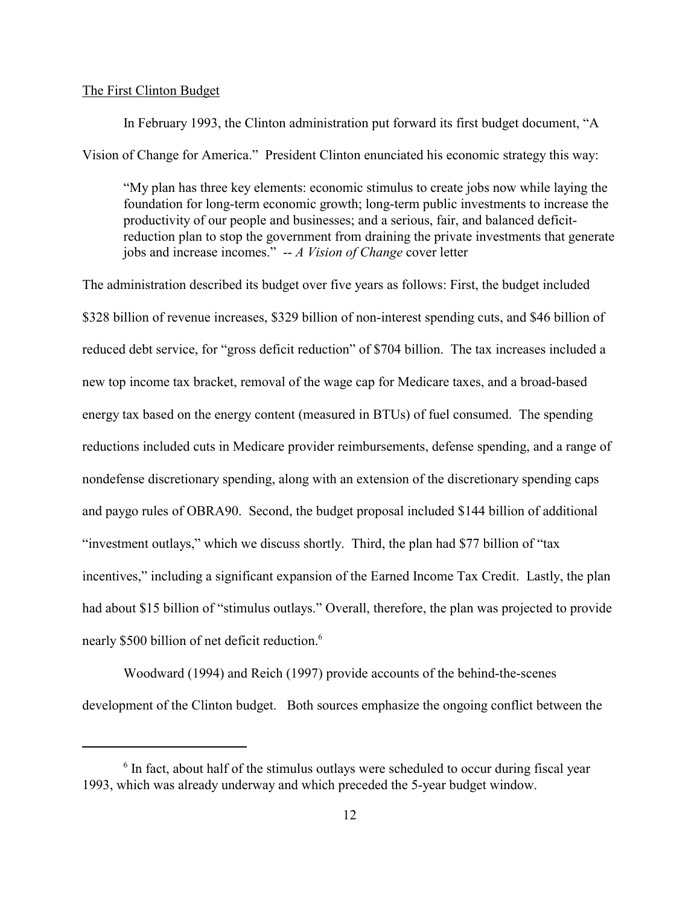#### The First Clinton Budget

In February 1993, the Clinton administration put forward its first budget document, "A Vision of Change for America." President Clinton enunciated his economic strategy this way:

ìMy plan has three key elements: economic stimulus to create jobs now while laying the foundation for long-term economic growth; long-term public investments to increase the productivity of our people and businesses; and a serious, fair, and balanced deficitreduction plan to stop the government from draining the private investments that generate jobs and increase incomes.<sup>"</sup> -- *A Vision of Change* cover letter

The administration described its budget over five years as follows: First, the budget included \$328 billion of revenue increases, \$329 billion of non-interest spending cuts, and \$46 billion of reduced debt service, for "gross deficit reduction" of \$704 billion. The tax increases included a new top income tax bracket, removal of the wage cap for Medicare taxes, and a broad-based energy tax based on the energy content (measured in BTUs) of fuel consumed. The spending reductions included cuts in Medicare provider reimbursements, defense spending, and a range of nondefense discretionary spending, along with an extension of the discretionary spending caps and paygo rules of OBRA90. Second, the budget proposal included \$144 billion of additional "investment outlays," which we discuss shortly. Third, the plan had \$77 billion of "tax incentives," including a significant expansion of the Earned Income Tax Credit. Lastly, the plan had about \$15 billion of "stimulus outlays." Overall, therefore, the plan was projected to provide nearly \$500 billion of net deficit reduction.<sup>6</sup>

Woodward (1994) and Reich (1997) provide accounts of the behind-the-scenes development of the Clinton budget. Both sources emphasize the ongoing conflict between the

<sup>&</sup>lt;sup>6</sup> In fact, about half of the stimulus outlays were scheduled to occur during fiscal year 1993, which was already underway and which preceded the 5-year budget window.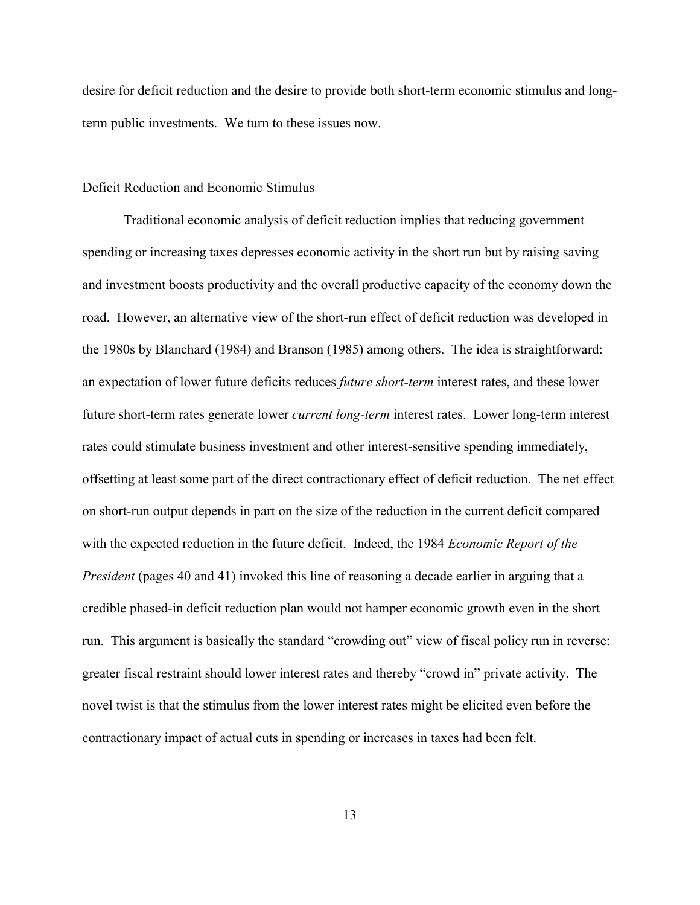desire for deficit reduction and the desire to provide both short-term economic stimulus and longterm public investments. We turn to these issues now.

#### Deficit Reduction and Economic Stimulus

Traditional economic analysis of deficit reduction implies that reducing government spending or increasing taxes depresses economic activity in the short run but by raising saving and investment boosts productivity and the overall productive capacity of the economy down the road. However, an alternative view of the short-run effect of deficit reduction was developed in the 1980s by Blanchard (1984) and Branson (1985) among others. The idea is straightforward: an expectation of lower future deficits reduces *future short-term* interest rates, and these lower future short-term rates generate lower *current long-term* interest rates. Lower long-term interest rates could stimulate business investment and other interest-sensitive spending immediately, offsetting at least some part of the direct contractionary effect of deficit reduction. The net effect on short-run output depends in part on the size of the reduction in the current deficit compared with the expected reduction in the future deficit. Indeed, the 1984 *Economic Report of the President* (pages 40 and 41) invoked this line of reasoning a decade earlier in arguing that a credible phased-in deficit reduction plan would not hamper economic growth even in the short run. This argument is basically the standard "crowding out" view of fiscal policy run in reverse: greater fiscal restraint should lower interest rates and thereby "crowd in" private activity. The novel twist is that the stimulus from the lower interest rates might be elicited even before the contractionary impact of actual cuts in spending or increases in taxes had been felt.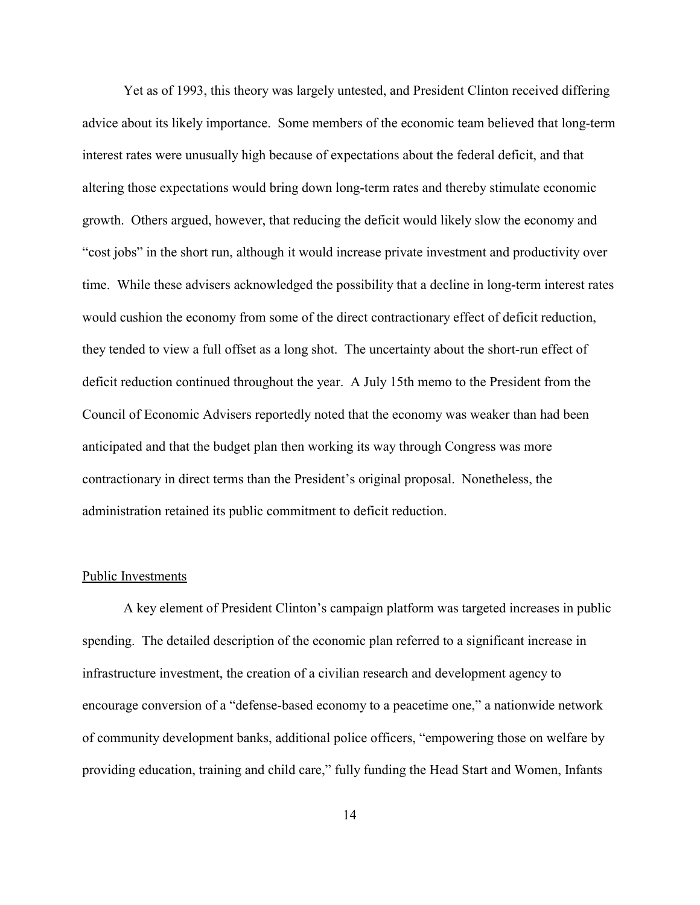Yet as of 1993, this theory was largely untested, and President Clinton received differing advice about its likely importance. Some members of the economic team believed that long-term interest rates were unusually high because of expectations about the federal deficit, and that altering those expectations would bring down long-term rates and thereby stimulate economic growth. Others argued, however, that reducing the deficit would likely slow the economy and "cost jobs" in the short run, although it would increase private investment and productivity over time. While these advisers acknowledged the possibility that a decline in long-term interest rates would cushion the economy from some of the direct contractionary effect of deficit reduction, they tended to view a full offset as a long shot. The uncertainty about the short-run effect of deficit reduction continued throughout the year. A July 15th memo to the President from the Council of Economic Advisers reportedly noted that the economy was weaker than had been anticipated and that the budget plan then working its way through Congress was more contractionary in direct terms than the President's original proposal. Nonetheless, the administration retained its public commitment to deficit reduction.

#### Public Investments

A key element of President Clinton's campaign platform was targeted increases in public spending. The detailed description of the economic plan referred to a significant increase in infrastructure investment, the creation of a civilian research and development agency to encourage conversion of a "defense-based economy to a peacetime one," a nationwide network of community development banks, additional police officers, "empowering those on welfare by providing education, training and child care," fully funding the Head Start and Women, Infants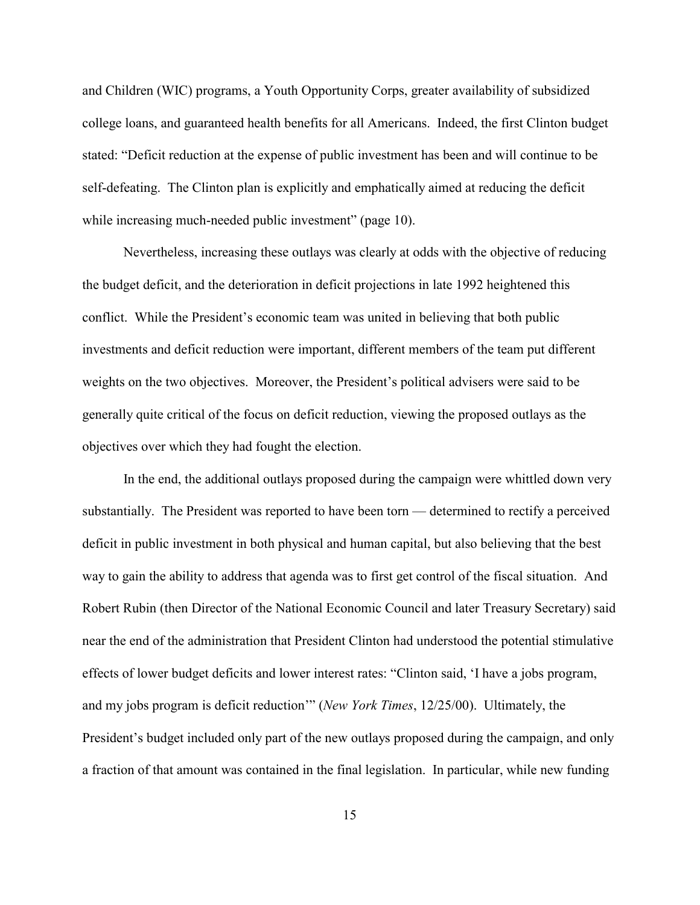and Children (WIC) programs, a Youth Opportunity Corps, greater availability of subsidized college loans, and guaranteed health benefits for all Americans. Indeed, the first Clinton budget stated: "Deficit reduction at the expense of public investment has been and will continue to be self-defeating. The Clinton plan is explicitly and emphatically aimed at reducing the deficit while increasing much-needed public investment" (page 10).

Nevertheless, increasing these outlays was clearly at odds with the objective of reducing the budget deficit, and the deterioration in deficit projections in late 1992 heightened this conflict. While the President's economic team was united in believing that both public investments and deficit reduction were important, different members of the team put different weights on the two objectives. Moreover, the President's political advisers were said to be generally quite critical of the focus on deficit reduction, viewing the proposed outlays as the objectives over which they had fought the election.

In the end, the additional outlays proposed during the campaign were whittled down very substantially. The President was reported to have been torn — determined to rectify a perceived deficit in public investment in both physical and human capital, but also believing that the best way to gain the ability to address that agenda was to first get control of the fiscal situation. And Robert Rubin (then Director of the National Economic Council and later Treasury Secretary) said near the end of the administration that President Clinton had understood the potential stimulative effects of lower budget deficits and lower interest rates: "Clinton said, 'I have a jobs program, and my jobs program is deficit reduction" (*New York Times*, 12/25/00). Ultimately, the President's budget included only part of the new outlays proposed during the campaign, and only a fraction of that amount was contained in the final legislation. In particular, while new funding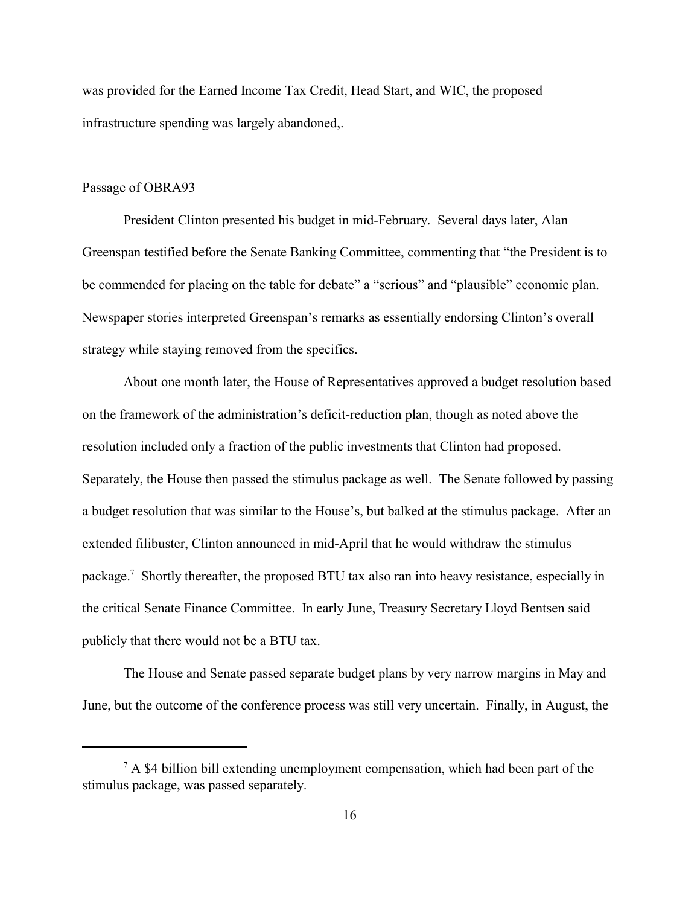was provided for the Earned Income Tax Credit, Head Start, and WIC, the proposed infrastructure spending was largely abandoned,.

#### Passage of OBRA93

President Clinton presented his budget in mid-February. Several days later, Alan Greenspan testified before the Senate Banking Committee, commenting that "the President is to be commended for placing on the table for debate" a "serious" and "plausible" economic plan. Newspaper stories interpreted Greenspan's remarks as essentially endorsing Clinton's overall strategy while staying removed from the specifics.

About one month later, the House of Representatives approved a budget resolution based on the framework of the administration's deficit-reduction plan, though as noted above the resolution included only a fraction of the public investments that Clinton had proposed. Separately, the House then passed the stimulus package as well. The Senate followed by passing a budget resolution that was similar to the House's, but balked at the stimulus package. After an extended filibuster, Clinton announced in mid-April that he would withdraw the stimulus package.<sup>7</sup> Shortly thereafter, the proposed BTU tax also ran into heavy resistance, especially in the critical Senate Finance Committee. In early June, Treasury Secretary Lloyd Bentsen said publicly that there would not be a BTU tax.

The House and Senate passed separate budget plans by very narrow margins in May and June, but the outcome of the conference process was still very uncertain. Finally, in August, the

 $<sup>7</sup>$  A \$4 billion bill extending unemployment compensation, which had been part of the</sup> stimulus package, was passed separately.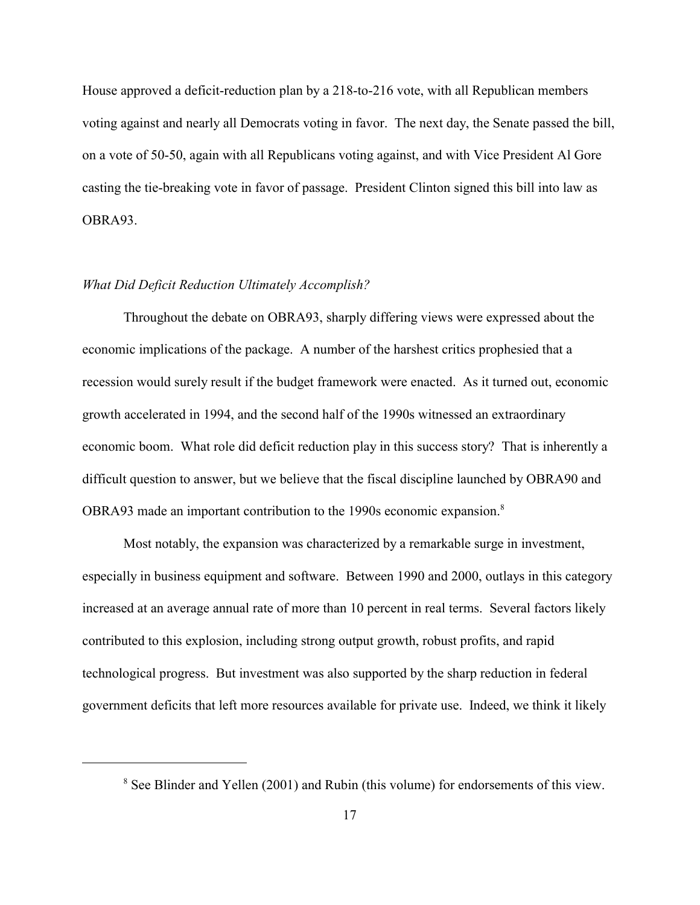House approved a deficit-reduction plan by a 218-to-216 vote, with all Republican members voting against and nearly all Democrats voting in favor. The next day, the Senate passed the bill, on a vote of 50-50, again with all Republicans voting against, and with Vice President Al Gore casting the tie-breaking vote in favor of passage. President Clinton signed this bill into law as OBRA93.

# *What Did Deficit Reduction Ultimately Accomplish?*

Throughout the debate on OBRA93, sharply differing views were expressed about the economic implications of the package. A number of the harshest critics prophesied that a recession would surely result if the budget framework were enacted. As it turned out, economic growth accelerated in 1994, and the second half of the 1990s witnessed an extraordinary economic boom. What role did deficit reduction play in this success story? That is inherently a difficult question to answer, but we believe that the fiscal discipline launched by OBRA90 and OBRA93 made an important contribution to the 1990s economic expansion.<sup>8</sup>

Most notably, the expansion was characterized by a remarkable surge in investment, especially in business equipment and software. Between 1990 and 2000, outlays in this category increased at an average annual rate of more than 10 percent in real terms. Several factors likely contributed to this explosion, including strong output growth, robust profits, and rapid technological progress. But investment was also supported by the sharp reduction in federal government deficits that left more resources available for private use. Indeed, we think it likely

<sup>&</sup>lt;sup>8</sup> See Blinder and Yellen (2001) and Rubin (this volume) for endorsements of this view.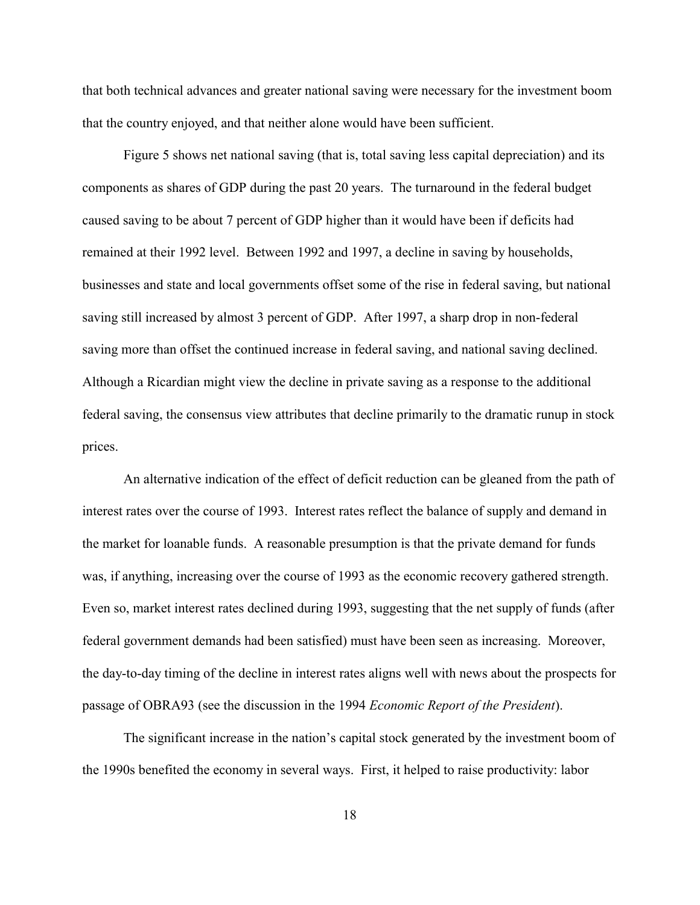that both technical advances and greater national saving were necessary for the investment boom that the country enjoyed, and that neither alone would have been sufficient.

Figure 5 shows net national saving (that is, total saving less capital depreciation) and its components as shares of GDP during the past 20 years. The turnaround in the federal budget caused saving to be about 7 percent of GDP higher than it would have been if deficits had remained at their 1992 level. Between 1992 and 1997, a decline in saving by households, businesses and state and local governments offset some of the rise in federal saving, but national saving still increased by almost 3 percent of GDP. After 1997, a sharp drop in non-federal saving more than offset the continued increase in federal saving, and national saving declined. Although a Ricardian might view the decline in private saving as a response to the additional federal saving, the consensus view attributes that decline primarily to the dramatic runup in stock prices.

An alternative indication of the effect of deficit reduction can be gleaned from the path of interest rates over the course of 1993. Interest rates reflect the balance of supply and demand in the market for loanable funds. A reasonable presumption is that the private demand for funds was, if anything, increasing over the course of 1993 as the economic recovery gathered strength. Even so, market interest rates declined during 1993, suggesting that the net supply of funds (after federal government demands had been satisfied) must have been seen as increasing. Moreover, the day-to-day timing of the decline in interest rates aligns well with news about the prospects for passage of OBRA93 (see the discussion in the 1994 *Economic Report of the President*).

The significant increase in the nation's capital stock generated by the investment boom of the 1990s benefited the economy in several ways. First, it helped to raise productivity: labor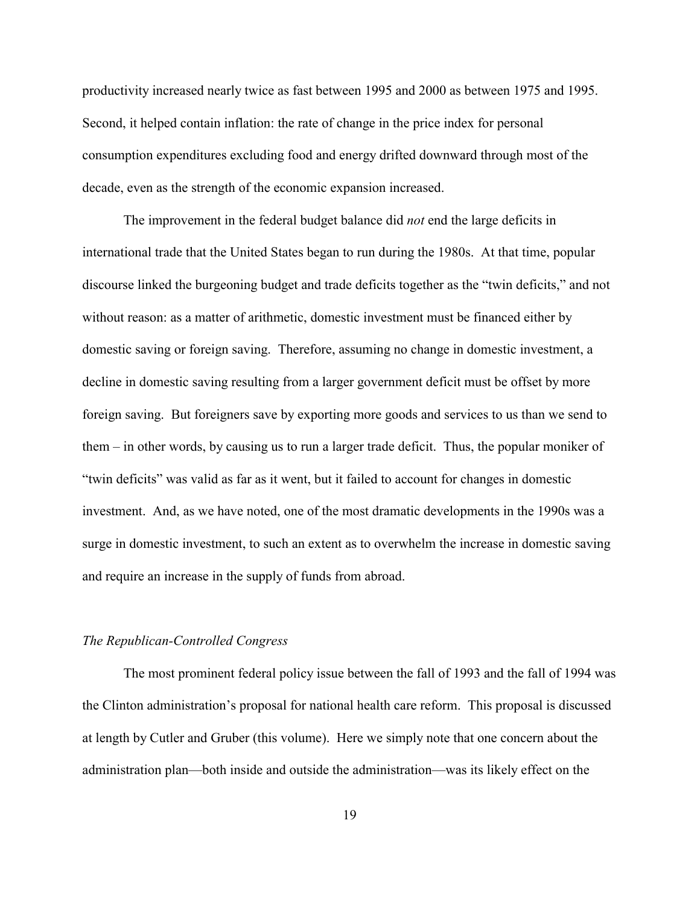productivity increased nearly twice as fast between 1995 and 2000 as between 1975 and 1995. Second, it helped contain inflation: the rate of change in the price index for personal consumption expenditures excluding food and energy drifted downward through most of the decade, even as the strength of the economic expansion increased.

The improvement in the federal budget balance did *not* end the large deficits in international trade that the United States began to run during the 1980s. At that time, popular discourse linked the burgeoning budget and trade deficits together as the "twin deficits," and not without reason: as a matter of arithmetic, domestic investment must be financed either by domestic saving or foreign saving. Therefore, assuming no change in domestic investment, a decline in domestic saving resulting from a larger government deficit must be offset by more foreign saving. But foreigners save by exporting more goods and services to us than we send to them – in other words, by causing us to run a larger trade deficit. Thus, the popular moniker of ìtwin deficitsî was valid as far as it went, but it failed to account for changes in domestic investment. And, as we have noted, one of the most dramatic developments in the 1990s was a surge in domestic investment, to such an extent as to overwhelm the increase in domestic saving and require an increase in the supply of funds from abroad.

# *The Republican-Controlled Congress*

The most prominent federal policy issue between the fall of 1993 and the fall of 1994 was the Clinton administration's proposal for national health care reform. This proposal is discussed at length by Cutler and Gruber (this volume). Here we simply note that one concern about the administration plan—both inside and outside the administration—was its likely effect on the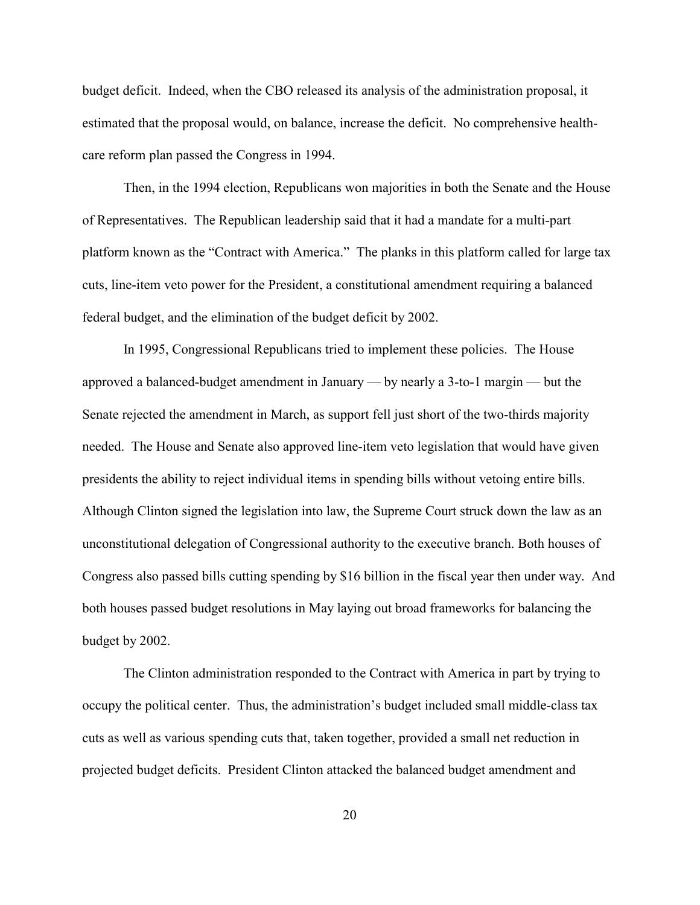budget deficit. Indeed, when the CBO released its analysis of the administration proposal, it estimated that the proposal would, on balance, increase the deficit. No comprehensive healthcare reform plan passed the Congress in 1994.

Then, in the 1994 election, Republicans won majorities in both the Senate and the House of Representatives. The Republican leadership said that it had a mandate for a multi-part platform known as the "Contract with America." The planks in this platform called for large tax cuts, line-item veto power for the President, a constitutional amendment requiring a balanced federal budget, and the elimination of the budget deficit by 2002.

In 1995, Congressional Republicans tried to implement these policies. The House approved a balanced-budget amendment in January — by nearly a 3-to-1 margin — but the Senate rejected the amendment in March, as support fell just short of the two-thirds majority needed. The House and Senate also approved line-item veto legislation that would have given presidents the ability to reject individual items in spending bills without vetoing entire bills. Although Clinton signed the legislation into law, the Supreme Court struck down the law as an unconstitutional delegation of Congressional authority to the executive branch. Both houses of Congress also passed bills cutting spending by \$16 billion in the fiscal year then under way. And both houses passed budget resolutions in May laying out broad frameworks for balancing the budget by 2002.

The Clinton administration responded to the Contract with America in part by trying to occupy the political center. Thus, the administration's budget included small middle-class tax cuts as well as various spending cuts that, taken together, provided a small net reduction in projected budget deficits. President Clinton attacked the balanced budget amendment and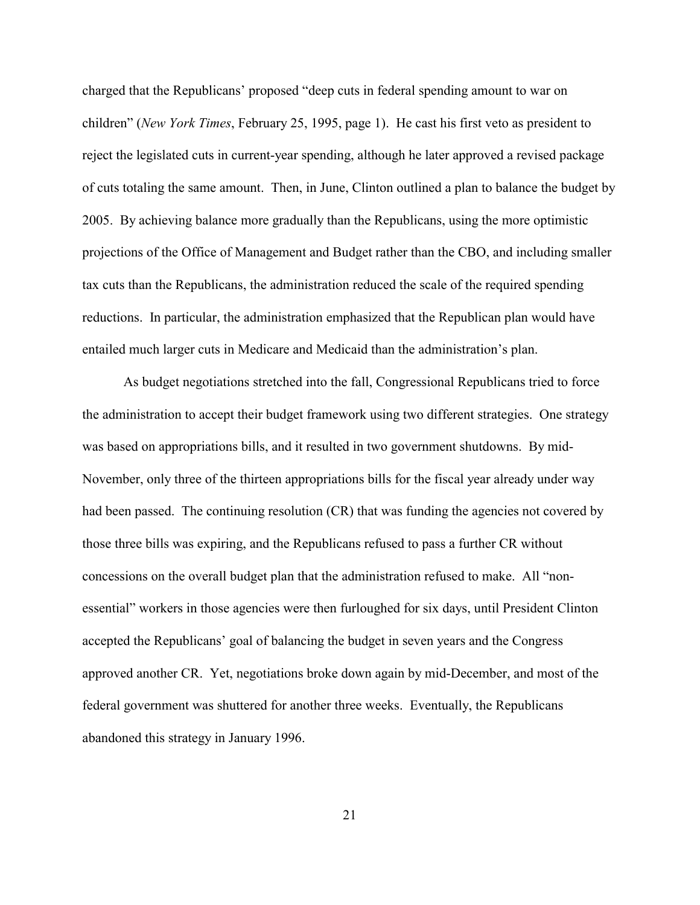charged that the Republicans' proposed "deep cuts in federal spending amount to war on childrenî (*New York Times*, February 25, 1995, page 1). He cast his first veto as president to reject the legislated cuts in current-year spending, although he later approved a revised package of cuts totaling the same amount. Then, in June, Clinton outlined a plan to balance the budget by 2005. By achieving balance more gradually than the Republicans, using the more optimistic projections of the Office of Management and Budget rather than the CBO, and including smaller tax cuts than the Republicans, the administration reduced the scale of the required spending reductions. In particular, the administration emphasized that the Republican plan would have entailed much larger cuts in Medicare and Medicaid than the administration's plan.

As budget negotiations stretched into the fall, Congressional Republicans tried to force the administration to accept their budget framework using two different strategies. One strategy was based on appropriations bills, and it resulted in two government shutdowns. By mid-November, only three of the thirteen appropriations bills for the fiscal year already under way had been passed. The continuing resolution (CR) that was funding the agencies not covered by those three bills was expiring, and the Republicans refused to pass a further CR without concessions on the overall budget plan that the administration refused to make. All "nonessential" workers in those agencies were then furloughed for six days, until President Clinton accepted the Republicans' goal of balancing the budget in seven years and the Congress approved another CR. Yet, negotiations broke down again by mid-December, and most of the federal government was shuttered for another three weeks. Eventually, the Republicans abandoned this strategy in January 1996.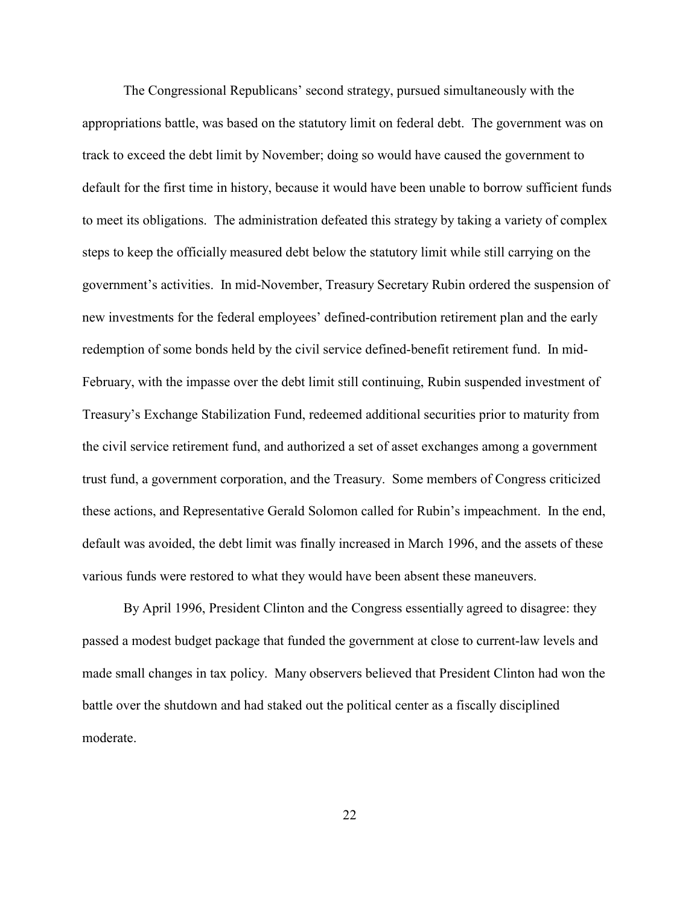The Congressional Republicans' second strategy, pursued simultaneously with the appropriations battle, was based on the statutory limit on federal debt. The government was on track to exceed the debt limit by November; doing so would have caused the government to default for the first time in history, because it would have been unable to borrow sufficient funds to meet its obligations. The administration defeated this strategy by taking a variety of complex steps to keep the officially measured debt below the statutory limit while still carrying on the government's activities. In mid-November, Treasury Secretary Rubin ordered the suspension of new investments for the federal employees' defined-contribution retirement plan and the early redemption of some bonds held by the civil service defined-benefit retirement fund. In mid-February, with the impasse over the debt limit still continuing, Rubin suspended investment of Treasury's Exchange Stabilization Fund, redeemed additional securities prior to maturity from the civil service retirement fund, and authorized a set of asset exchanges among a government trust fund, a government corporation, and the Treasury. Some members of Congress criticized these actions, and Representative Gerald Solomon called for Rubin's impeachment. In the end, default was avoided, the debt limit was finally increased in March 1996, and the assets of these various funds were restored to what they would have been absent these maneuvers.

By April 1996, President Clinton and the Congress essentially agreed to disagree: they passed a modest budget package that funded the government at close to current-law levels and made small changes in tax policy. Many observers believed that President Clinton had won the battle over the shutdown and had staked out the political center as a fiscally disciplined moderate.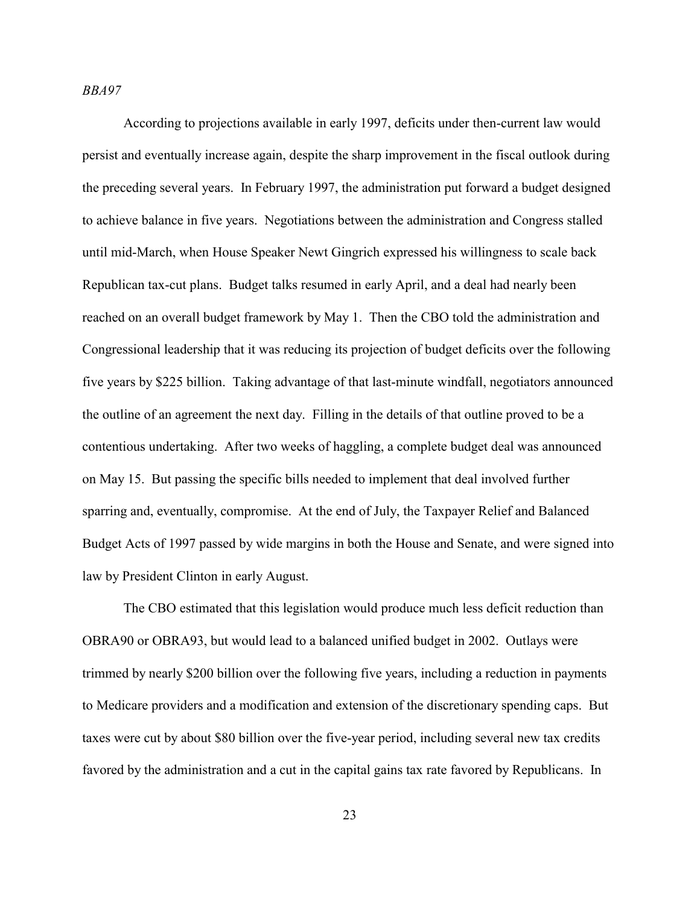#### *BBA97*

According to projections available in early 1997, deficits under then-current law would persist and eventually increase again, despite the sharp improvement in the fiscal outlook during the preceding several years. In February 1997, the administration put forward a budget designed to achieve balance in five years. Negotiations between the administration and Congress stalled until mid-March, when House Speaker Newt Gingrich expressed his willingness to scale back Republican tax-cut plans. Budget talks resumed in early April, and a deal had nearly been reached on an overall budget framework by May 1. Then the CBO told the administration and Congressional leadership that it was reducing its projection of budget deficits over the following five years by \$225 billion. Taking advantage of that last-minute windfall, negotiators announced the outline of an agreement the next day. Filling in the details of that outline proved to be a contentious undertaking. After two weeks of haggling, a complete budget deal was announced on May 15. But passing the specific bills needed to implement that deal involved further sparring and, eventually, compromise. At the end of July, the Taxpayer Relief and Balanced Budget Acts of 1997 passed by wide margins in both the House and Senate, and were signed into law by President Clinton in early August.

The CBO estimated that this legislation would produce much less deficit reduction than OBRA90 or OBRA93, but would lead to a balanced unified budget in 2002. Outlays were trimmed by nearly \$200 billion over the following five years, including a reduction in payments to Medicare providers and a modification and extension of the discretionary spending caps. But taxes were cut by about \$80 billion over the five-year period, including several new tax credits favored by the administration and a cut in the capital gains tax rate favored by Republicans. In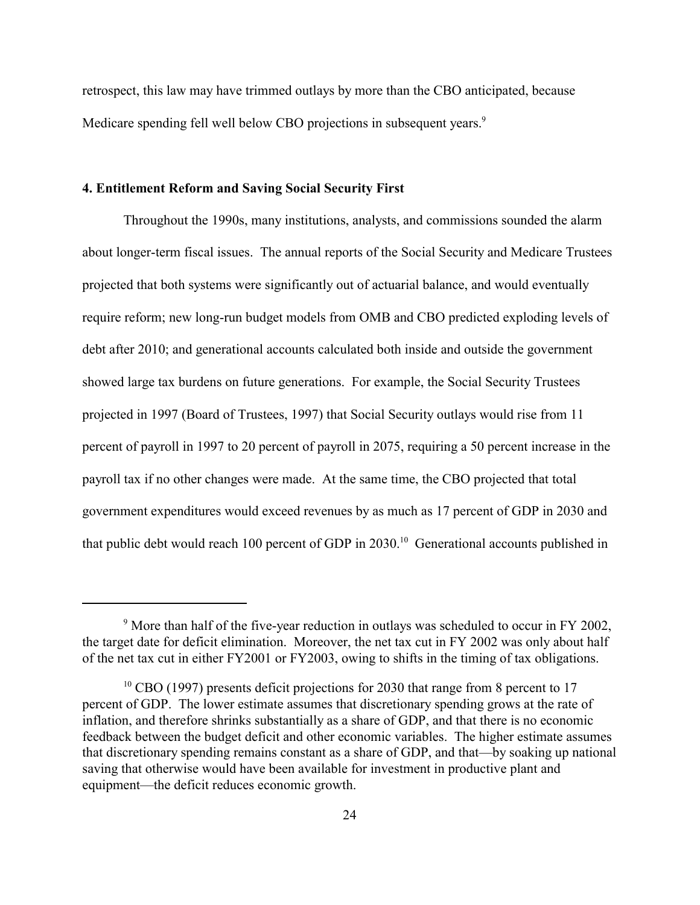retrospect, this law may have trimmed outlays by more than the CBO anticipated, because Medicare spending fell well below CBO projections in subsequent years.<sup>9</sup>

# **4. Entitlement Reform and Saving Social Security First**

Throughout the 1990s, many institutions, analysts, and commissions sounded the alarm about longer-term fiscal issues. The annual reports of the Social Security and Medicare Trustees projected that both systems were significantly out of actuarial balance, and would eventually require reform; new long-run budget models from OMB and CBO predicted exploding levels of debt after 2010; and generational accounts calculated both inside and outside the government showed large tax burdens on future generations. For example, the Social Security Trustees projected in 1997 (Board of Trustees, 1997) that Social Security outlays would rise from 11 percent of payroll in 1997 to 20 percent of payroll in 2075, requiring a 50 percent increase in the payroll tax if no other changes were made. At the same time, the CBO projected that total government expenditures would exceed revenues by as much as 17 percent of GDP in 2030 and that public debt would reach 100 percent of GDP in 2030.<sup>10</sup> Generational accounts published in

<sup>&</sup>lt;sup>9</sup> More than half of the five-year reduction in outlays was scheduled to occur in FY 2002, the target date for deficit elimination. Moreover, the net tax cut in FY 2002 was only about half of the net tax cut in either FY2001 or FY2003, owing to shifts in the timing of tax obligations.

<sup>&</sup>lt;sup>10</sup> CBO (1997) presents deficit projections for 2030 that range from 8 percent to 17 percent of GDP. The lower estimate assumes that discretionary spending grows at the rate of inflation, and therefore shrinks substantially as a share of GDP, and that there is no economic feedback between the budget deficit and other economic variables. The higher estimate assumes that discretionary spending remains constant as a share of GDP, and that—by soaking up national saving that otherwise would have been available for investment in productive plant and equipment—the deficit reduces economic growth.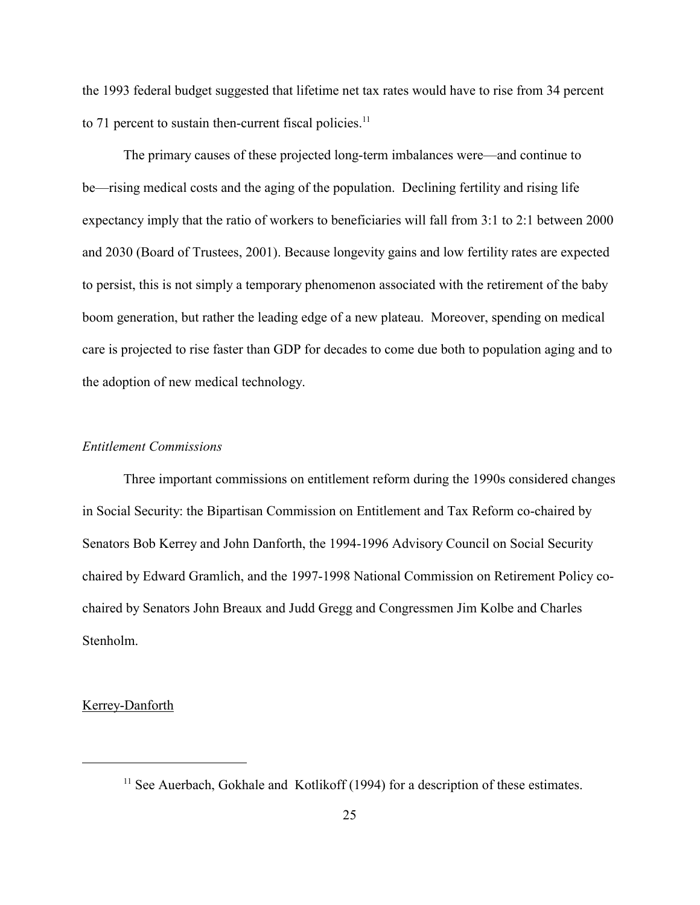the 1993 federal budget suggested that lifetime net tax rates would have to rise from 34 percent to 71 percent to sustain then-current fiscal policies. $11$ 

The primary causes of these projected long-term imbalances were—and continue to be—rising medical costs and the aging of the population. Declining fertility and rising life expectancy imply that the ratio of workers to beneficiaries will fall from 3:1 to 2:1 between 2000 and 2030 (Board of Trustees, 2001). Because longevity gains and low fertility rates are expected to persist, this is not simply a temporary phenomenon associated with the retirement of the baby boom generation, but rather the leading edge of a new plateau. Moreover, spending on medical care is projected to rise faster than GDP for decades to come due both to population aging and to the adoption of new medical technology.

# *Entitlement Commissions*

Three important commissions on entitlement reform during the 1990s considered changes in Social Security: the Bipartisan Commission on Entitlement and Tax Reform co-chaired by Senators Bob Kerrey and John Danforth, the 1994-1996 Advisory Council on Social Security chaired by Edward Gramlich, and the 1997-1998 National Commission on Retirement Policy cochaired by Senators John Breaux and Judd Gregg and Congressmen Jim Kolbe and Charles Stenholm.

### Kerrey-Danforth

<sup>&</sup>lt;sup>11</sup> See Auerbach, Gokhale and Kotlikoff (1994) for a description of these estimates.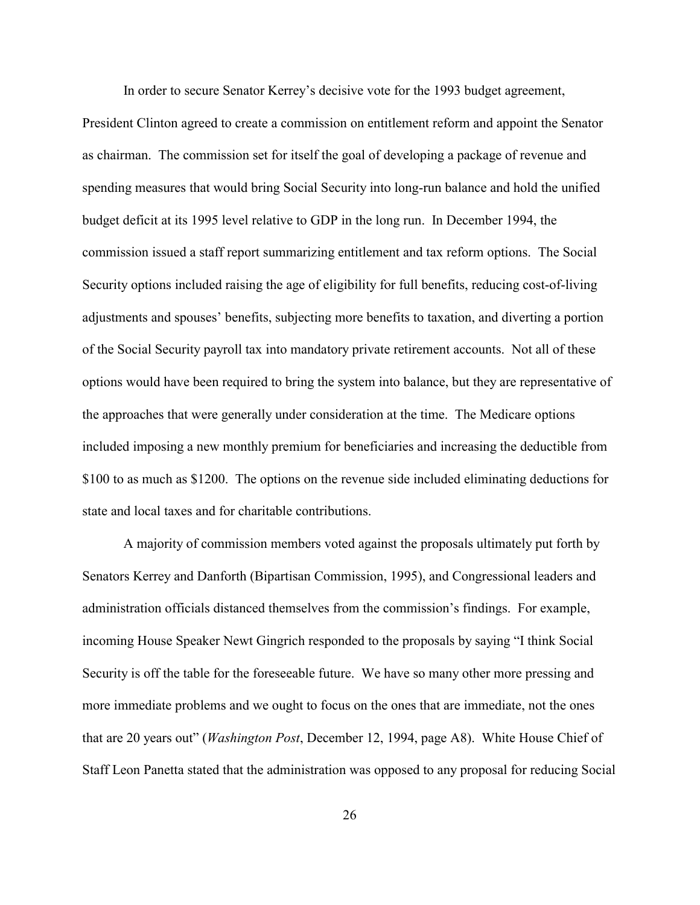In order to secure Senator Kerrey's decisive vote for the 1993 budget agreement,

President Clinton agreed to create a commission on entitlement reform and appoint the Senator as chairman. The commission set for itself the goal of developing a package of revenue and spending measures that would bring Social Security into long-run balance and hold the unified budget deficit at its 1995 level relative to GDP in the long run. In December 1994, the commission issued a staff report summarizing entitlement and tax reform options. The Social Security options included raising the age of eligibility for full benefits, reducing cost-of-living adjustments and spouses' benefits, subjecting more benefits to taxation, and diverting a portion of the Social Security payroll tax into mandatory private retirement accounts. Not all of these options would have been required to bring the system into balance, but they are representative of the approaches that were generally under consideration at the time. The Medicare options included imposing a new monthly premium for beneficiaries and increasing the deductible from \$100 to as much as \$1200. The options on the revenue side included eliminating deductions for state and local taxes and for charitable contributions.

A majority of commission members voted against the proposals ultimately put forth by Senators Kerrey and Danforth (Bipartisan Commission, 1995), and Congressional leaders and administration officials distanced themselves from the commission's findings. For example, incoming House Speaker Newt Gingrich responded to the proposals by saying "I think Social Security is off the table for the foreseeable future. We have so many other more pressing and more immediate problems and we ought to focus on the ones that are immediate, not the ones that are 20 years outî (*Washington Post*, December 12, 1994, page A8). White House Chief of Staff Leon Panetta stated that the administration was opposed to any proposal for reducing Social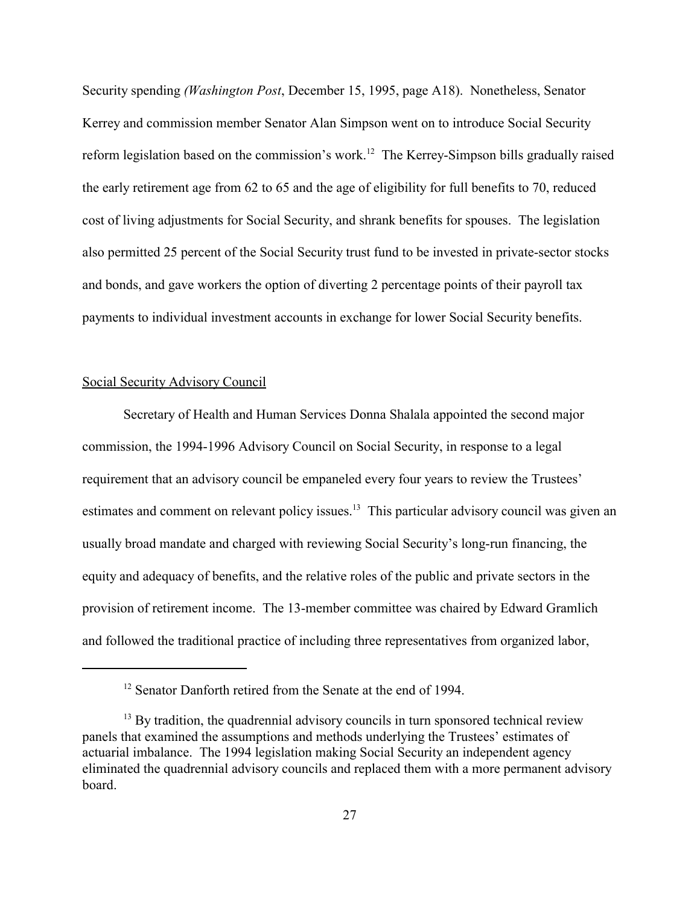Security spending *(Washington Post*, December 15, 1995, page A18). Nonetheless, Senator Kerrey and commission member Senator Alan Simpson went on to introduce Social Security reform legislation based on the commission's work.<sup>12</sup> The Kerrey-Simpson bills gradually raised the early retirement age from 62 to 65 and the age of eligibility for full benefits to 70, reduced cost of living adjustments for Social Security, and shrank benefits for spouses. The legislation also permitted 25 percent of the Social Security trust fund to be invested in private-sector stocks and bonds, and gave workers the option of diverting 2 percentage points of their payroll tax payments to individual investment accounts in exchange for lower Social Security benefits.

#### Social Security Advisory Council

Secretary of Health and Human Services Donna Shalala appointed the second major commission, the 1994-1996 Advisory Council on Social Security, in response to a legal requirement that an advisory council be empaneled every four years to review the Trustees<sup>'</sup> estimates and comment on relevant policy issues.<sup>13</sup> This particular advisory council was given an usually broad mandate and charged with reviewing Social Security's long-run financing, the equity and adequacy of benefits, and the relative roles of the public and private sectors in the provision of retirement income. The 13-member committee was chaired by Edward Gramlich and followed the traditional practice of including three representatives from organized labor,

<sup>&</sup>lt;sup>12</sup> Senator Danforth retired from the Senate at the end of 1994.

<sup>&</sup>lt;sup>13</sup> By tradition, the quadrennial advisory councils in turn sponsored technical review panels that examined the assumptions and methods underlying the Trustees' estimates of actuarial imbalance. The 1994 legislation making Social Security an independent agency eliminated the quadrennial advisory councils and replaced them with a more permanent advisory board.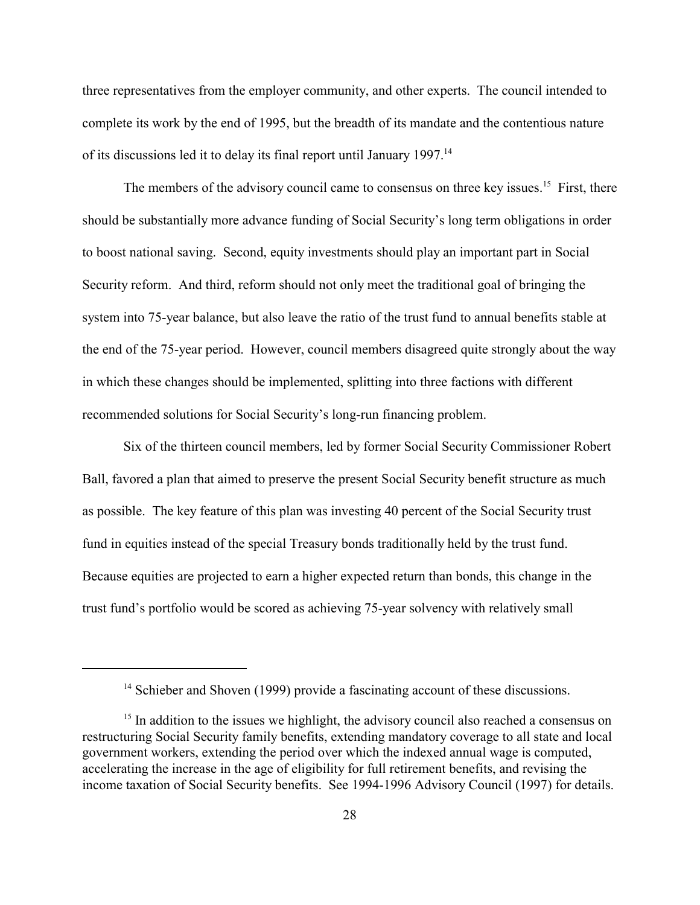three representatives from the employer community, and other experts. The council intended to complete its work by the end of 1995, but the breadth of its mandate and the contentious nature of its discussions led it to delay its final report until January 1997.<sup>14</sup>

The members of the advisory council came to consensus on three key issues.<sup>15</sup> First, there should be substantially more advance funding of Social Security's long term obligations in order to boost national saving. Second, equity investments should play an important part in Social Security reform. And third, reform should not only meet the traditional goal of bringing the system into 75-year balance, but also leave the ratio of the trust fund to annual benefits stable at the end of the 75-year period. However, council members disagreed quite strongly about the way in which these changes should be implemented, splitting into three factions with different recommended solutions for Social Security's long-run financing problem.

Six of the thirteen council members, led by former Social Security Commissioner Robert Ball, favored a plan that aimed to preserve the present Social Security benefit structure as much as possible. The key feature of this plan was investing 40 percent of the Social Security trust fund in equities instead of the special Treasury bonds traditionally held by the trust fund. Because equities are projected to earn a higher expected return than bonds, this change in the trust fund's portfolio would be scored as achieving 75-year solvency with relatively small

<sup>&</sup>lt;sup>14</sup> Schieber and Shoven (1999) provide a fascinating account of these discussions.

<sup>&</sup>lt;sup>15</sup> In addition to the issues we highlight, the advisory council also reached a consensus on restructuring Social Security family benefits, extending mandatory coverage to all state and local government workers, extending the period over which the indexed annual wage is computed, accelerating the increase in the age of eligibility for full retirement benefits, and revising the income taxation of Social Security benefits. See 1994-1996 Advisory Council (1997) for details.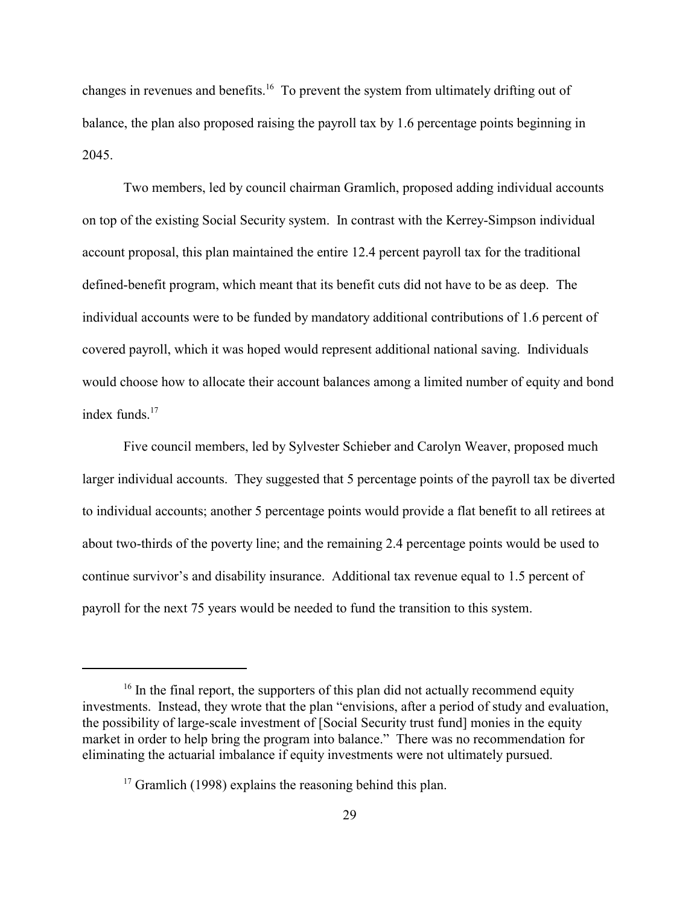changes in revenues and benefits.<sup>16</sup> To prevent the system from ultimately drifting out of balance, the plan also proposed raising the payroll tax by 1.6 percentage points beginning in 2045.

Two members, led by council chairman Gramlich, proposed adding individual accounts on top of the existing Social Security system. In contrast with the Kerrey-Simpson individual account proposal, this plan maintained the entire 12.4 percent payroll tax for the traditional defined-benefit program, which meant that its benefit cuts did not have to be as deep. The individual accounts were to be funded by mandatory additional contributions of 1.6 percent of covered payroll, which it was hoped would represent additional national saving. Individuals would choose how to allocate their account balances among a limited number of equity and bond index funds.17

Five council members, led by Sylvester Schieber and Carolyn Weaver, proposed much larger individual accounts. They suggested that 5 percentage points of the payroll tax be diverted to individual accounts; another 5 percentage points would provide a flat benefit to all retirees at about two-thirds of the poverty line; and the remaining 2.4 percentage points would be used to continue survivor's and disability insurance. Additional tax revenue equal to 1.5 percent of payroll for the next 75 years would be needed to fund the transition to this system.

 $16$  In the final report, the supporters of this plan did not actually recommend equity investments. Instead, they wrote that the plan "envisions, after a period of study and evaluation, the possibility of large-scale investment of [Social Security trust fund] monies in the equity market in order to help bring the program into balance." There was no recommendation for eliminating the actuarial imbalance if equity investments were not ultimately pursued.

<sup>&</sup>lt;sup>17</sup> Gramlich (1998) explains the reasoning behind this plan.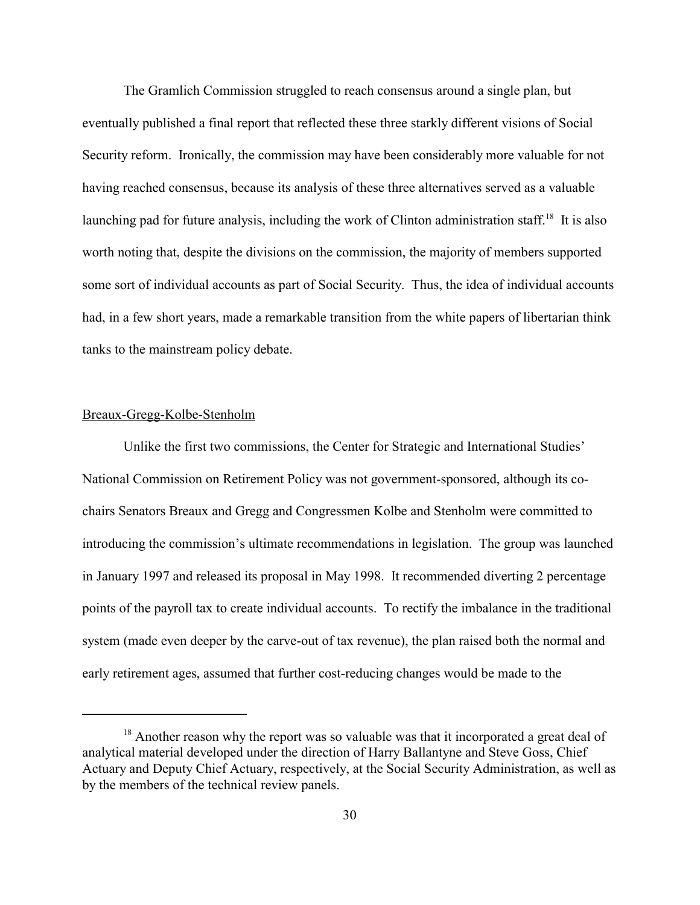The Gramlich Commission struggled to reach consensus around a single plan, but eventually published a final report that reflected these three starkly different visions of Social Security reform. Ironically, the commission may have been considerably more valuable for not having reached consensus, because its analysis of these three alternatives served as a valuable launching pad for future analysis, including the work of Clinton administration staff.<sup>18</sup> It is also worth noting that, despite the divisions on the commission, the majority of members supported some sort of individual accounts as part of Social Security. Thus, the idea of individual accounts had, in a few short years, made a remarkable transition from the white papers of libertarian think tanks to the mainstream policy debate.

# Breaux-Gregg-Kolbe-Stenholm

Unlike the first two commissions, the Center for Strategic and International Studies<sup>7</sup> National Commission on Retirement Policy was not government-sponsored, although its cochairs Senators Breaux and Gregg and Congressmen Kolbe and Stenholm were committed to introducing the commission's ultimate recommendations in legislation. The group was launched in January 1997 and released its proposal in May 1998. It recommended diverting 2 percentage points of the payroll tax to create individual accounts. To rectify the imbalance in the traditional system (made even deeper by the carve-out of tax revenue), the plan raised both the normal and early retirement ages, assumed that further cost-reducing changes would be made to the

<sup>&</sup>lt;sup>18</sup> Another reason why the report was so valuable was that it incorporated a great deal of analytical material developed under the direction of Harry Ballantyne and Steve Goss, Chief Actuary and Deputy Chief Actuary, respectively, at the Social Security Administration, as well as by the members of the technical review panels.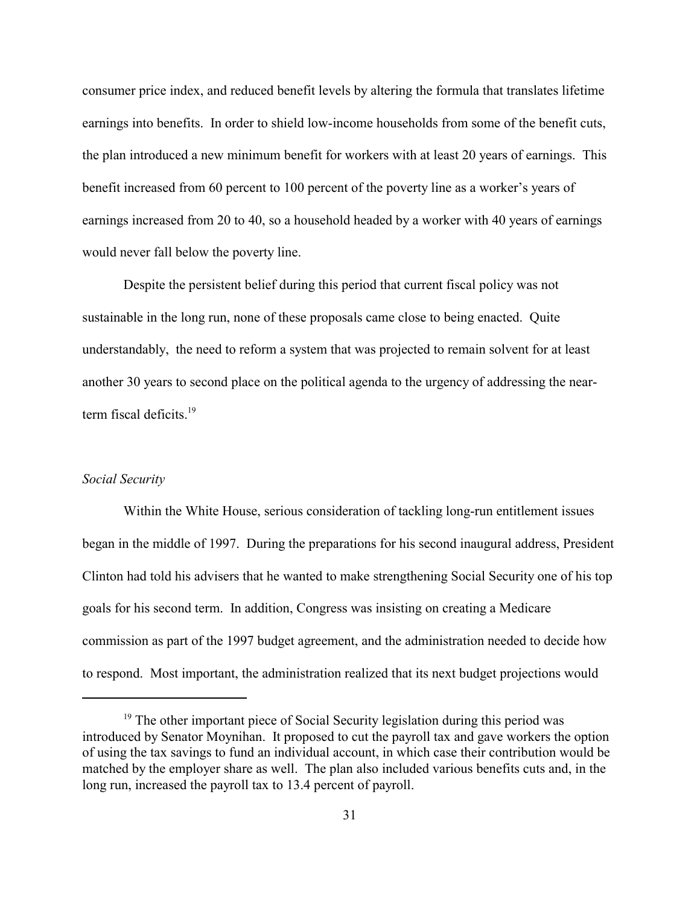consumer price index, and reduced benefit levels by altering the formula that translates lifetime earnings into benefits. In order to shield low-income households from some of the benefit cuts, the plan introduced a new minimum benefit for workers with at least 20 years of earnings. This benefit increased from 60 percent to 100 percent of the poverty line as a worker's years of earnings increased from 20 to 40, so a household headed by a worker with 40 years of earnings would never fall below the poverty line.

Despite the persistent belief during this period that current fiscal policy was not sustainable in the long run, none of these proposals came close to being enacted. Quite understandably, the need to reform a system that was projected to remain solvent for at least another 30 years to second place on the political agenda to the urgency of addressing the nearterm fiscal deficits.<sup>19</sup>

### *Social Security*

Within the White House, serious consideration of tackling long-run entitlement issues began in the middle of 1997. During the preparations for his second inaugural address, President Clinton had told his advisers that he wanted to make strengthening Social Security one of his top goals for his second term. In addition, Congress was insisting on creating a Medicare commission as part of the 1997 budget agreement, and the administration needed to decide how to respond. Most important, the administration realized that its next budget projections would

<sup>&</sup>lt;sup>19</sup> The other important piece of Social Security legislation during this period was introduced by Senator Moynihan. It proposed to cut the payroll tax and gave workers the option of using the tax savings to fund an individual account, in which case their contribution would be matched by the employer share as well. The plan also included various benefits cuts and, in the long run, increased the payroll tax to 13.4 percent of payroll.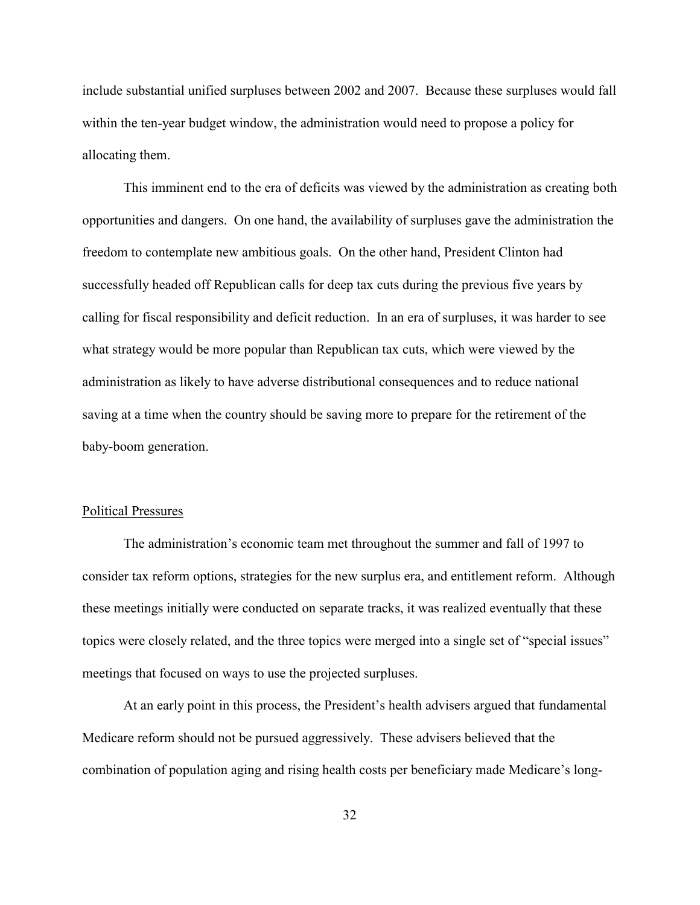include substantial unified surpluses between 2002 and 2007. Because these surpluses would fall within the ten-year budget window, the administration would need to propose a policy for allocating them.

This imminent end to the era of deficits was viewed by the administration as creating both opportunities and dangers. On one hand, the availability of surpluses gave the administration the freedom to contemplate new ambitious goals. On the other hand, President Clinton had successfully headed off Republican calls for deep tax cuts during the previous five years by calling for fiscal responsibility and deficit reduction. In an era of surpluses, it was harder to see what strategy would be more popular than Republican tax cuts, which were viewed by the administration as likely to have adverse distributional consequences and to reduce national saving at a time when the country should be saving more to prepare for the retirement of the baby-boom generation.

### Political Pressures

The administration's economic team met throughout the summer and fall of 1997 to consider tax reform options, strategies for the new surplus era, and entitlement reform. Although these meetings initially were conducted on separate tracks, it was realized eventually that these topics were closely related, and the three topics were merged into a single set of "special issues" meetings that focused on ways to use the projected surpluses.

At an early point in this process, the President's health advisers argued that fundamental Medicare reform should not be pursued aggressively. These advisers believed that the combination of population aging and rising health costs per beneficiary made Medicare's long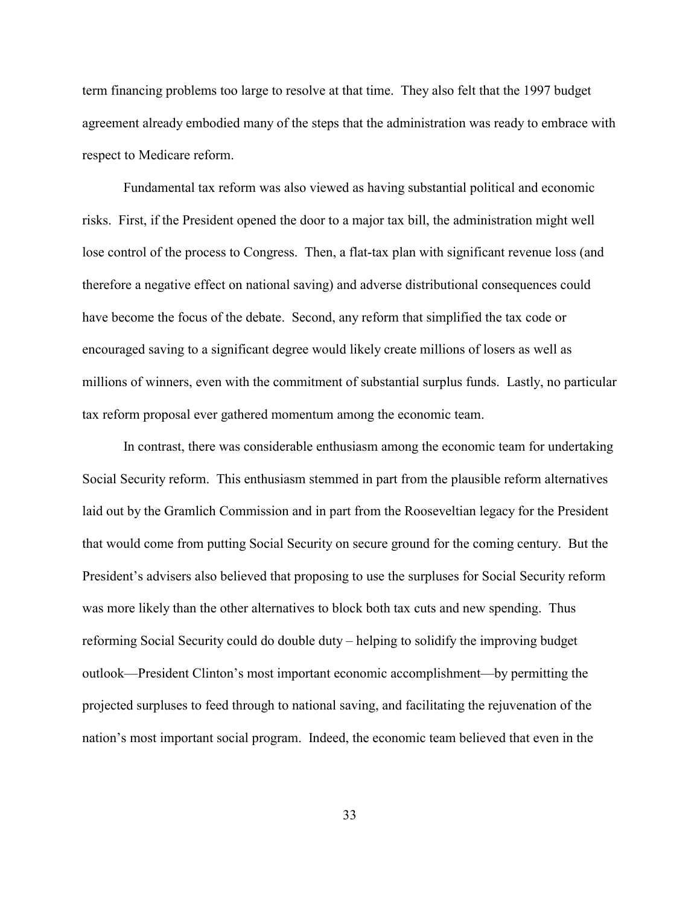term financing problems too large to resolve at that time. They also felt that the 1997 budget agreement already embodied many of the steps that the administration was ready to embrace with respect to Medicare reform.

Fundamental tax reform was also viewed as having substantial political and economic risks. First, if the President opened the door to a major tax bill, the administration might well lose control of the process to Congress. Then, a flat-tax plan with significant revenue loss (and therefore a negative effect on national saving) and adverse distributional consequences could have become the focus of the debate. Second, any reform that simplified the tax code or encouraged saving to a significant degree would likely create millions of losers as well as millions of winners, even with the commitment of substantial surplus funds. Lastly, no particular tax reform proposal ever gathered momentum among the economic team.

In contrast, there was considerable enthusiasm among the economic team for undertaking Social Security reform. This enthusiasm stemmed in part from the plausible reform alternatives laid out by the Gramlich Commission and in part from the Rooseveltian legacy for the President that would come from putting Social Security on secure ground for the coming century. But the President's advisers also believed that proposing to use the surpluses for Social Security reform was more likely than the other alternatives to block both tax cuts and new spending. Thus reforming Social Security could do double duty – helping to solidify the improving budget outlook—President Clinton's most important economic accomplishment—by permitting the projected surpluses to feed through to national saving, and facilitating the rejuvenation of the nation's most important social program. Indeed, the economic team believed that even in the

33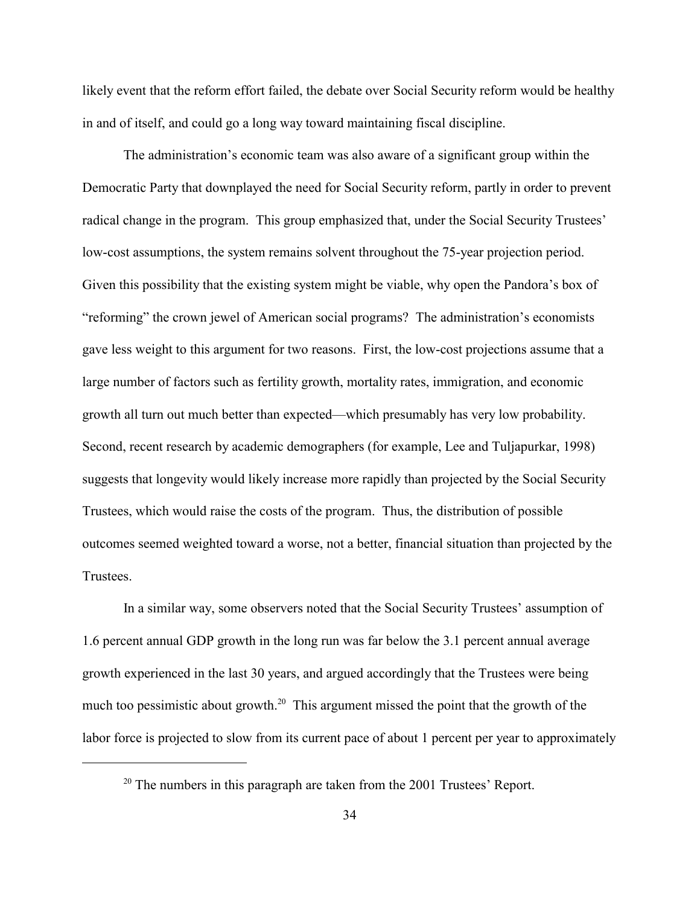likely event that the reform effort failed, the debate over Social Security reform would be healthy in and of itself, and could go a long way toward maintaining fiscal discipline.

The administration's economic team was also aware of a significant group within the Democratic Party that downplayed the need for Social Security reform, partly in order to prevent radical change in the program. This group emphasized that, under the Social Security Trustees' low-cost assumptions, the system remains solvent throughout the 75-year projection period. Given this possibility that the existing system might be viable, why open the Pandora's box of "reforming" the crown jewel of American social programs? The administration's economists gave less weight to this argument for two reasons. First, the low-cost projections assume that a large number of factors such as fertility growth, mortality rates, immigration, and economic growth all turn out much better than expected—which presumably has very low probability. Second, recent research by academic demographers (for example, Lee and Tuljapurkar, 1998) suggests that longevity would likely increase more rapidly than projected by the Social Security Trustees, which would raise the costs of the program. Thus, the distribution of possible outcomes seemed weighted toward a worse, not a better, financial situation than projected by the Trustees.

In a similar way, some observers noted that the Social Security Trustees' assumption of 1.6 percent annual GDP growth in the long run was far below the 3.1 percent annual average growth experienced in the last 30 years, and argued accordingly that the Trustees were being much too pessimistic about growth.<sup>20</sup> This argument missed the point that the growth of the labor force is projected to slow from its current pace of about 1 percent per year to approximately

 $20$  The numbers in this paragraph are taken from the 2001 Trustees' Report.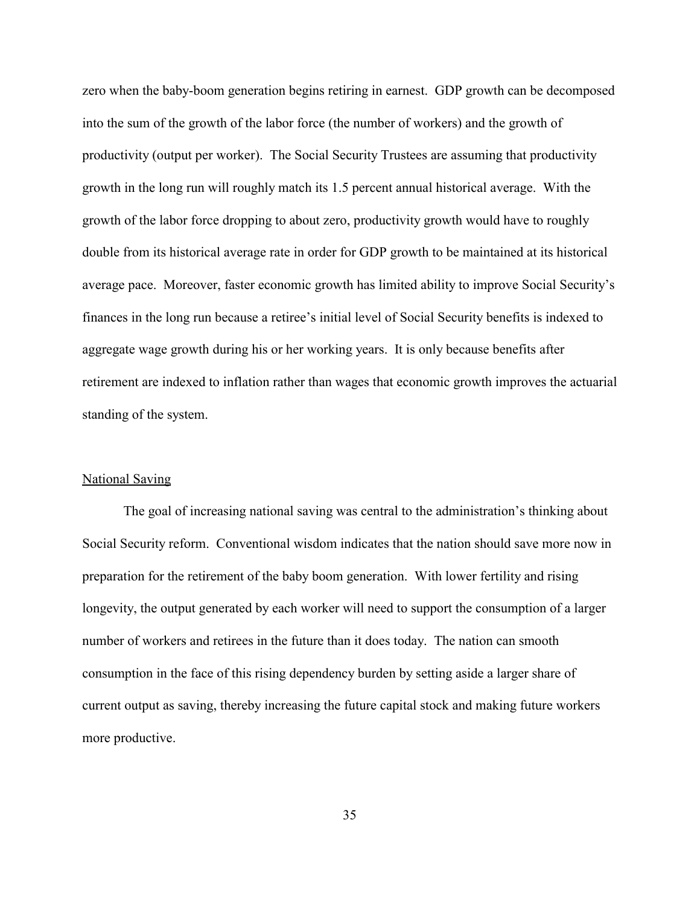zero when the baby-boom generation begins retiring in earnest. GDP growth can be decomposed into the sum of the growth of the labor force (the number of workers) and the growth of productivity (output per worker). The Social Security Trustees are assuming that productivity growth in the long run will roughly match its 1.5 percent annual historical average. With the growth of the labor force dropping to about zero, productivity growth would have to roughly double from its historical average rate in order for GDP growth to be maintained at its historical average pace. Moreover, faster economic growth has limited ability to improve Social Security's finances in the long run because a retiree's initial level of Social Security benefits is indexed to aggregate wage growth during his or her working years. It is only because benefits after retirement are indexed to inflation rather than wages that economic growth improves the actuarial standing of the system.

# National Saving

The goal of increasing national saving was central to the administration's thinking about Social Security reform. Conventional wisdom indicates that the nation should save more now in preparation for the retirement of the baby boom generation. With lower fertility and rising longevity, the output generated by each worker will need to support the consumption of a larger number of workers and retirees in the future than it does today. The nation can smooth consumption in the face of this rising dependency burden by setting aside a larger share of current output as saving, thereby increasing the future capital stock and making future workers more productive.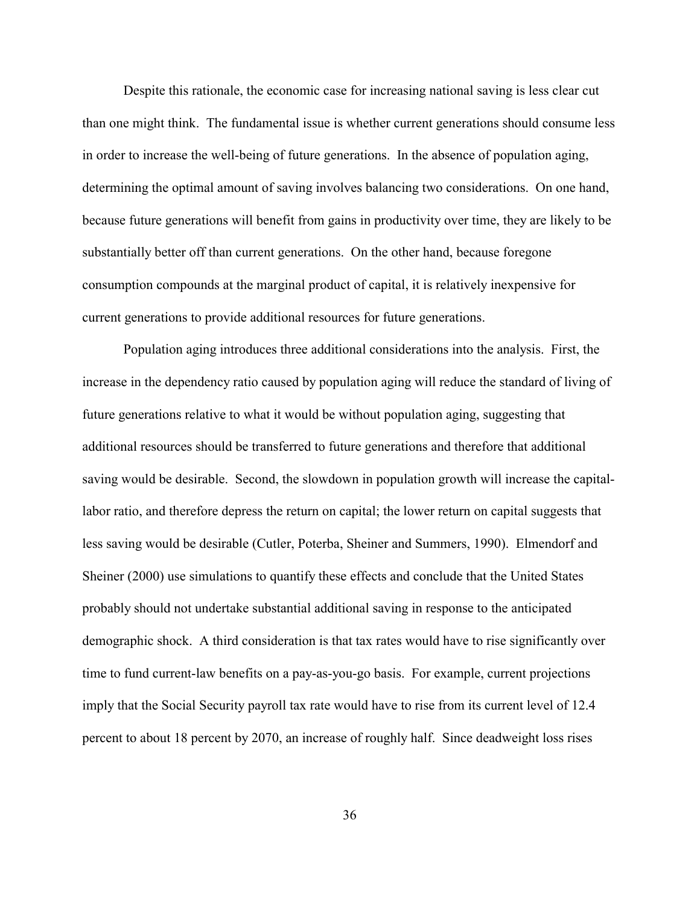Despite this rationale, the economic case for increasing national saving is less clear cut than one might think. The fundamental issue is whether current generations should consume less in order to increase the well-being of future generations. In the absence of population aging, determining the optimal amount of saving involves balancing two considerations. On one hand, because future generations will benefit from gains in productivity over time, they are likely to be substantially better off than current generations. On the other hand, because foregone consumption compounds at the marginal product of capital, it is relatively inexpensive for current generations to provide additional resources for future generations.

Population aging introduces three additional considerations into the analysis. First, the increase in the dependency ratio caused by population aging will reduce the standard of living of future generations relative to what it would be without population aging, suggesting that additional resources should be transferred to future generations and therefore that additional saving would be desirable. Second, the slowdown in population growth will increase the capitallabor ratio, and therefore depress the return on capital; the lower return on capital suggests that less saving would be desirable (Cutler, Poterba, Sheiner and Summers, 1990). Elmendorf and Sheiner (2000) use simulations to quantify these effects and conclude that the United States probably should not undertake substantial additional saving in response to the anticipated demographic shock. A third consideration is that tax rates would have to rise significantly over time to fund current-law benefits on a pay-as-you-go basis. For example, current projections imply that the Social Security payroll tax rate would have to rise from its current level of 12.4 percent to about 18 percent by 2070, an increase of roughly half. Since deadweight loss rises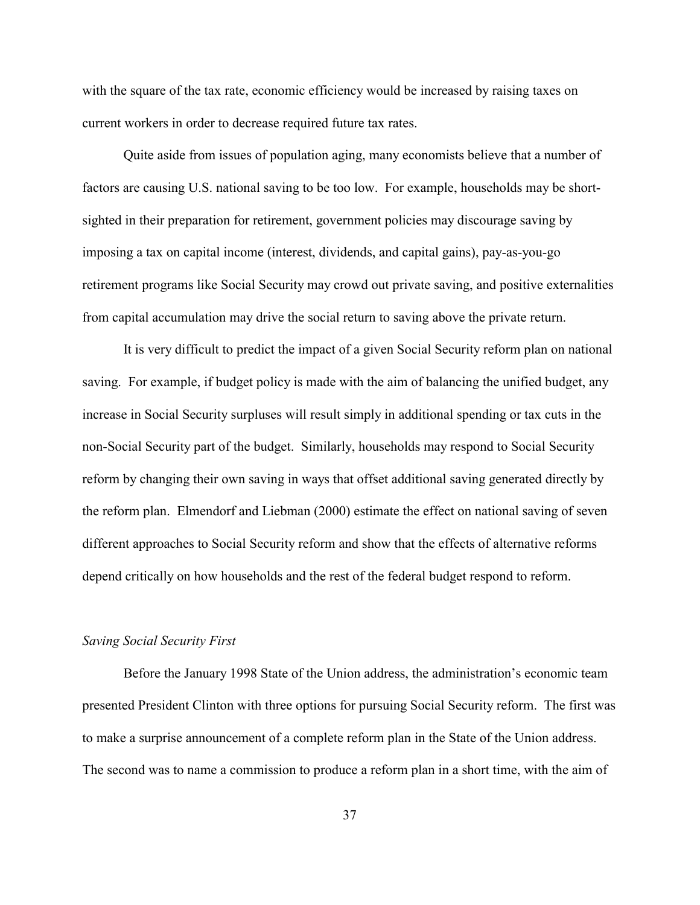with the square of the tax rate, economic efficiency would be increased by raising taxes on current workers in order to decrease required future tax rates.

Quite aside from issues of population aging, many economists believe that a number of factors are causing U.S. national saving to be too low. For example, households may be shortsighted in their preparation for retirement, government policies may discourage saving by imposing a tax on capital income (interest, dividends, and capital gains), pay-as-you-go retirement programs like Social Security may crowd out private saving, and positive externalities from capital accumulation may drive the social return to saving above the private return.

It is very difficult to predict the impact of a given Social Security reform plan on national saving. For example, if budget policy is made with the aim of balancing the unified budget, any increase in Social Security surpluses will result simply in additional spending or tax cuts in the non-Social Security part of the budget. Similarly, households may respond to Social Security reform by changing their own saving in ways that offset additional saving generated directly by the reform plan. Elmendorf and Liebman (2000) estimate the effect on national saving of seven different approaches to Social Security reform and show that the effects of alternative reforms depend critically on how households and the rest of the federal budget respond to reform.

## *Saving Social Security First*

Before the January 1998 State of the Union address, the administration's economic team presented President Clinton with three options for pursuing Social Security reform. The first was to make a surprise announcement of a complete reform plan in the State of the Union address. The second was to name a commission to produce a reform plan in a short time, with the aim of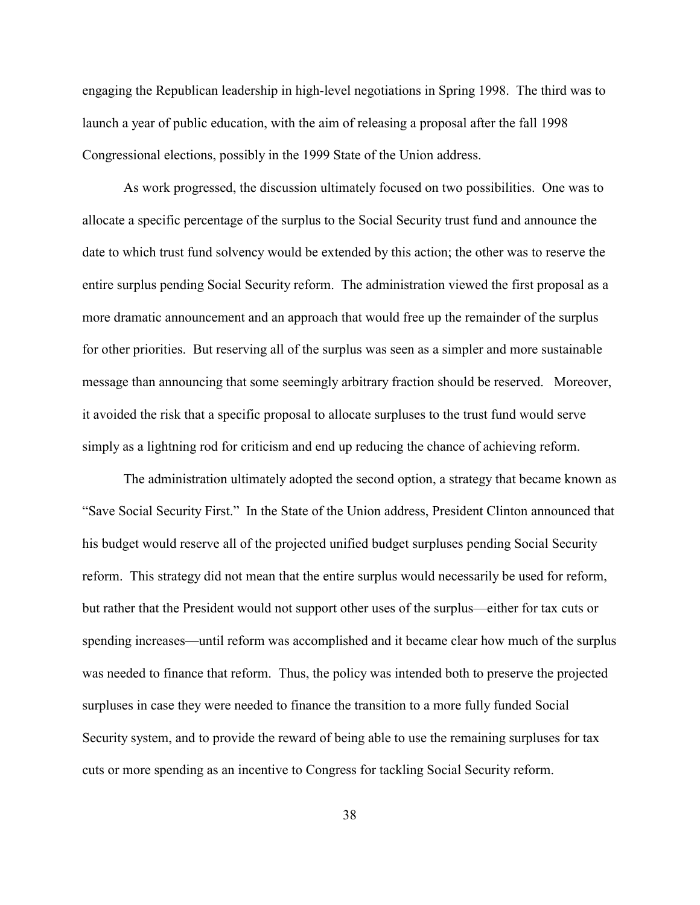engaging the Republican leadership in high-level negotiations in Spring 1998. The third was to launch a year of public education, with the aim of releasing a proposal after the fall 1998 Congressional elections, possibly in the 1999 State of the Union address.

As work progressed, the discussion ultimately focused on two possibilities. One was to allocate a specific percentage of the surplus to the Social Security trust fund and announce the date to which trust fund solvency would be extended by this action; the other was to reserve the entire surplus pending Social Security reform. The administration viewed the first proposal as a more dramatic announcement and an approach that would free up the remainder of the surplus for other priorities. But reserving all of the surplus was seen as a simpler and more sustainable message than announcing that some seemingly arbitrary fraction should be reserved. Moreover, it avoided the risk that a specific proposal to allocate surpluses to the trust fund would serve simply as a lightning rod for criticism and end up reducing the chance of achieving reform.

The administration ultimately adopted the second option, a strategy that became known as ìSave Social Security First.î In the State of the Union address, President Clinton announced that his budget would reserve all of the projected unified budget surpluses pending Social Security reform. This strategy did not mean that the entire surplus would necessarily be used for reform, but rather that the President would not support other uses of the surplus—either for tax cuts or spending increases—until reform was accomplished and it became clear how much of the surplus was needed to finance that reform. Thus, the policy was intended both to preserve the projected surpluses in case they were needed to finance the transition to a more fully funded Social Security system, and to provide the reward of being able to use the remaining surpluses for tax cuts or more spending as an incentive to Congress for tackling Social Security reform.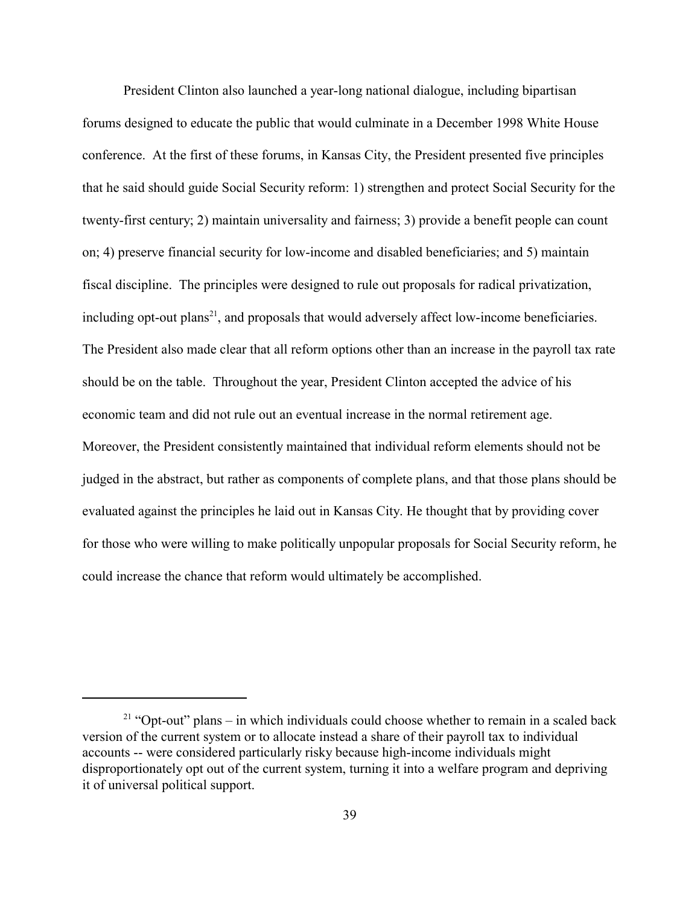President Clinton also launched a year-long national dialogue, including bipartisan forums designed to educate the public that would culminate in a December 1998 White House conference. At the first of these forums, in Kansas City, the President presented five principles that he said should guide Social Security reform: 1) strengthen and protect Social Security for the twenty-first century; 2) maintain universality and fairness; 3) provide a benefit people can count on; 4) preserve financial security for low-income and disabled beneficiaries; and 5) maintain fiscal discipline. The principles were designed to rule out proposals for radical privatization, including opt-out plans<sup>21</sup>, and proposals that would adversely affect low-income beneficiaries. The President also made clear that all reform options other than an increase in the payroll tax rate should be on the table. Throughout the year, President Clinton accepted the advice of his economic team and did not rule out an eventual increase in the normal retirement age. Moreover, the President consistently maintained that individual reform elements should not be judged in the abstract, but rather as components of complete plans, and that those plans should be evaluated against the principles he laid out in Kansas City. He thought that by providing cover for those who were willing to make politically unpopular proposals for Social Security reform, he could increase the chance that reform would ultimately be accomplished.

<sup>&</sup>lt;sup>21</sup> "Opt-out" plans – in which individuals could choose whether to remain in a scaled back version of the current system or to allocate instead a share of their payroll tax to individual accounts -- were considered particularly risky because high-income individuals might disproportionately opt out of the current system, turning it into a welfare program and depriving it of universal political support.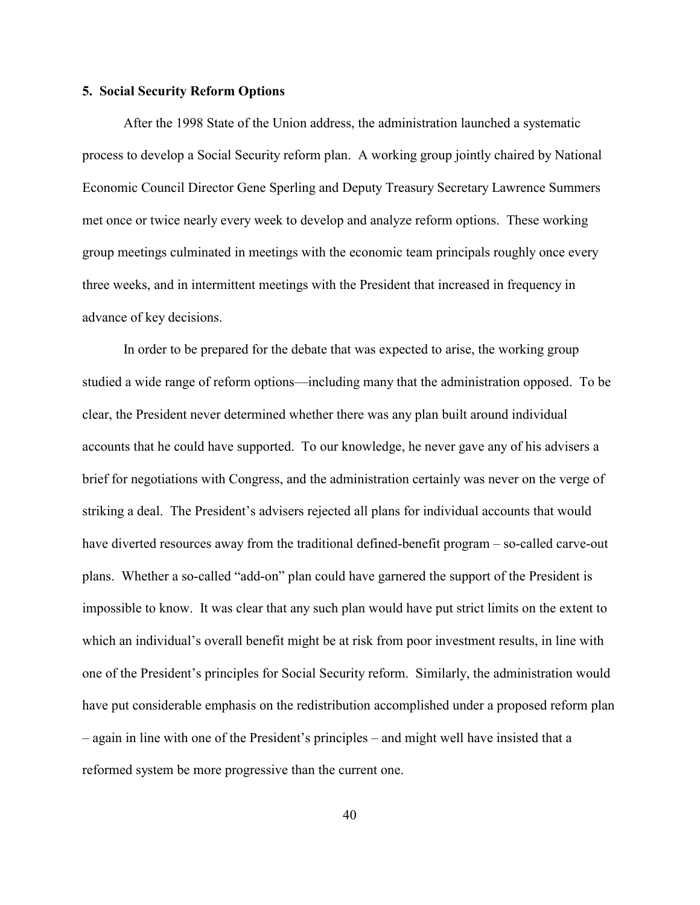## **5. Social Security Reform Options**

After the 1998 State of the Union address, the administration launched a systematic process to develop a Social Security reform plan. A working group jointly chaired by National Economic Council Director Gene Sperling and Deputy Treasury Secretary Lawrence Summers met once or twice nearly every week to develop and analyze reform options. These working group meetings culminated in meetings with the economic team principals roughly once every three weeks, and in intermittent meetings with the President that increased in frequency in advance of key decisions.

In order to be prepared for the debate that was expected to arise, the working group studied a wide range of reform options—including many that the administration opposed. To be clear, the President never determined whether there was any plan built around individual accounts that he could have supported. To our knowledge, he never gave any of his advisers a brief for negotiations with Congress, and the administration certainly was never on the verge of striking a deal. The President's advisers rejected all plans for individual accounts that would have diverted resources away from the traditional defined-benefit program – so-called carve-out plans. Whether a so-called "add-on" plan could have garnered the support of the President is impossible to know. It was clear that any such plan would have put strict limits on the extent to which an individual's overall benefit might be at risk from poor investment results, in line with one of the President's principles for Social Security reform. Similarly, the administration would have put considerable emphasis on the redistribution accomplished under a proposed reform plan – again in line with one of the President's principles – and might well have insisted that a reformed system be more progressive than the current one.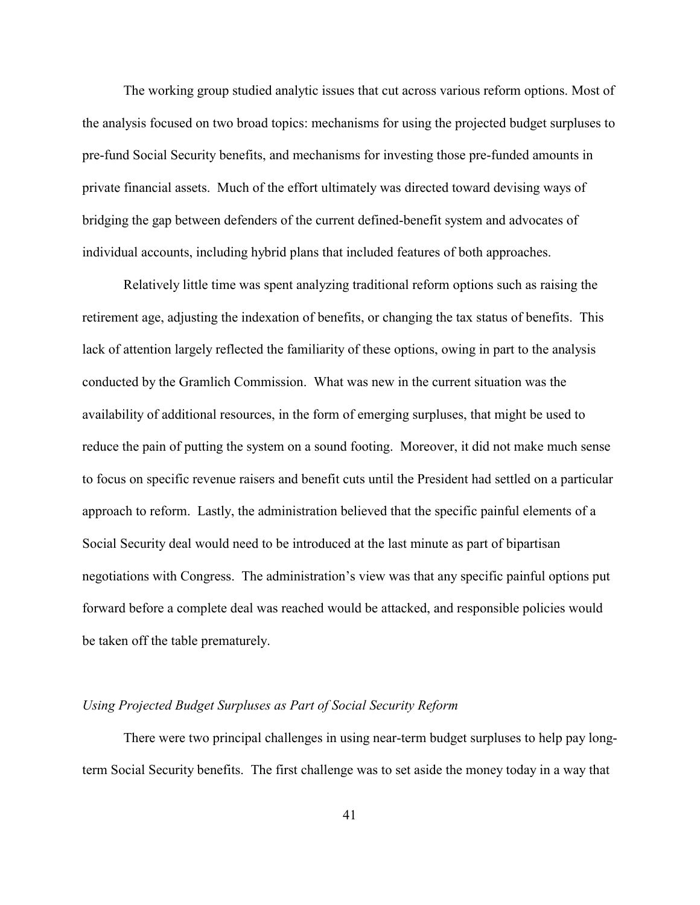The working group studied analytic issues that cut across various reform options. Most of the analysis focused on two broad topics: mechanisms for using the projected budget surpluses to pre-fund Social Security benefits, and mechanisms for investing those pre-funded amounts in private financial assets. Much of the effort ultimately was directed toward devising ways of bridging the gap between defenders of the current defined-benefit system and advocates of individual accounts, including hybrid plans that included features of both approaches.

Relatively little time was spent analyzing traditional reform options such as raising the retirement age, adjusting the indexation of benefits, or changing the tax status of benefits. This lack of attention largely reflected the familiarity of these options, owing in part to the analysis conducted by the Gramlich Commission. What was new in the current situation was the availability of additional resources, in the form of emerging surpluses, that might be used to reduce the pain of putting the system on a sound footing. Moreover, it did not make much sense to focus on specific revenue raisers and benefit cuts until the President had settled on a particular approach to reform. Lastly, the administration believed that the specific painful elements of a Social Security deal would need to be introduced at the last minute as part of bipartisan negotiations with Congress. The administration's view was that any specific painful options put forward before a complete deal was reached would be attacked, and responsible policies would be taken off the table prematurely.

### *Using Projected Budget Surpluses as Part of Social Security Reform*

There were two principal challenges in using near-term budget surpluses to help pay longterm Social Security benefits. The first challenge was to set aside the money today in a way that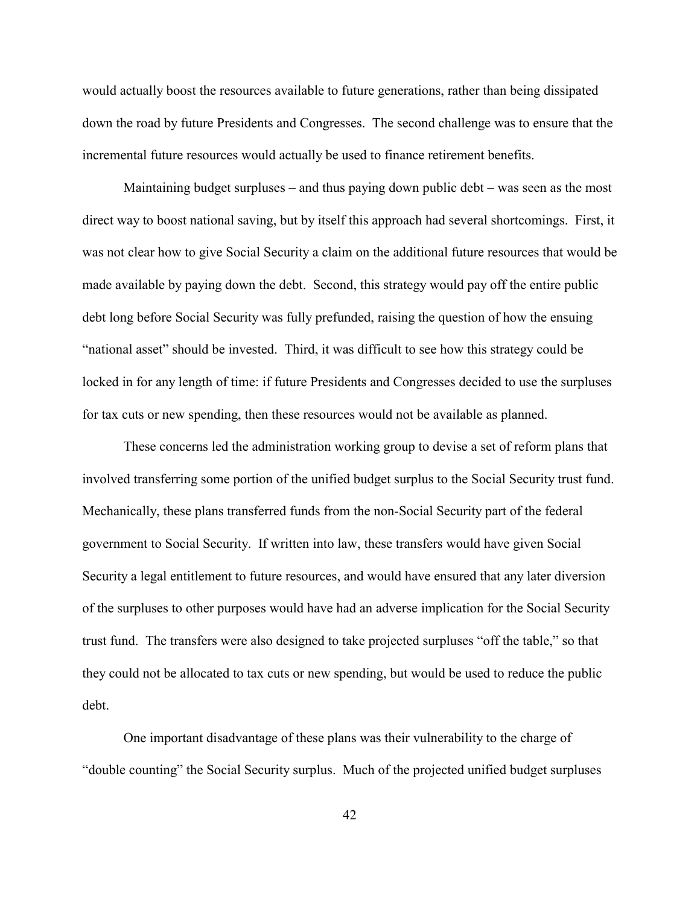would actually boost the resources available to future generations, rather than being dissipated down the road by future Presidents and Congresses. The second challenge was to ensure that the incremental future resources would actually be used to finance retirement benefits.

Maintaining budget surpluses  $-$  and thus paying down public debt  $-$  was seen as the most direct way to boost national saving, but by itself this approach had several shortcomings. First, it was not clear how to give Social Security a claim on the additional future resources that would be made available by paying down the debt. Second, this strategy would pay off the entire public debt long before Social Security was fully prefunded, raising the question of how the ensuing "national asset" should be invested. Third, it was difficult to see how this strategy could be locked in for any length of time: if future Presidents and Congresses decided to use the surpluses for tax cuts or new spending, then these resources would not be available as planned.

These concerns led the administration working group to devise a set of reform plans that involved transferring some portion of the unified budget surplus to the Social Security trust fund. Mechanically, these plans transferred funds from the non-Social Security part of the federal government to Social Security. If written into law, these transfers would have given Social Security a legal entitlement to future resources, and would have ensured that any later diversion of the surpluses to other purposes would have had an adverse implication for the Social Security trust fund. The transfers were also designed to take projected surpluses "off the table," so that they could not be allocated to tax cuts or new spending, but would be used to reduce the public debt.

One important disadvantage of these plans was their vulnerability to the charge of "double counting" the Social Security surplus. Much of the projected unified budget surpluses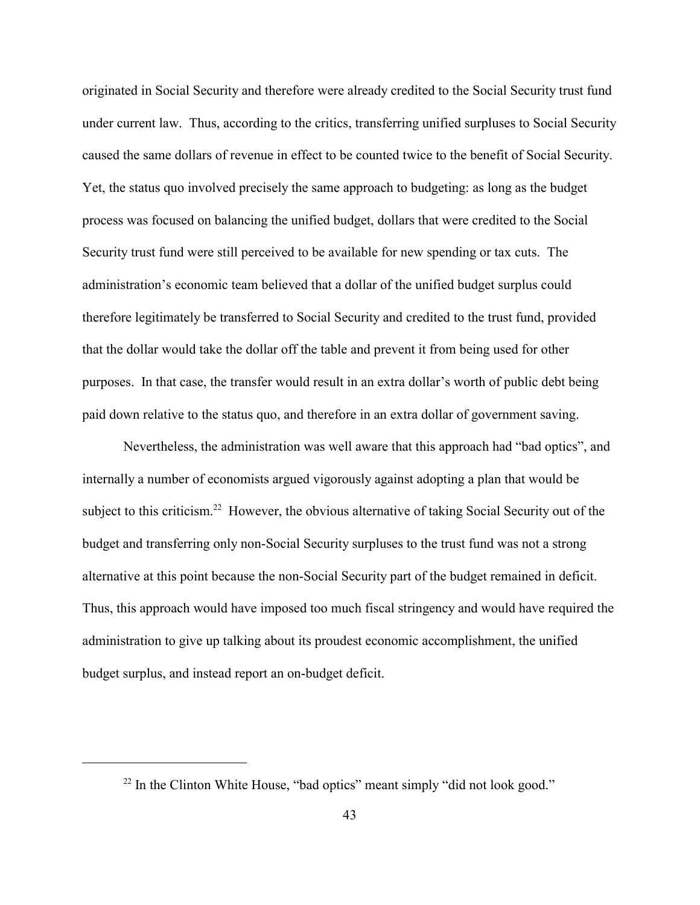originated in Social Security and therefore were already credited to the Social Security trust fund under current law. Thus, according to the critics, transferring unified surpluses to Social Security caused the same dollars of revenue in effect to be counted twice to the benefit of Social Security. Yet, the status quo involved precisely the same approach to budgeting: as long as the budget process was focused on balancing the unified budget, dollars that were credited to the Social Security trust fund were still perceived to be available for new spending or tax cuts. The administration's economic team believed that a dollar of the unified budget surplus could therefore legitimately be transferred to Social Security and credited to the trust fund, provided that the dollar would take the dollar off the table and prevent it from being used for other purposes. In that case, the transfer would result in an extra dollar's worth of public debt being paid down relative to the status quo, and therefore in an extra dollar of government saving.

Nevertheless, the administration was well aware that this approach had "bad optics", and internally a number of economists argued vigorously against adopting a plan that would be subject to this criticism.<sup>22</sup> However, the obvious alternative of taking Social Security out of the budget and transferring only non-Social Security surpluses to the trust fund was not a strong alternative at this point because the non-Social Security part of the budget remained in deficit. Thus, this approach would have imposed too much fiscal stringency and would have required the administration to give up talking about its proudest economic accomplishment, the unified budget surplus, and instead report an on-budget deficit.

 $22$  In the Clinton White House, "bad optics" meant simply "did not look good."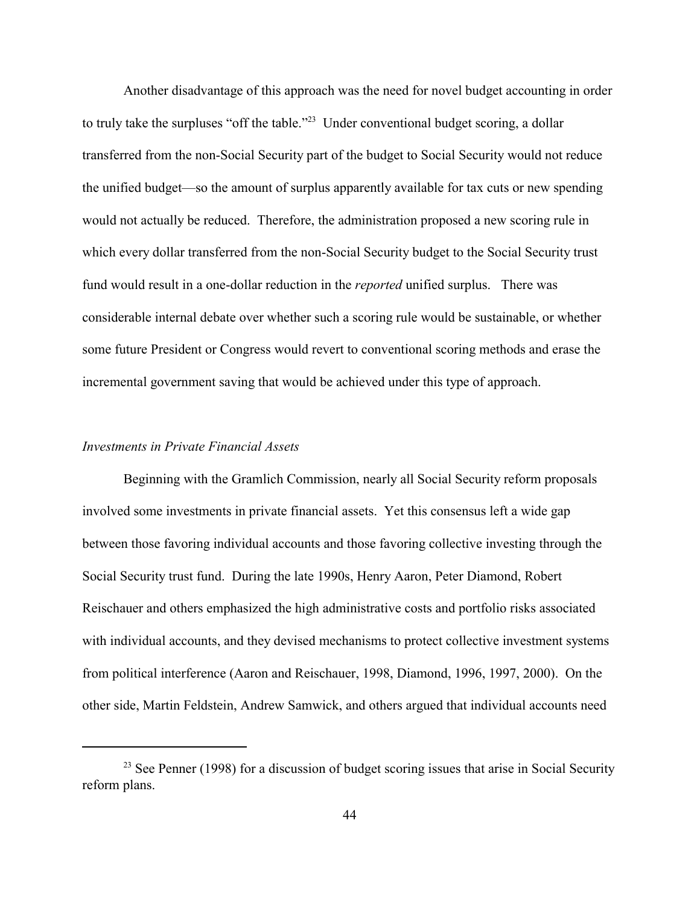Another disadvantage of this approach was the need for novel budget accounting in order to truly take the surpluses "off the table.<sup>223</sup> Under conventional budget scoring, a dollar transferred from the non-Social Security part of the budget to Social Security would not reduce the unified budget—so the amount of surplus apparently available for tax cuts or new spending would not actually be reduced. Therefore, the administration proposed a new scoring rule in which every dollar transferred from the non-Social Security budget to the Social Security trust fund would result in a one-dollar reduction in the *reported* unified surplus. There was considerable internal debate over whether such a scoring rule would be sustainable, or whether some future President or Congress would revert to conventional scoring methods and erase the incremental government saving that would be achieved under this type of approach.

# *Investments in Private Financial Assets*

Beginning with the Gramlich Commission, nearly all Social Security reform proposals involved some investments in private financial assets. Yet this consensus left a wide gap between those favoring individual accounts and those favoring collective investing through the Social Security trust fund. During the late 1990s, Henry Aaron, Peter Diamond, Robert Reischauer and others emphasized the high administrative costs and portfolio risks associated with individual accounts, and they devised mechanisms to protect collective investment systems from political interference (Aaron and Reischauer, 1998, Diamond, 1996, 1997, 2000). On the other side, Martin Feldstein, Andrew Samwick, and others argued that individual accounts need

 $23$  See Penner (1998) for a discussion of budget scoring issues that arise in Social Security reform plans.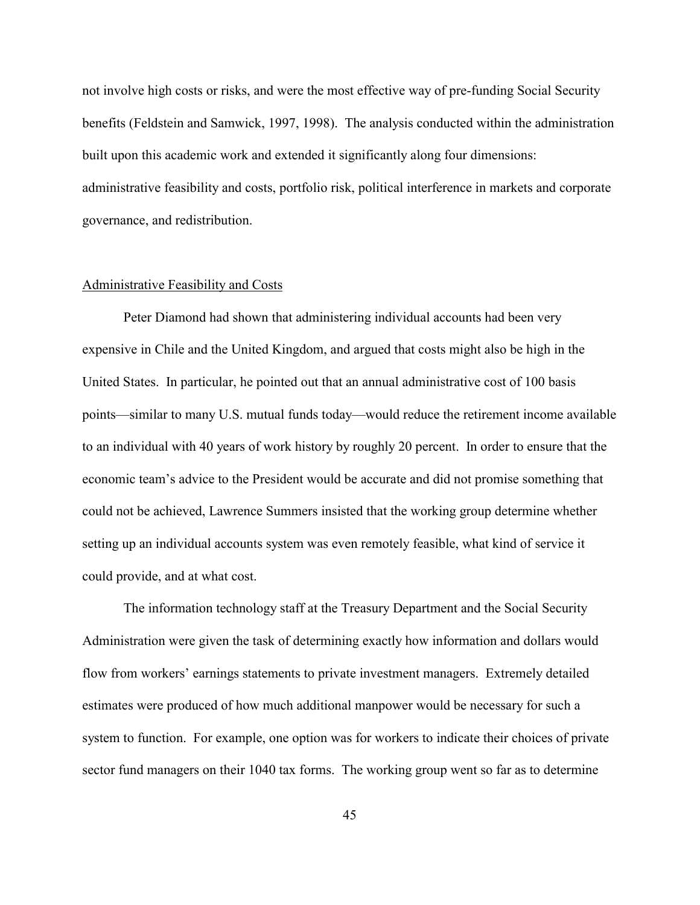not involve high costs or risks, and were the most effective way of pre-funding Social Security benefits (Feldstein and Samwick, 1997, 1998). The analysis conducted within the administration built upon this academic work and extended it significantly along four dimensions: administrative feasibility and costs, portfolio risk, political interference in markets and corporate governance, and redistribution.

## Administrative Feasibility and Costs

Peter Diamond had shown that administering individual accounts had been very expensive in Chile and the United Kingdom, and argued that costs might also be high in the United States. In particular, he pointed out that an annual administrative cost of 100 basis points—similar to many U.S. mutual funds today—would reduce the retirement income available to an individual with 40 years of work history by roughly 20 percent. In order to ensure that the economic teamís advice to the President would be accurate and did not promise something that could not be achieved, Lawrence Summers insisted that the working group determine whether setting up an individual accounts system was even remotely feasible, what kind of service it could provide, and at what cost.

The information technology staff at the Treasury Department and the Social Security Administration were given the task of determining exactly how information and dollars would flow from workers' earnings statements to private investment managers. Extremely detailed estimates were produced of how much additional manpower would be necessary for such a system to function. For example, one option was for workers to indicate their choices of private sector fund managers on their 1040 tax forms. The working group went so far as to determine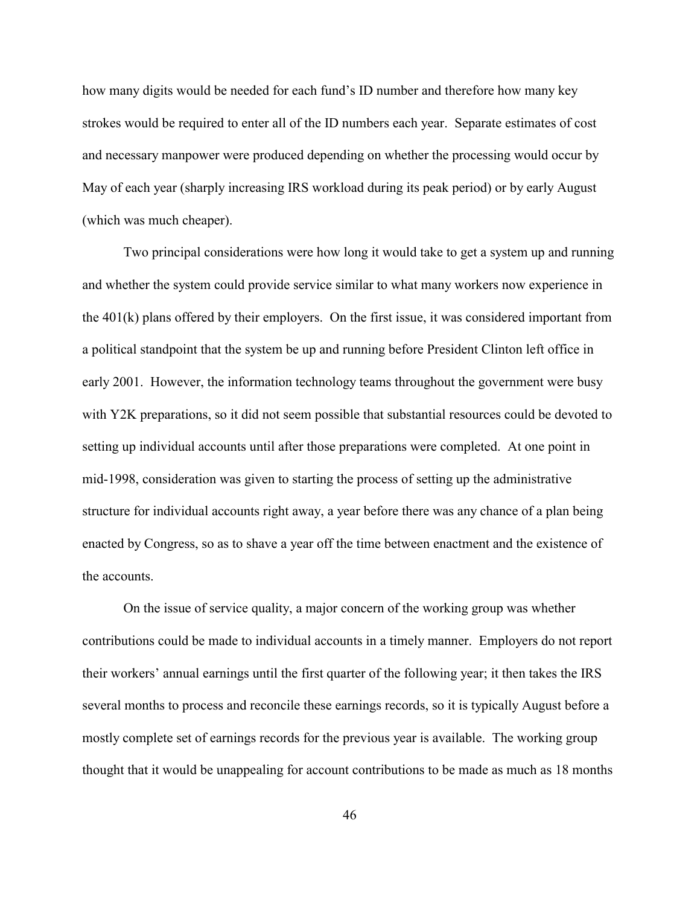how many digits would be needed for each fund's ID number and therefore how many key strokes would be required to enter all of the ID numbers each year. Separate estimates of cost and necessary manpower were produced depending on whether the processing would occur by May of each year (sharply increasing IRS workload during its peak period) or by early August (which was much cheaper).

Two principal considerations were how long it would take to get a system up and running and whether the system could provide service similar to what many workers now experience in the 401(k) plans offered by their employers. On the first issue, it was considered important from a political standpoint that the system be up and running before President Clinton left office in early 2001. However, the information technology teams throughout the government were busy with Y2K preparations, so it did not seem possible that substantial resources could be devoted to setting up individual accounts until after those preparations were completed. At one point in mid-1998, consideration was given to starting the process of setting up the administrative structure for individual accounts right away, a year before there was any chance of a plan being enacted by Congress, so as to shave a year off the time between enactment and the existence of the accounts.

On the issue of service quality, a major concern of the working group was whether contributions could be made to individual accounts in a timely manner. Employers do not report their workers' annual earnings until the first quarter of the following year; it then takes the IRS several months to process and reconcile these earnings records, so it is typically August before a mostly complete set of earnings records for the previous year is available. The working group thought that it would be unappealing for account contributions to be made as much as 18 months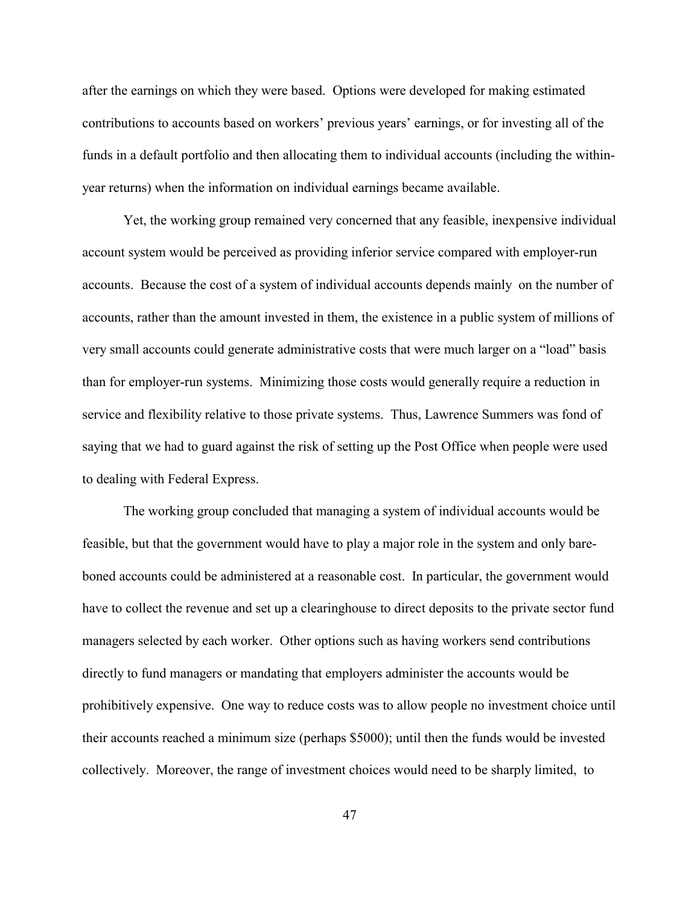after the earnings on which they were based. Options were developed for making estimated contributions to accounts based on workers' previous years' earnings, or for investing all of the funds in a default portfolio and then allocating them to individual accounts (including the withinyear returns) when the information on individual earnings became available.

Yet, the working group remained very concerned that any feasible, inexpensive individual account system would be perceived as providing inferior service compared with employer-run accounts. Because the cost of a system of individual accounts depends mainly on the number of accounts, rather than the amount invested in them, the existence in a public system of millions of very small accounts could generate administrative costs that were much larger on a "load" basis than for employer-run systems. Minimizing those costs would generally require a reduction in service and flexibility relative to those private systems. Thus, Lawrence Summers was fond of saying that we had to guard against the risk of setting up the Post Office when people were used to dealing with Federal Express.

The working group concluded that managing a system of individual accounts would be feasible, but that the government would have to play a major role in the system and only bareboned accounts could be administered at a reasonable cost. In particular, the government would have to collect the revenue and set up a clearinghouse to direct deposits to the private sector fund managers selected by each worker. Other options such as having workers send contributions directly to fund managers or mandating that employers administer the accounts would be prohibitively expensive. One way to reduce costs was to allow people no investment choice until their accounts reached a minimum size (perhaps \$5000); until then the funds would be invested collectively. Moreover, the range of investment choices would need to be sharply limited, to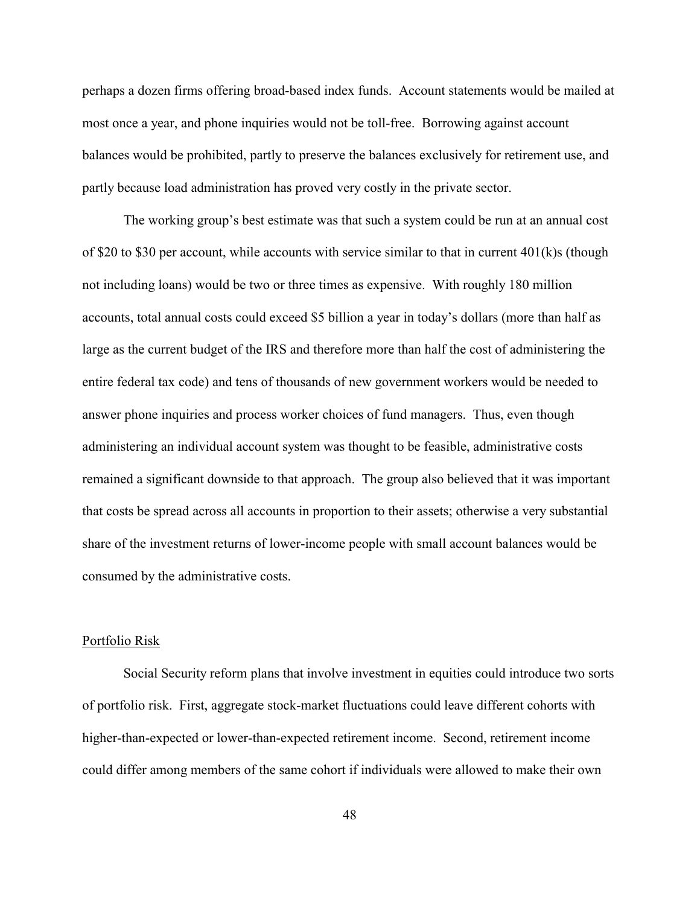perhaps a dozen firms offering broad-based index funds. Account statements would be mailed at most once a year, and phone inquiries would not be toll-free. Borrowing against account balances would be prohibited, partly to preserve the balances exclusively for retirement use, and partly because load administration has proved very costly in the private sector.

The working group's best estimate was that such a system could be run at an annual cost of \$20 to \$30 per account, while accounts with service similar to that in current  $401(k)s$  (though not including loans) would be two or three times as expensive. With roughly 180 million accounts, total annual costs could exceed \$5 billion a year in today's dollars (more than half as large as the current budget of the IRS and therefore more than half the cost of administering the entire federal tax code) and tens of thousands of new government workers would be needed to answer phone inquiries and process worker choices of fund managers. Thus, even though administering an individual account system was thought to be feasible, administrative costs remained a significant downside to that approach. The group also believed that it was important that costs be spread across all accounts in proportion to their assets; otherwise a very substantial share of the investment returns of lower-income people with small account balances would be consumed by the administrative costs.

## Portfolio Risk

Social Security reform plans that involve investment in equities could introduce two sorts of portfolio risk. First, aggregate stock-market fluctuations could leave different cohorts with higher-than-expected or lower-than-expected retirement income. Second, retirement income could differ among members of the same cohort if individuals were allowed to make their own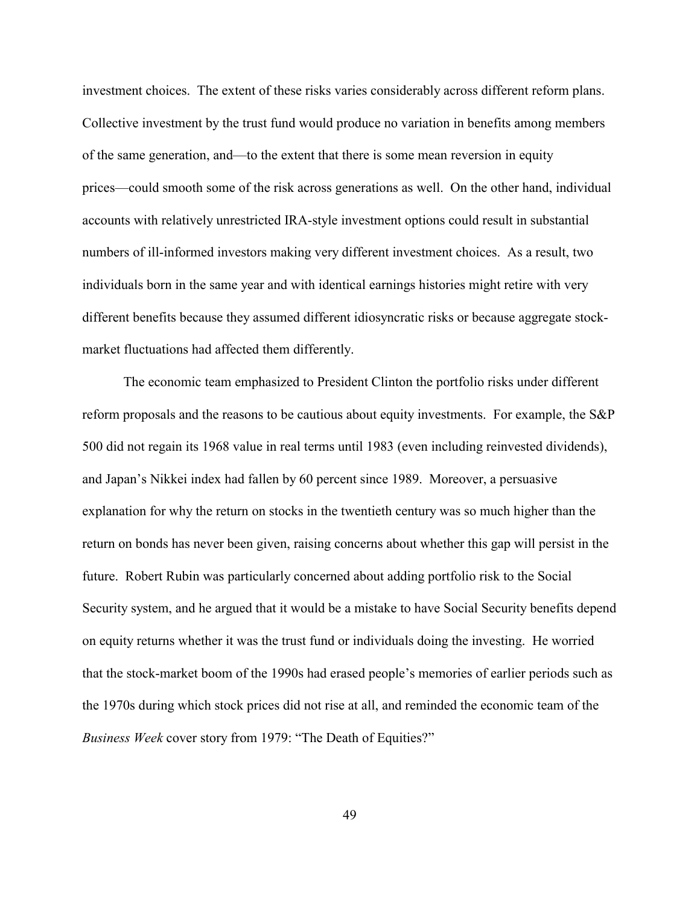investment choices. The extent of these risks varies considerably across different reform plans. Collective investment by the trust fund would produce no variation in benefits among members of the same generation, and—to the extent that there is some mean reversion in equity prices—could smooth some of the risk across generations as well. On the other hand, individual accounts with relatively unrestricted IRA-style investment options could result in substantial numbers of ill-informed investors making very different investment choices. As a result, two individuals born in the same year and with identical earnings histories might retire with very different benefits because they assumed different idiosyncratic risks or because aggregate stockmarket fluctuations had affected them differently.

The economic team emphasized to President Clinton the portfolio risks under different reform proposals and the reasons to be cautious about equity investments. For example, the S&P 500 did not regain its 1968 value in real terms until 1983 (even including reinvested dividends), and Japan's Nikkei index had fallen by 60 percent since 1989. Moreover, a persuasive explanation for why the return on stocks in the twentieth century was so much higher than the return on bonds has never been given, raising concerns about whether this gap will persist in the future. Robert Rubin was particularly concerned about adding portfolio risk to the Social Security system, and he argued that it would be a mistake to have Social Security benefits depend on equity returns whether it was the trust fund or individuals doing the investing. He worried that the stock-market boom of the 1990s had erased people's memories of earlier periods such as the 1970s during which stock prices did not rise at all, and reminded the economic team of the *Business Week* cover story from 1979: "The Death of Equities?"

49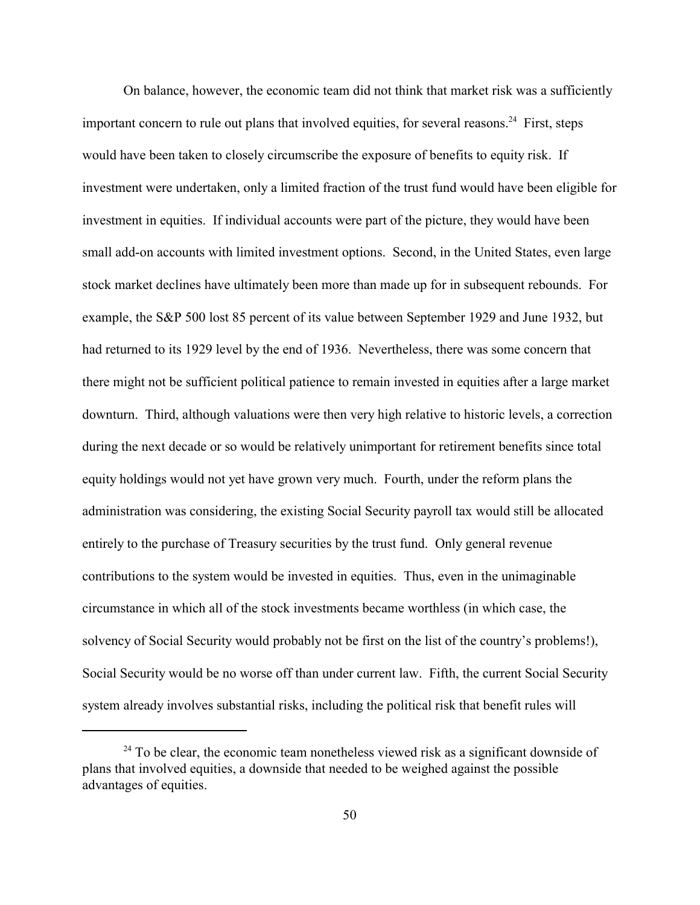On balance, however, the economic team did not think that market risk was a sufficiently important concern to rule out plans that involved equities, for several reasons.<sup>24</sup> First, steps would have been taken to closely circumscribe the exposure of benefits to equity risk. If investment were undertaken, only a limited fraction of the trust fund would have been eligible for investment in equities. If individual accounts were part of the picture, they would have been small add-on accounts with limited investment options. Second, in the United States, even large stock market declines have ultimately been more than made up for in subsequent rebounds. For example, the S&P 500 lost 85 percent of its value between September 1929 and June 1932, but had returned to its 1929 level by the end of 1936. Nevertheless, there was some concern that there might not be sufficient political patience to remain invested in equities after a large market downturn. Third, although valuations were then very high relative to historic levels, a correction during the next decade or so would be relatively unimportant for retirement benefits since total equity holdings would not yet have grown very much. Fourth, under the reform plans the administration was considering, the existing Social Security payroll tax would still be allocated entirely to the purchase of Treasury securities by the trust fund. Only general revenue contributions to the system would be invested in equities. Thus, even in the unimaginable circumstance in which all of the stock investments became worthless (in which case, the solvency of Social Security would probably not be first on the list of the country's problems!), Social Security would be no worse off than under current law. Fifth, the current Social Security system already involves substantial risks, including the political risk that benefit rules will

 $24$  To be clear, the economic team nonetheless viewed risk as a significant downside of plans that involved equities, a downside that needed to be weighed against the possible advantages of equities.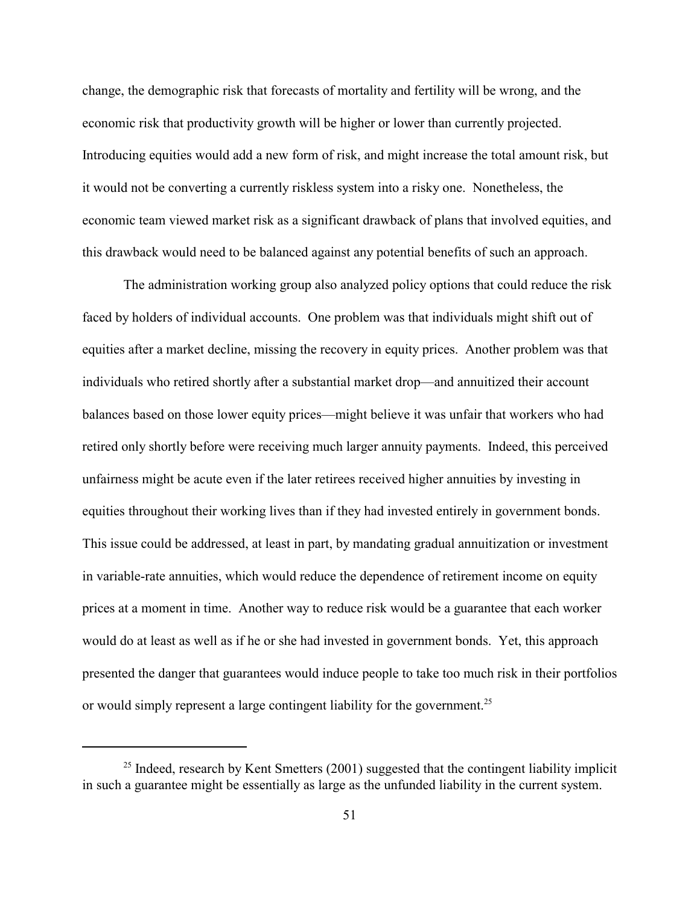change, the demographic risk that forecasts of mortality and fertility will be wrong, and the economic risk that productivity growth will be higher or lower than currently projected. Introducing equities would add a new form of risk, and might increase the total amount risk, but it would not be converting a currently riskless system into a risky one. Nonetheless, the economic team viewed market risk as a significant drawback of plans that involved equities, and this drawback would need to be balanced against any potential benefits of such an approach.

The administration working group also analyzed policy options that could reduce the risk faced by holders of individual accounts. One problem was that individuals might shift out of equities after a market decline, missing the recovery in equity prices. Another problem was that individuals who retired shortly after a substantial market drop—and annuitized their account balances based on those lower equity prices—might believe it was unfair that workers who had retired only shortly before were receiving much larger annuity payments. Indeed, this perceived unfairness might be acute even if the later retirees received higher annuities by investing in equities throughout their working lives than if they had invested entirely in government bonds. This issue could be addressed, at least in part, by mandating gradual annuitization or investment in variable-rate annuities, which would reduce the dependence of retirement income on equity prices at a moment in time. Another way to reduce risk would be a guarantee that each worker would do at least as well as if he or she had invested in government bonds. Yet, this approach presented the danger that guarantees would induce people to take too much risk in their portfolios or would simply represent a large contingent liability for the government.<sup>25</sup>

 $25$  Indeed, research by Kent Smetters (2001) suggested that the contingent liability implicit in such a guarantee might be essentially as large as the unfunded liability in the current system.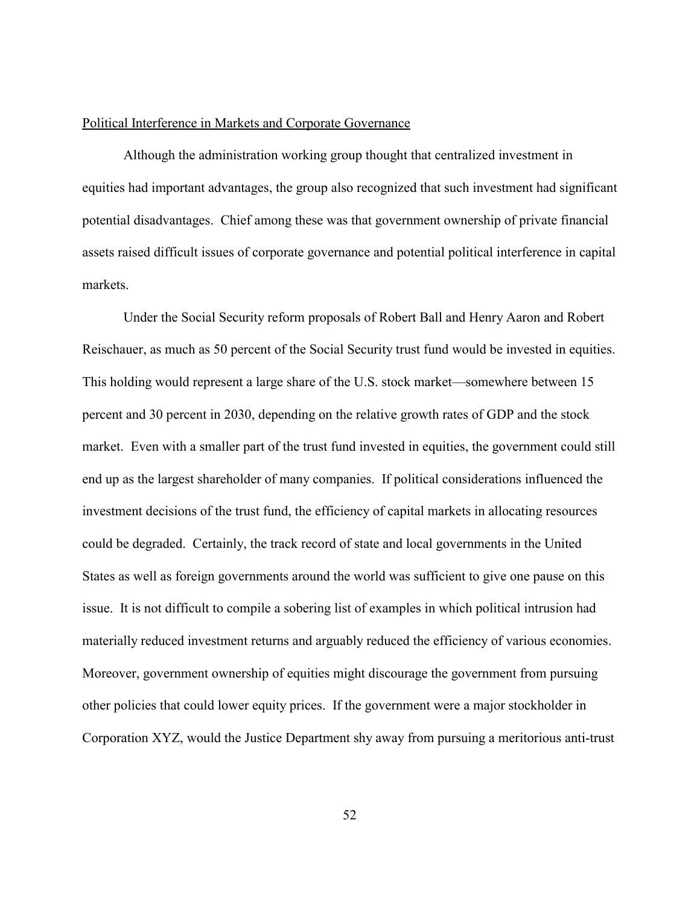#### Political Interference in Markets and Corporate Governance

Although the administration working group thought that centralized investment in equities had important advantages, the group also recognized that such investment had significant potential disadvantages. Chief among these was that government ownership of private financial assets raised difficult issues of corporate governance and potential political interference in capital markets.

Under the Social Security reform proposals of Robert Ball and Henry Aaron and Robert Reischauer, as much as 50 percent of the Social Security trust fund would be invested in equities. This holding would represent a large share of the U.S. stock market—somewhere between 15 percent and 30 percent in 2030, depending on the relative growth rates of GDP and the stock market. Even with a smaller part of the trust fund invested in equities, the government could still end up as the largest shareholder of many companies. If political considerations influenced the investment decisions of the trust fund, the efficiency of capital markets in allocating resources could be degraded. Certainly, the track record of state and local governments in the United States as well as foreign governments around the world was sufficient to give one pause on this issue. It is not difficult to compile a sobering list of examples in which political intrusion had materially reduced investment returns and arguably reduced the efficiency of various economies. Moreover, government ownership of equities might discourage the government from pursuing other policies that could lower equity prices. If the government were a major stockholder in Corporation XYZ, would the Justice Department shy away from pursuing a meritorious anti-trust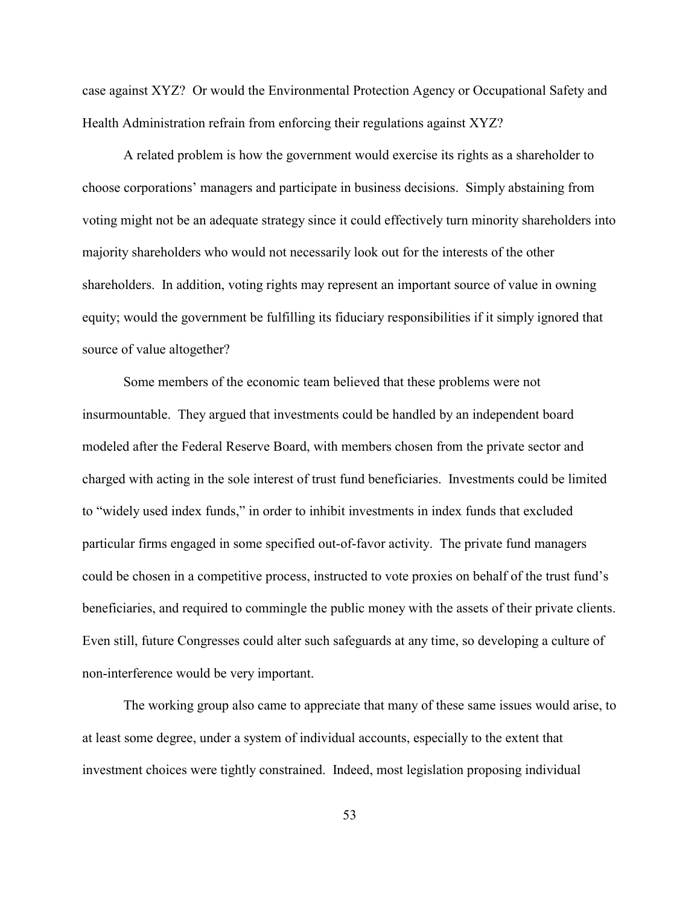case against XYZ? Or would the Environmental Protection Agency or Occupational Safety and Health Administration refrain from enforcing their regulations against XYZ?

A related problem is how the government would exercise its rights as a shareholder to choose corporations' managers and participate in business decisions. Simply abstaining from voting might not be an adequate strategy since it could effectively turn minority shareholders into majority shareholders who would not necessarily look out for the interests of the other shareholders. In addition, voting rights may represent an important source of value in owning equity; would the government be fulfilling its fiduciary responsibilities if it simply ignored that source of value altogether?

Some members of the economic team believed that these problems were not insurmountable. They argued that investments could be handled by an independent board modeled after the Federal Reserve Board, with members chosen from the private sector and charged with acting in the sole interest of trust fund beneficiaries. Investments could be limited to "widely used index funds," in order to inhibit investments in index funds that excluded particular firms engaged in some specified out-of-favor activity. The private fund managers could be chosen in a competitive process, instructed to vote proxies on behalf of the trust fund's beneficiaries, and required to commingle the public money with the assets of their private clients. Even still, future Congresses could alter such safeguards at any time, so developing a culture of non-interference would be very important.

The working group also came to appreciate that many of these same issues would arise, to at least some degree, under a system of individual accounts, especially to the extent that investment choices were tightly constrained. Indeed, most legislation proposing individual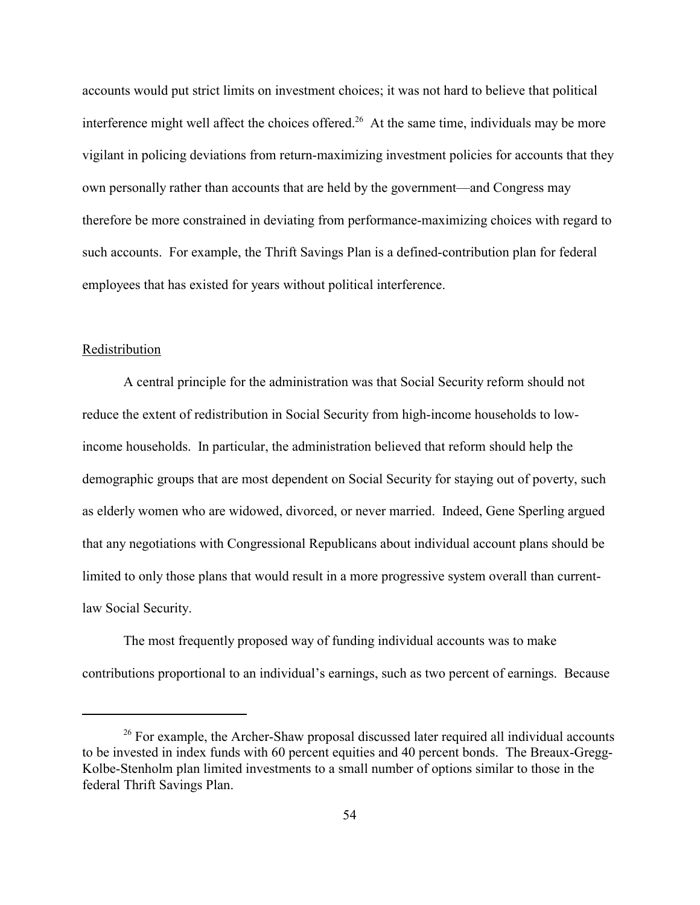accounts would put strict limits on investment choices; it was not hard to believe that political interference might well affect the choices offered.<sup>26</sup> At the same time, individuals may be more vigilant in policing deviations from return-maximizing investment policies for accounts that they own personally rather than accounts that are held by the government—and Congress may therefore be more constrained in deviating from performance-maximizing choices with regard to such accounts. For example, the Thrift Savings Plan is a defined-contribution plan for federal employees that has existed for years without political interference.

#### Redistribution

A central principle for the administration was that Social Security reform should not reduce the extent of redistribution in Social Security from high-income households to lowincome households. In particular, the administration believed that reform should help the demographic groups that are most dependent on Social Security for staying out of poverty, such as elderly women who are widowed, divorced, or never married. Indeed, Gene Sperling argued that any negotiations with Congressional Republicans about individual account plans should be limited to only those plans that would result in a more progressive system overall than currentlaw Social Security.

The most frequently proposed way of funding individual accounts was to make contributions proportional to an individual's earnings, such as two percent of earnings. Because

<sup>&</sup>lt;sup>26</sup> For example, the Archer-Shaw proposal discussed later required all individual accounts to be invested in index funds with 60 percent equities and 40 percent bonds. The Breaux-Gregg-Kolbe-Stenholm plan limited investments to a small number of options similar to those in the federal Thrift Savings Plan.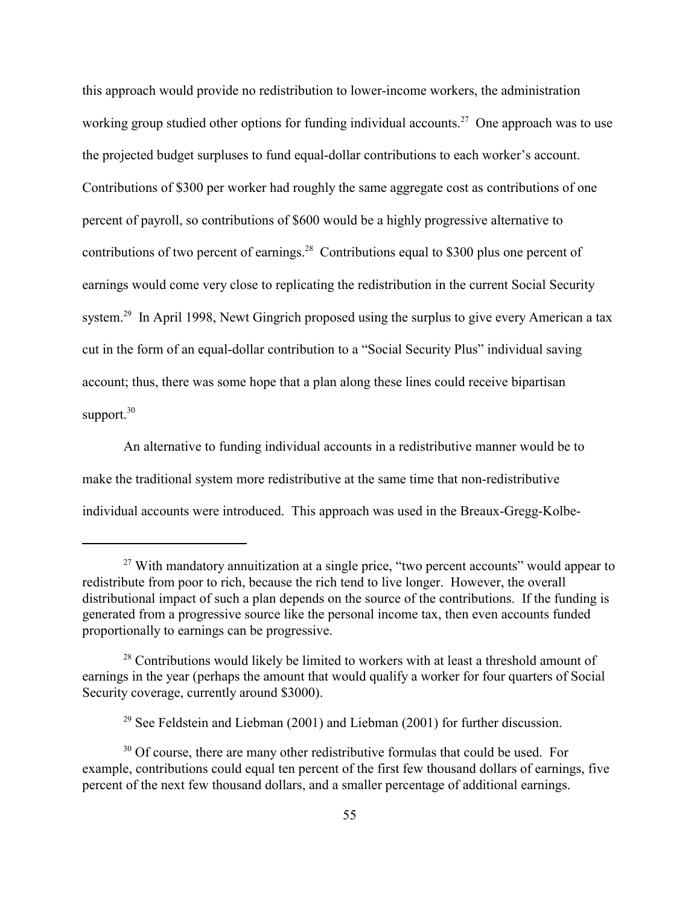this approach would provide no redistribution to lower-income workers, the administration working group studied other options for funding individual accounts.<sup>27</sup> One approach was to use the projected budget surpluses to fund equal-dollar contributions to each worker's account. Contributions of \$300 per worker had roughly the same aggregate cost as contributions of one percent of payroll, so contributions of \$600 would be a highly progressive alternative to contributions of two percent of earnings.<sup>28</sup> Contributions equal to \$300 plus one percent of earnings would come very close to replicating the redistribution in the current Social Security system.<sup>29</sup> In April 1998, Newt Gingrich proposed using the surplus to give every American a tax cut in the form of an equal-dollar contribution to a "Social Security Plus" individual saving account; thus, there was some hope that a plan along these lines could receive bipartisan support. $30$ 

An alternative to funding individual accounts in a redistributive manner would be to make the traditional system more redistributive at the same time that non-redistributive individual accounts were introduced. This approach was used in the Breaux-Gregg-Kolbe-

 $27$  With mandatory annuitization at a single price, "two percent accounts" would appear to redistribute from poor to rich, because the rich tend to live longer. However, the overall distributional impact of such a plan depends on the source of the contributions. If the funding is generated from a progressive source like the personal income tax, then even accounts funded proportionally to earnings can be progressive.

<sup>&</sup>lt;sup>28</sup> Contributions would likely be limited to workers with at least a threshold amount of earnings in the year (perhaps the amount that would qualify a worker for four quarters of Social Security coverage, currently around \$3000).

<sup>&</sup>lt;sup>29</sup> See Feldstein and Liebman (2001) and Liebman (2001) for further discussion.

<sup>&</sup>lt;sup>30</sup> Of course, there are many other redistributive formulas that could be used. For example, contributions could equal ten percent of the first few thousand dollars of earnings, five percent of the next few thousand dollars, and a smaller percentage of additional earnings.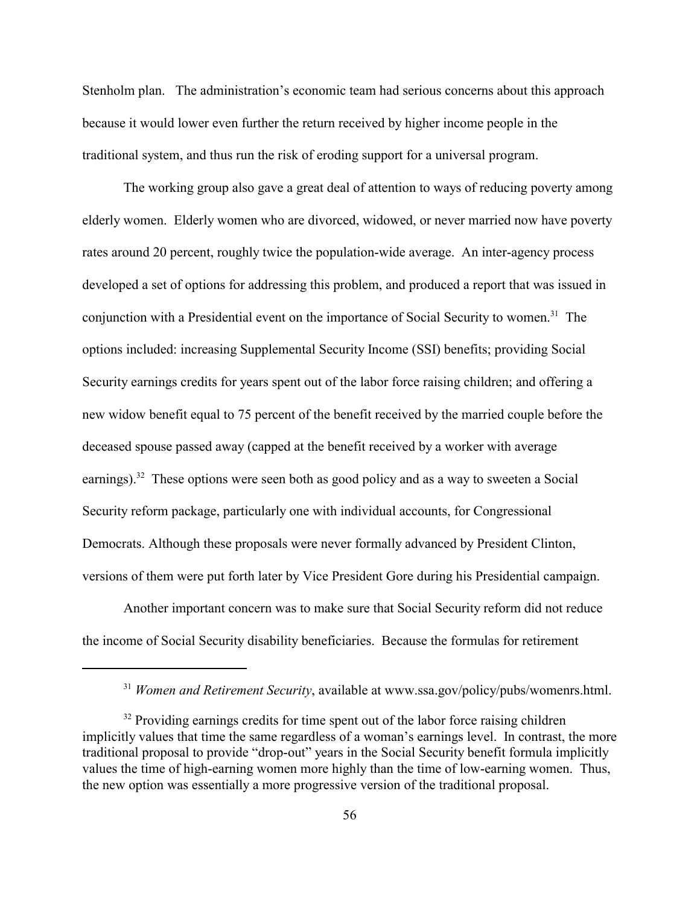Stenholm plan. The administration's economic team had serious concerns about this approach because it would lower even further the return received by higher income people in the traditional system, and thus run the risk of eroding support for a universal program.

The working group also gave a great deal of attention to ways of reducing poverty among elderly women. Elderly women who are divorced, widowed, or never married now have poverty rates around 20 percent, roughly twice the population-wide average. An inter-agency process developed a set of options for addressing this problem, and produced a report that was issued in conjunction with a Presidential event on the importance of Social Security to women.<sup>31</sup> The options included: increasing Supplemental Security Income (SSI) benefits; providing Social Security earnings credits for years spent out of the labor force raising children; and offering a new widow benefit equal to 75 percent of the benefit received by the married couple before the deceased spouse passed away (capped at the benefit received by a worker with average earnings).<sup>32</sup> These options were seen both as good policy and as a way to sweeten a Social Security reform package, particularly one with individual accounts, for Congressional Democrats. Although these proposals were never formally advanced by President Clinton, versions of them were put forth later by Vice President Gore during his Presidential campaign.

Another important concern was to make sure that Social Security reform did not reduce the income of Social Security disability beneficiaries. Because the formulas for retirement

<sup>31</sup> *Women and Retirement Security*, available at www.ssa.gov/policy/pubs/womenrs.html.

<sup>&</sup>lt;sup>32</sup> Providing earnings credits for time spent out of the labor force raising children implicitly values that time the same regardless of a woman's earnings level. In contrast, the more traditional proposal to provide "drop-out" years in the Social Security benefit formula implicitly values the time of high-earning women more highly than the time of low-earning women. Thus, the new option was essentially a more progressive version of the traditional proposal.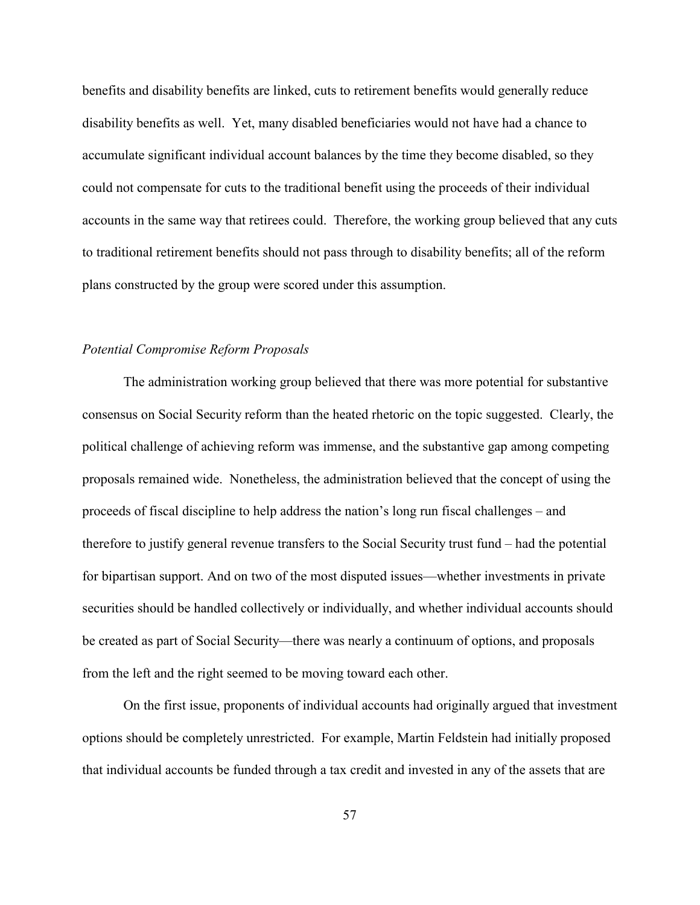benefits and disability benefits are linked, cuts to retirement benefits would generally reduce disability benefits as well. Yet, many disabled beneficiaries would not have had a chance to accumulate significant individual account balances by the time they become disabled, so they could not compensate for cuts to the traditional benefit using the proceeds of their individual accounts in the same way that retirees could. Therefore, the working group believed that any cuts to traditional retirement benefits should not pass through to disability benefits; all of the reform plans constructed by the group were scored under this assumption.

#### *Potential Compromise Reform Proposals*

The administration working group believed that there was more potential for substantive consensus on Social Security reform than the heated rhetoric on the topic suggested. Clearly, the political challenge of achieving reform was immense, and the substantive gap among competing proposals remained wide. Nonetheless, the administration believed that the concept of using the proceeds of fiscal discipline to help address the nation's long run fiscal challenges  $-$  and therefore to justify general revenue transfers to the Social Security trust fund – had the potential for bipartisan support. And on two of the most disputed issues—whether investments in private securities should be handled collectively or individually, and whether individual accounts should be created as part of Social Security—there was nearly a continuum of options, and proposals from the left and the right seemed to be moving toward each other.

On the first issue, proponents of individual accounts had originally argued that investment options should be completely unrestricted. For example, Martin Feldstein had initially proposed that individual accounts be funded through a tax credit and invested in any of the assets that are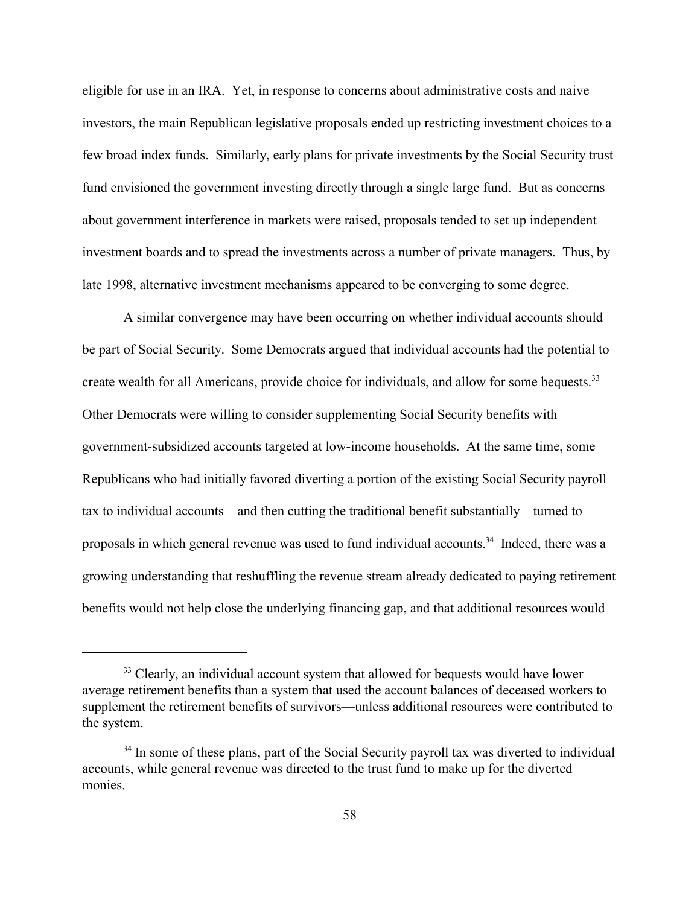eligible for use in an IRA. Yet, in response to concerns about administrative costs and naive investors, the main Republican legislative proposals ended up restricting investment choices to a few broad index funds. Similarly, early plans for private investments by the Social Security trust fund envisioned the government investing directly through a single large fund. But as concerns about government interference in markets were raised, proposals tended to set up independent investment boards and to spread the investments across a number of private managers. Thus, by late 1998, alternative investment mechanisms appeared to be converging to some degree.

A similar convergence may have been occurring on whether individual accounts should be part of Social Security. Some Democrats argued that individual accounts had the potential to create wealth for all Americans, provide choice for individuals, and allow for some bequests.<sup>33</sup> Other Democrats were willing to consider supplementing Social Security benefits with government-subsidized accounts targeted at low-income households. At the same time, some Republicans who had initially favored diverting a portion of the existing Social Security payroll tax to individual accounts—and then cutting the traditional benefit substantially—turned to proposals in which general revenue was used to fund individual accounts.<sup>34</sup> Indeed, there was a growing understanding that reshuffling the revenue stream already dedicated to paying retirement benefits would not help close the underlying financing gap, and that additional resources would

 $33$  Clearly, an individual account system that allowed for bequests would have lower average retirement benefits than a system that used the account balances of deceased workers to supplement the retirement benefits of survivors—unless additional resources were contributed to the system.

<sup>&</sup>lt;sup>34</sup> In some of these plans, part of the Social Security payroll tax was diverted to individual accounts, while general revenue was directed to the trust fund to make up for the diverted monies.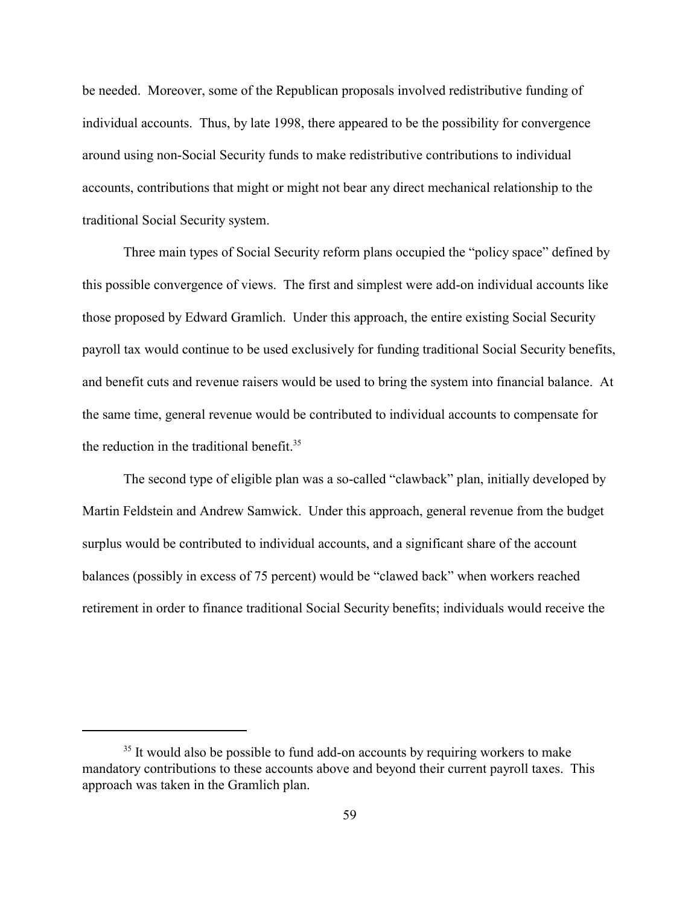be needed. Moreover, some of the Republican proposals involved redistributive funding of individual accounts. Thus, by late 1998, there appeared to be the possibility for convergence around using non-Social Security funds to make redistributive contributions to individual accounts, contributions that might or might not bear any direct mechanical relationship to the traditional Social Security system.

Three main types of Social Security reform plans occupied the "policy space" defined by this possible convergence of views. The first and simplest were add-on individual accounts like those proposed by Edward Gramlich. Under this approach, the entire existing Social Security payroll tax would continue to be used exclusively for funding traditional Social Security benefits, and benefit cuts and revenue raisers would be used to bring the system into financial balance. At the same time, general revenue would be contributed to individual accounts to compensate for the reduction in the traditional benefit.<sup>35</sup>

The second type of eligible plan was a so-called "clawback" plan, initially developed by Martin Feldstein and Andrew Samwick. Under this approach, general revenue from the budget surplus would be contributed to individual accounts, and a significant share of the account balances (possibly in excess of 75 percent) would be "clawed back" when workers reached retirement in order to finance traditional Social Security benefits; individuals would receive the

<sup>&</sup>lt;sup>35</sup> It would also be possible to fund add-on accounts by requiring workers to make mandatory contributions to these accounts above and beyond their current payroll taxes. This approach was taken in the Gramlich plan.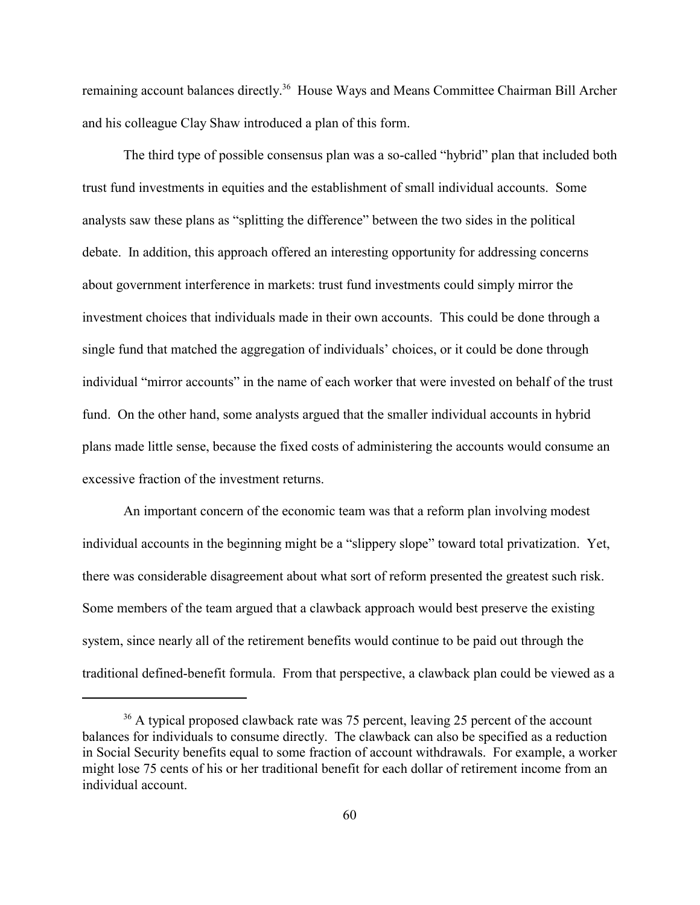remaining account balances directly.<sup>36</sup> House Ways and Means Committee Chairman Bill Archer and his colleague Clay Shaw introduced a plan of this form.

The third type of possible consensus plan was a so-called "hybrid" plan that included both trust fund investments in equities and the establishment of small individual accounts. Some analysts saw these plans as "splitting the difference" between the two sides in the political debate. In addition, this approach offered an interesting opportunity for addressing concerns about government interference in markets: trust fund investments could simply mirror the investment choices that individuals made in their own accounts. This could be done through a single fund that matched the aggregation of individuals' choices, or it could be done through individual "mirror accounts" in the name of each worker that were invested on behalf of the trust fund. On the other hand, some analysts argued that the smaller individual accounts in hybrid plans made little sense, because the fixed costs of administering the accounts would consume an excessive fraction of the investment returns.

An important concern of the economic team was that a reform plan involving modest individual accounts in the beginning might be a "slippery slope" toward total privatization. Yet, there was considerable disagreement about what sort of reform presented the greatest such risk. Some members of the team argued that a clawback approach would best preserve the existing system, since nearly all of the retirement benefits would continue to be paid out through the traditional defined-benefit formula. From that perspective, a clawback plan could be viewed as a

<sup>&</sup>lt;sup>36</sup> A typical proposed clawback rate was 75 percent, leaving 25 percent of the account balances for individuals to consume directly. The clawback can also be specified as a reduction in Social Security benefits equal to some fraction of account withdrawals. For example, a worker might lose 75 cents of his or her traditional benefit for each dollar of retirement income from an individual account.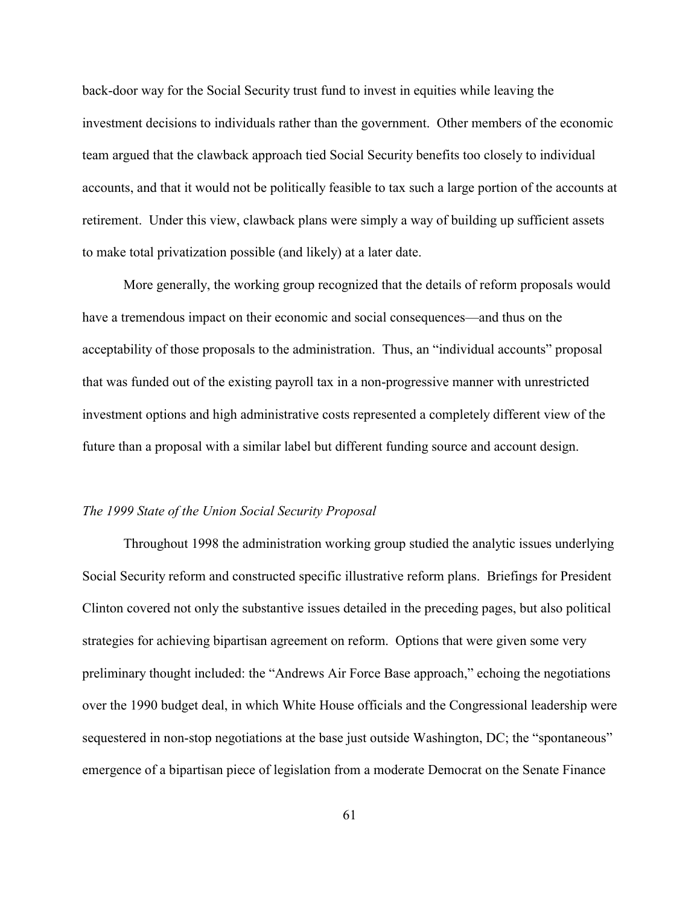back-door way for the Social Security trust fund to invest in equities while leaving the investment decisions to individuals rather than the government. Other members of the economic team argued that the clawback approach tied Social Security benefits too closely to individual accounts, and that it would not be politically feasible to tax such a large portion of the accounts at retirement. Under this view, clawback plans were simply a way of building up sufficient assets to make total privatization possible (and likely) at a later date.

More generally, the working group recognized that the details of reform proposals would have a tremendous impact on their economic and social consequences—and thus on the acceptability of those proposals to the administration. Thus, an "individual accounts" proposal that was funded out of the existing payroll tax in a non-progressive manner with unrestricted investment options and high administrative costs represented a completely different view of the future than a proposal with a similar label but different funding source and account design.

# *The 1999 State of the Union Social Security Proposal*

Throughout 1998 the administration working group studied the analytic issues underlying Social Security reform and constructed specific illustrative reform plans. Briefings for President Clinton covered not only the substantive issues detailed in the preceding pages, but also political strategies for achieving bipartisan agreement on reform. Options that were given some very preliminary thought included: the "Andrews Air Force Base approach," echoing the negotiations over the 1990 budget deal, in which White House officials and the Congressional leadership were sequestered in non-stop negotiations at the base just outside Washington, DC; the "spontaneous" emergence of a bipartisan piece of legislation from a moderate Democrat on the Senate Finance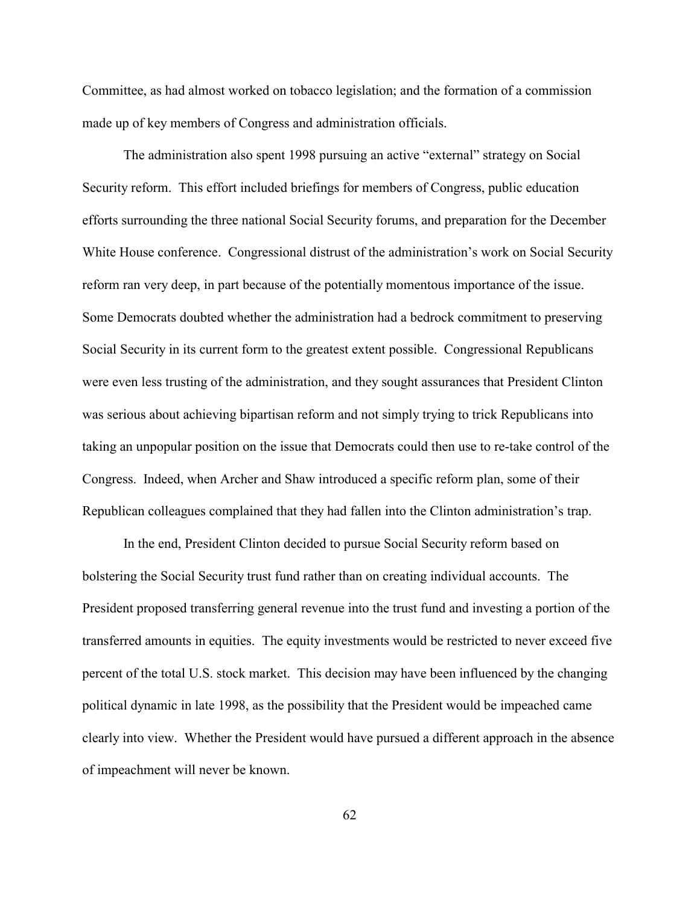Committee, as had almost worked on tobacco legislation; and the formation of a commission made up of key members of Congress and administration officials.

The administration also spent 1998 pursuing an active "external" strategy on Social Security reform. This effort included briefings for members of Congress, public education efforts surrounding the three national Social Security forums, and preparation for the December White House conference. Congressional distrust of the administration's work on Social Security reform ran very deep, in part because of the potentially momentous importance of the issue. Some Democrats doubted whether the administration had a bedrock commitment to preserving Social Security in its current form to the greatest extent possible. Congressional Republicans were even less trusting of the administration, and they sought assurances that President Clinton was serious about achieving bipartisan reform and not simply trying to trick Republicans into taking an unpopular position on the issue that Democrats could then use to re-take control of the Congress. Indeed, when Archer and Shaw introduced a specific reform plan, some of their Republican colleagues complained that they had fallen into the Clinton administration's trap.

In the end, President Clinton decided to pursue Social Security reform based on bolstering the Social Security trust fund rather than on creating individual accounts. The President proposed transferring general revenue into the trust fund and investing a portion of the transferred amounts in equities. The equity investments would be restricted to never exceed five percent of the total U.S. stock market. This decision may have been influenced by the changing political dynamic in late 1998, as the possibility that the President would be impeached came clearly into view. Whether the President would have pursued a different approach in the absence of impeachment will never be known.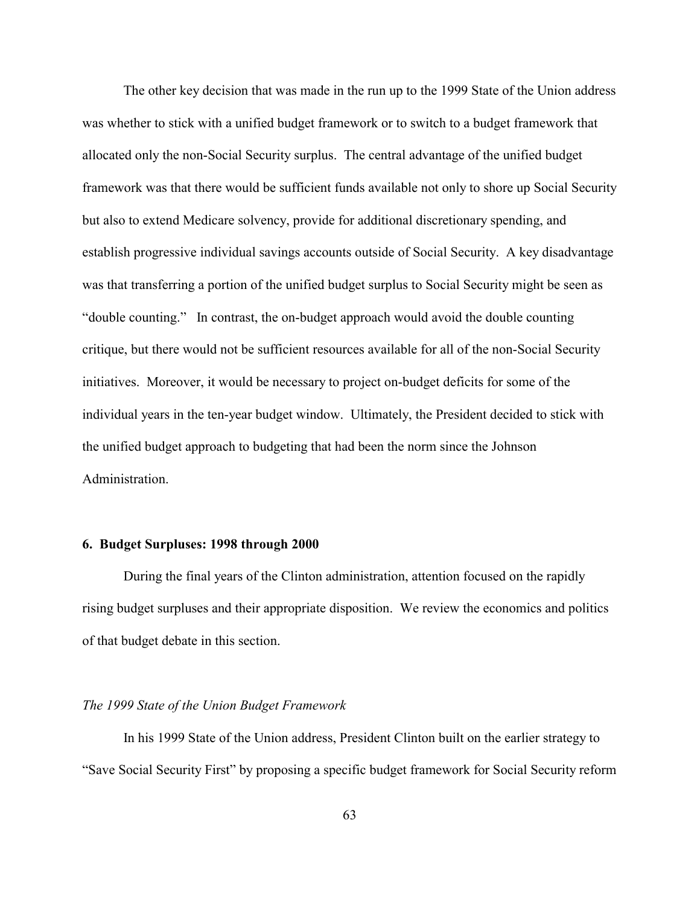The other key decision that was made in the run up to the 1999 State of the Union address was whether to stick with a unified budget framework or to switch to a budget framework that allocated only the non-Social Security surplus. The central advantage of the unified budget framework was that there would be sufficient funds available not only to shore up Social Security but also to extend Medicare solvency, provide for additional discretionary spending, and establish progressive individual savings accounts outside of Social Security. A key disadvantage was that transferring a portion of the unified budget surplus to Social Security might be seen as "double counting." In contrast, the on-budget approach would avoid the double counting critique, but there would not be sufficient resources available for all of the non-Social Security initiatives. Moreover, it would be necessary to project on-budget deficits for some of the individual years in the ten-year budget window. Ultimately, the President decided to stick with the unified budget approach to budgeting that had been the norm since the Johnson Administration.

## **6. Budget Surpluses: 1998 through 2000**

During the final years of the Clinton administration, attention focused on the rapidly rising budget surpluses and their appropriate disposition. We review the economics and politics of that budget debate in this section.

# *The 1999 State of the Union Budget Framework*

In his 1999 State of the Union address, President Clinton built on the earlier strategy to ìSave Social Security Firstî by proposing a specific budget framework for Social Security reform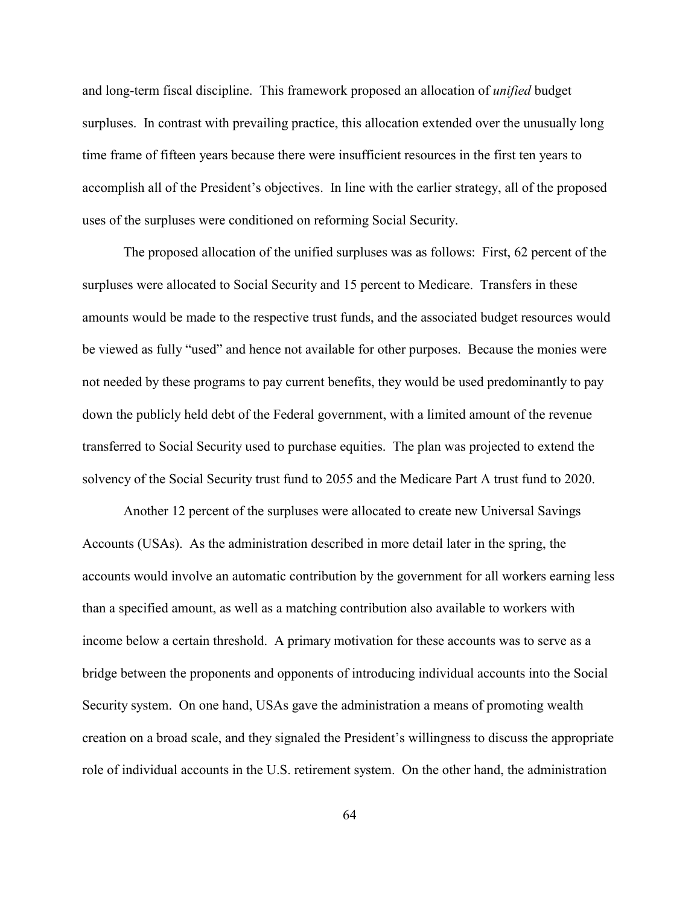and long-term fiscal discipline. This framework proposed an allocation of *unified* budget surpluses. In contrast with prevailing practice, this allocation extended over the unusually long time frame of fifteen years because there were insufficient resources in the first ten years to accomplish all of the President's objectives. In line with the earlier strategy, all of the proposed uses of the surpluses were conditioned on reforming Social Security.

 The proposed allocation of the unified surpluses was as follows: First, 62 percent of the surpluses were allocated to Social Security and 15 percent to Medicare. Transfers in these amounts would be made to the respective trust funds, and the associated budget resources would be viewed as fully "used" and hence not available for other purposes. Because the monies were not needed by these programs to pay current benefits, they would be used predominantly to pay down the publicly held debt of the Federal government, with a limited amount of the revenue transferred to Social Security used to purchase equities. The plan was projected to extend the solvency of the Social Security trust fund to 2055 and the Medicare Part A trust fund to 2020.

Another 12 percent of the surpluses were allocated to create new Universal Savings Accounts (USAs). As the administration described in more detail later in the spring, the accounts would involve an automatic contribution by the government for all workers earning less than a specified amount, as well as a matching contribution also available to workers with income below a certain threshold. A primary motivation for these accounts was to serve as a bridge between the proponents and opponents of introducing individual accounts into the Social Security system. On one hand, USAs gave the administration a means of promoting wealth creation on a broad scale, and they signaled the President's willingness to discuss the appropriate role of individual accounts in the U.S. retirement system. On the other hand, the administration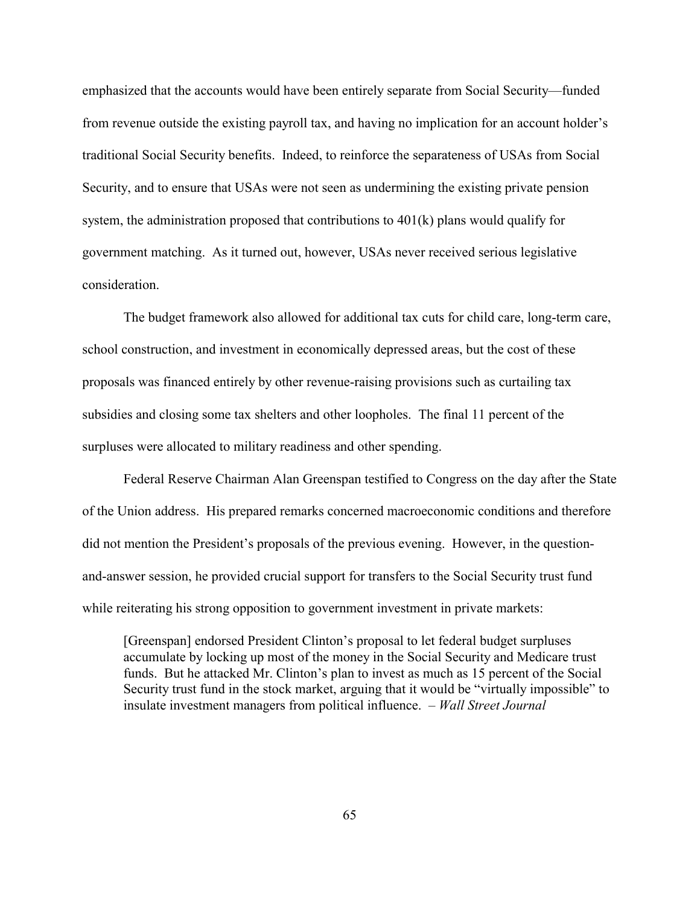emphasized that the accounts would have been entirely separate from Social Security—funded from revenue outside the existing payroll tax, and having no implication for an account holder's traditional Social Security benefits. Indeed, to reinforce the separateness of USAs from Social Security, and to ensure that USAs were not seen as undermining the existing private pension system, the administration proposed that contributions to 401(k) plans would qualify for government matching. As it turned out, however, USAs never received serious legislative consideration.

The budget framework also allowed for additional tax cuts for child care, long-term care, school construction, and investment in economically depressed areas, but the cost of these proposals was financed entirely by other revenue-raising provisions such as curtailing tax subsidies and closing some tax shelters and other loopholes. The final 11 percent of the surpluses were allocated to military readiness and other spending.

Federal Reserve Chairman Alan Greenspan testified to Congress on the day after the State of the Union address. His prepared remarks concerned macroeconomic conditions and therefore did not mention the President's proposals of the previous evening. However, in the questionand-answer session, he provided crucial support for transfers to the Social Security trust fund while reiterating his strong opposition to government investment in private markets:

[Greenspan] endorsed President Clinton's proposal to let federal budget surpluses accumulate by locking up most of the money in the Social Security and Medicare trust funds. But he attacked Mr. Clinton's plan to invest as much as 15 percent of the Social Security trust fund in the stock market, arguing that it would be "virtually impossible" to insulate investment managers from political influence. *– Wall Street Journal*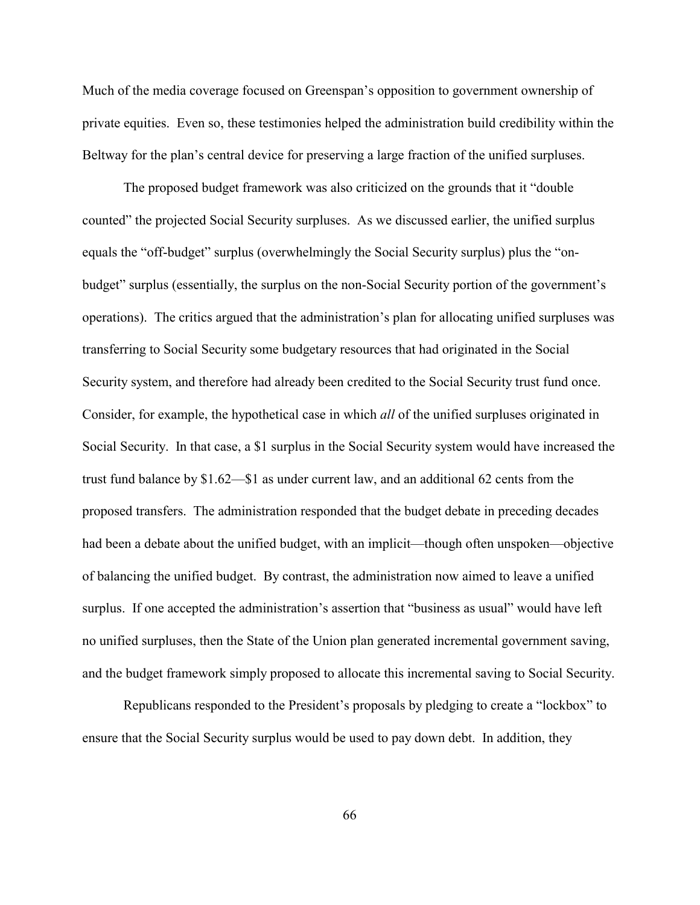Much of the media coverage focused on Greenspan's opposition to government ownership of private equities. Even so, these testimonies helped the administration build credibility within the Beltway for the plan's central device for preserving a large fraction of the unified surpluses.

The proposed budget framework was also criticized on the grounds that it "double" counted" the projected Social Security surpluses. As we discussed earlier, the unified surplus equals the "off-budget" surplus (overwhelmingly the Social Security surplus) plus the "onbudget" surplus (essentially, the surplus on the non-Social Security portion of the government's operations). The critics argued that the administration's plan for allocating unified surpluses was transferring to Social Security some budgetary resources that had originated in the Social Security system, and therefore had already been credited to the Social Security trust fund once. Consider, for example, the hypothetical case in which *all* of the unified surpluses originated in Social Security. In that case, a \$1 surplus in the Social Security system would have increased the trust fund balance by  $$1.62$ — $$1$  as under current law, and an additional 62 cents from the proposed transfers. The administration responded that the budget debate in preceding decades had been a debate about the unified budget, with an implicit—though often unspoken—objective of balancing the unified budget. By contrast, the administration now aimed to leave a unified surplus. If one accepted the administration's assertion that "business as usual" would have left no unified surpluses, then the State of the Union plan generated incremental government saving, and the budget framework simply proposed to allocate this incremental saving to Social Security.

Republicans responded to the President's proposals by pledging to create a "lockbox" to ensure that the Social Security surplus would be used to pay down debt. In addition, they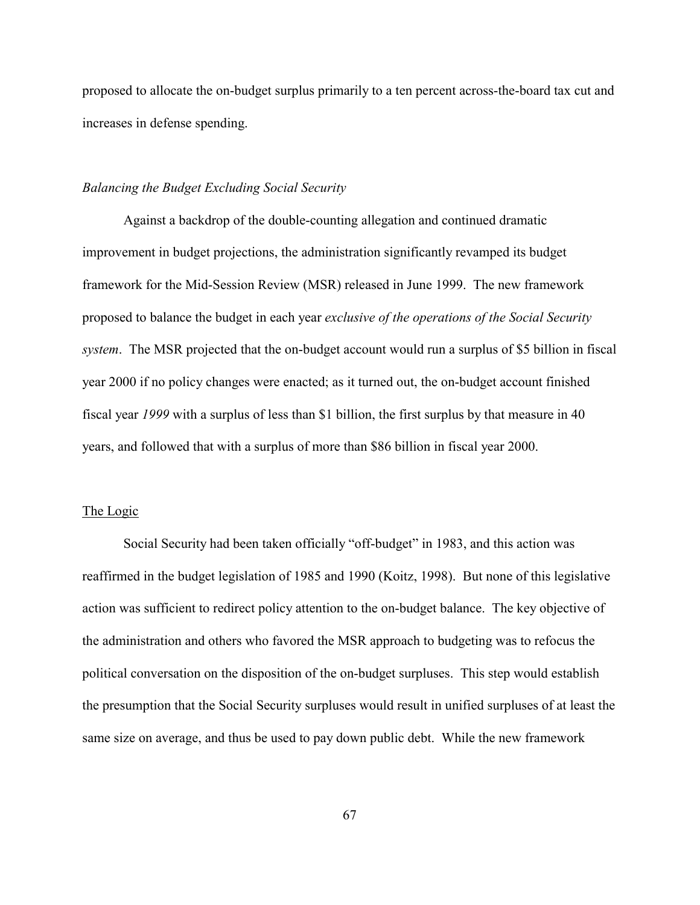proposed to allocate the on-budget surplus primarily to a ten percent across-the-board tax cut and increases in defense spending.

## *Balancing the Budget Excluding Social Security*

Against a backdrop of the double-counting allegation and continued dramatic improvement in budget projections, the administration significantly revamped its budget framework for the Mid-Session Review (MSR) released in June 1999. The new framework proposed to balance the budget in each year *exclusive of the operations of the Social Security system*. The MSR projected that the on-budget account would run a surplus of \$5 billion in fiscal year 2000 if no policy changes were enacted; as it turned out, the on-budget account finished fiscal year *1999* with a surplus of less than \$1 billion, the first surplus by that measure in 40 years, and followed that with a surplus of more than \$86 billion in fiscal year 2000.

# The Logic

Social Security had been taken officially "off-budget" in 1983, and this action was reaffirmed in the budget legislation of 1985 and 1990 (Koitz, 1998). But none of this legislative action was sufficient to redirect policy attention to the on-budget balance. The key objective of the administration and others who favored the MSR approach to budgeting was to refocus the political conversation on the disposition of the on-budget surpluses. This step would establish the presumption that the Social Security surpluses would result in unified surpluses of at least the same size on average, and thus be used to pay down public debt. While the new framework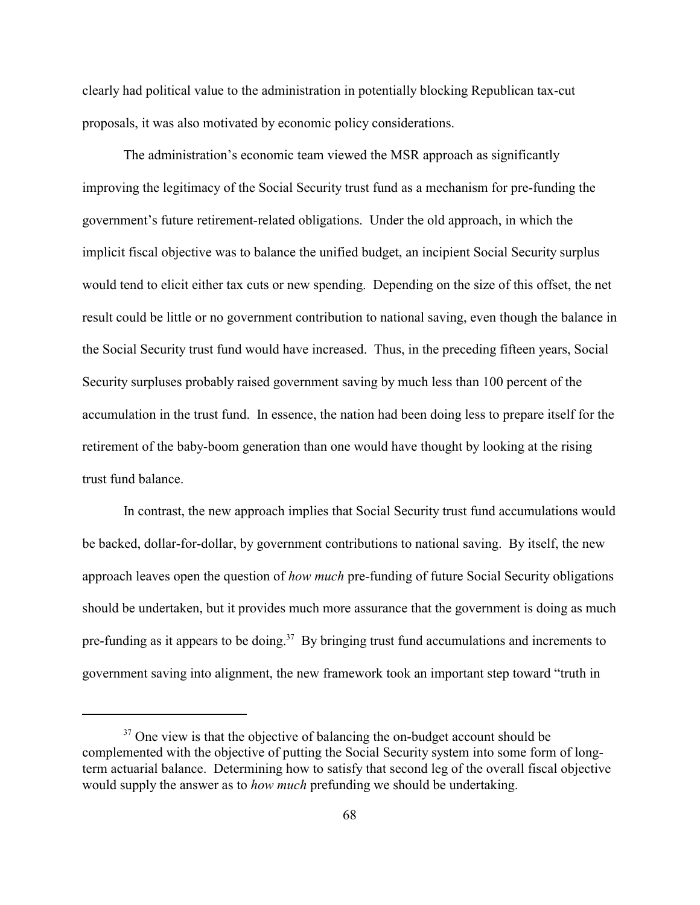clearly had political value to the administration in potentially blocking Republican tax-cut proposals, it was also motivated by economic policy considerations.

The administration's economic team viewed the MSR approach as significantly improving the legitimacy of the Social Security trust fund as a mechanism for pre-funding the government's future retirement-related obligations. Under the old approach, in which the implicit fiscal objective was to balance the unified budget, an incipient Social Security surplus would tend to elicit either tax cuts or new spending. Depending on the size of this offset, the net result could be little or no government contribution to national saving, even though the balance in the Social Security trust fund would have increased. Thus, in the preceding fifteen years, Social Security surpluses probably raised government saving by much less than 100 percent of the accumulation in the trust fund. In essence, the nation had been doing less to prepare itself for the retirement of the baby-boom generation than one would have thought by looking at the rising trust fund balance.

In contrast, the new approach implies that Social Security trust fund accumulations would be backed, dollar-for-dollar, by government contributions to national saving. By itself, the new approach leaves open the question of *how much* pre-funding of future Social Security obligations should be undertaken, but it provides much more assurance that the government is doing as much pre-funding as it appears to be doing.<sup>37</sup> By bringing trust fund accumulations and increments to government saving into alignment, the new framework took an important step toward "truth in

 $37$  One view is that the objective of balancing the on-budget account should be complemented with the objective of putting the Social Security system into some form of longterm actuarial balance. Determining how to satisfy that second leg of the overall fiscal objective would supply the answer as to *how much* prefunding we should be undertaking.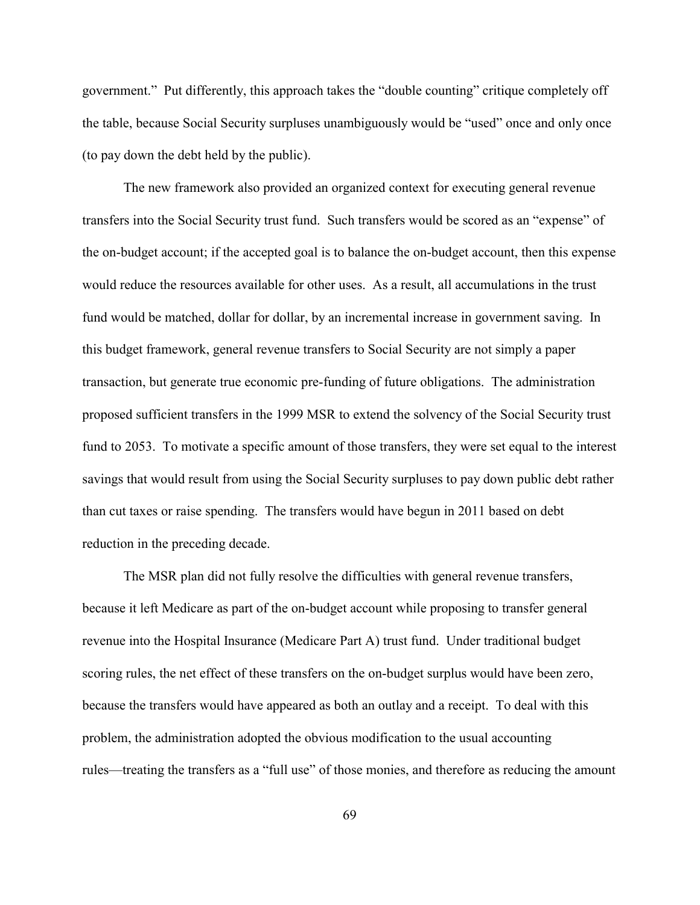government." Put differently, this approach takes the "double counting" critique completely off the table, because Social Security surpluses unambiguously would be "used" once and only once (to pay down the debt held by the public).

The new framework also provided an organized context for executing general revenue transfers into the Social Security trust fund. Such transfers would be scored as an "expense" of the on-budget account; if the accepted goal is to balance the on-budget account, then this expense would reduce the resources available for other uses. As a result, all accumulations in the trust fund would be matched, dollar for dollar, by an incremental increase in government saving. In this budget framework, general revenue transfers to Social Security are not simply a paper transaction, but generate true economic pre-funding of future obligations. The administration proposed sufficient transfers in the 1999 MSR to extend the solvency of the Social Security trust fund to 2053. To motivate a specific amount of those transfers, they were set equal to the interest savings that would result from using the Social Security surpluses to pay down public debt rather than cut taxes or raise spending. The transfers would have begun in 2011 based on debt reduction in the preceding decade.

The MSR plan did not fully resolve the difficulties with general revenue transfers, because it left Medicare as part of the on-budget account while proposing to transfer general revenue into the Hospital Insurance (Medicare Part A) trust fund. Under traditional budget scoring rules, the net effect of these transfers on the on-budget surplus would have been zero, because the transfers would have appeared as both an outlay and a receipt. To deal with this problem, the administration adopted the obvious modification to the usual accounting rules—treating the transfers as a "full use" of those monies, and therefore as reducing the amount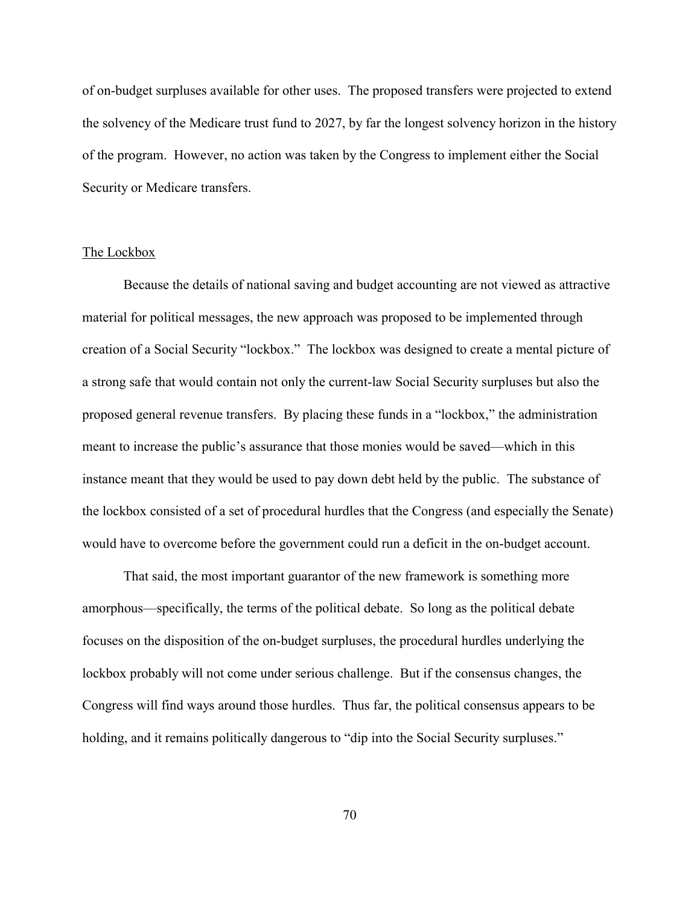of on-budget surpluses available for other uses. The proposed transfers were projected to extend the solvency of the Medicare trust fund to 2027, by far the longest solvency horizon in the history of the program. However, no action was taken by the Congress to implement either the Social Security or Medicare transfers.

#### The Lockbox

Because the details of national saving and budget accounting are not viewed as attractive material for political messages, the new approach was proposed to be implemented through creation of a Social Security "lockbox." The lockbox was designed to create a mental picture of a strong safe that would contain not only the current-law Social Security surpluses but also the proposed general revenue transfers. By placing these funds in a "lockbox," the administration meant to increase the public's assurance that those monies would be saved—which in this instance meant that they would be used to pay down debt held by the public. The substance of the lockbox consisted of a set of procedural hurdles that the Congress (and especially the Senate) would have to overcome before the government could run a deficit in the on-budget account.

That said, the most important guarantor of the new framework is something more amorphous—specifically, the terms of the political debate. So long as the political debate focuses on the disposition of the on-budget surpluses, the procedural hurdles underlying the lockbox probably will not come under serious challenge. But if the consensus changes, the Congress will find ways around those hurdles. Thus far, the political consensus appears to be holding, and it remains politically dangerous to "dip into the Social Security surpluses."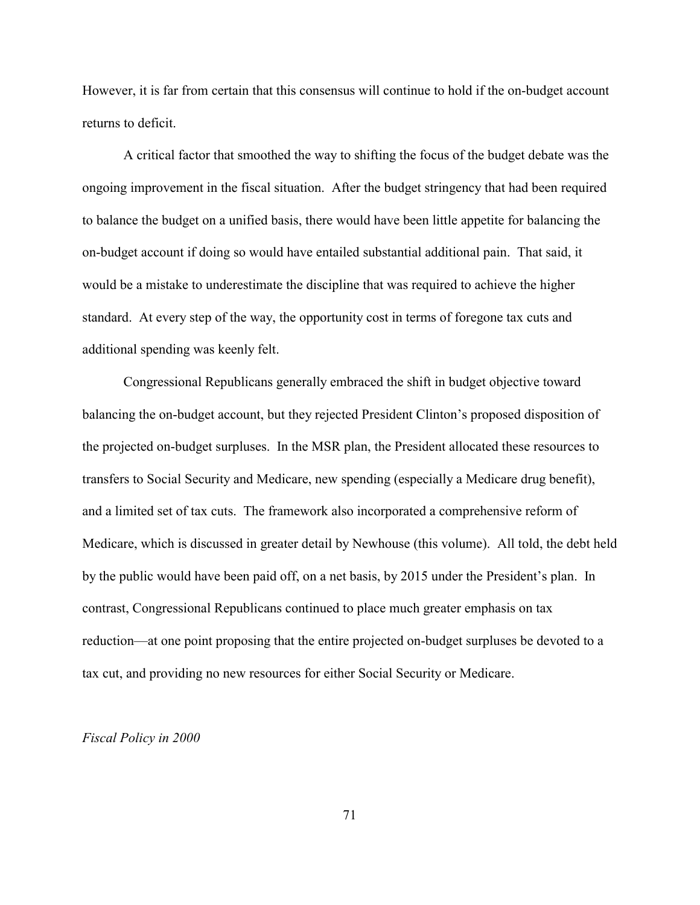However, it is far from certain that this consensus will continue to hold if the on-budget account returns to deficit.

A critical factor that smoothed the way to shifting the focus of the budget debate was the ongoing improvement in the fiscal situation. After the budget stringency that had been required to balance the budget on a unified basis, there would have been little appetite for balancing the on-budget account if doing so would have entailed substantial additional pain. That said, it would be a mistake to underestimate the discipline that was required to achieve the higher standard. At every step of the way, the opportunity cost in terms of foregone tax cuts and additional spending was keenly felt.

Congressional Republicans generally embraced the shift in budget objective toward balancing the on-budget account, but they rejected President Clinton's proposed disposition of the projected on-budget surpluses. In the MSR plan, the President allocated these resources to transfers to Social Security and Medicare, new spending (especially a Medicare drug benefit), and a limited set of tax cuts. The framework also incorporated a comprehensive reform of Medicare, which is discussed in greater detail by Newhouse (this volume). All told, the debt held by the public would have been paid off, on a net basis, by 2015 under the President's plan. In contrast, Congressional Republicans continued to place much greater emphasis on tax reduction—at one point proposing that the entire projected on-budget surpluses be devoted to a tax cut, and providing no new resources for either Social Security or Medicare.

#### *Fiscal Policy in 2000*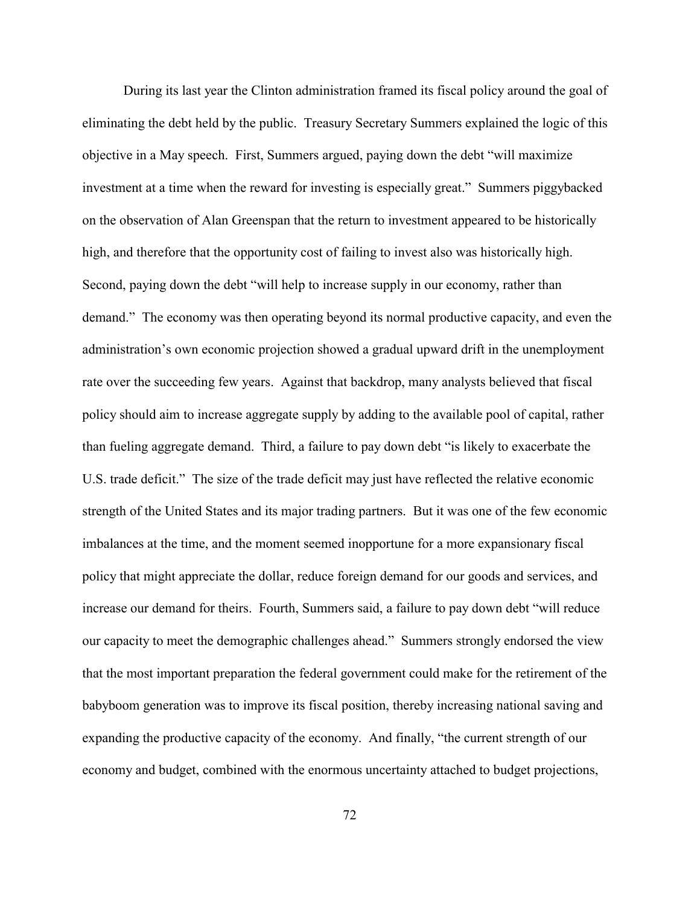During its last year the Clinton administration framed its fiscal policy around the goal of eliminating the debt held by the public. Treasury Secretary Summers explained the logic of this objective in a May speech. First, Summers argued, paying down the debt "will maximize" investment at a time when the reward for investing is especially great." Summers piggybacked on the observation of Alan Greenspan that the return to investment appeared to be historically high, and therefore that the opportunity cost of failing to invest also was historically high. Second, paying down the debt "will help to increase supply in our economy, rather than demand." The economy was then operating beyond its normal productive capacity, and even the administration's own economic projection showed a gradual upward drift in the unemployment rate over the succeeding few years. Against that backdrop, many analysts believed that fiscal policy should aim to increase aggregate supply by adding to the available pool of capital, rather than fueling aggregate demand. Third, a failure to pay down debt "is likely to exacerbate the U.S. trade deficit." The size of the trade deficit may just have reflected the relative economic strength of the United States and its major trading partners. But it was one of the few economic imbalances at the time, and the moment seemed inopportune for a more expansionary fiscal policy that might appreciate the dollar, reduce foreign demand for our goods and services, and increase our demand for theirs. Fourth, Summers said, a failure to pay down debt "will reduce our capacity to meet the demographic challenges ahead." Summers strongly endorsed the view that the most important preparation the federal government could make for the retirement of the babyboom generation was to improve its fiscal position, thereby increasing national saving and expanding the productive capacity of the economy. And finally, "the current strength of our economy and budget, combined with the enormous uncertainty attached to budget projections,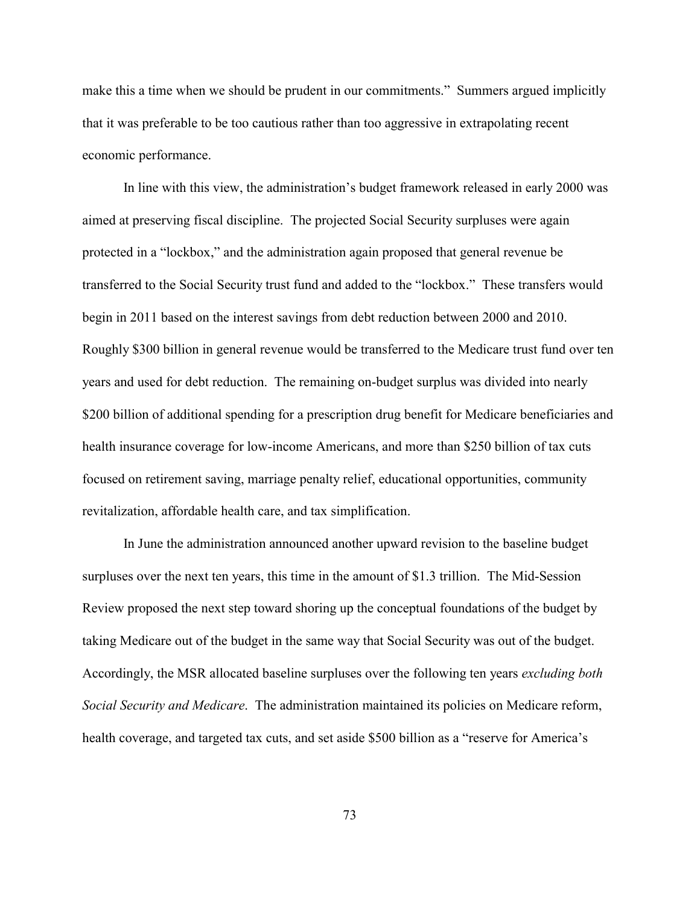make this a time when we should be prudent in our commitments." Summers argued implicitly that it was preferable to be too cautious rather than too aggressive in extrapolating recent economic performance.

In line with this view, the administration's budget framework released in early 2000 was aimed at preserving fiscal discipline. The projected Social Security surpluses were again protected in a "lockbox," and the administration again proposed that general revenue be transferred to the Social Security trust fund and added to the "lockbox." These transfers would begin in 2011 based on the interest savings from debt reduction between 2000 and 2010. Roughly \$300 billion in general revenue would be transferred to the Medicare trust fund over ten years and used for debt reduction. The remaining on-budget surplus was divided into nearly \$200 billion of additional spending for a prescription drug benefit for Medicare beneficiaries and health insurance coverage for low-income Americans, and more than \$250 billion of tax cuts focused on retirement saving, marriage penalty relief, educational opportunities, community revitalization, affordable health care, and tax simplification.

In June the administration announced another upward revision to the baseline budget surpluses over the next ten years, this time in the amount of \$1.3 trillion. The Mid-Session Review proposed the next step toward shoring up the conceptual foundations of the budget by taking Medicare out of the budget in the same way that Social Security was out of the budget. Accordingly, the MSR allocated baseline surpluses over the following ten years *excluding both Social Security and Medicare*. The administration maintained its policies on Medicare reform, health coverage, and targeted tax cuts, and set aside \$500 billion as a "reserve for America's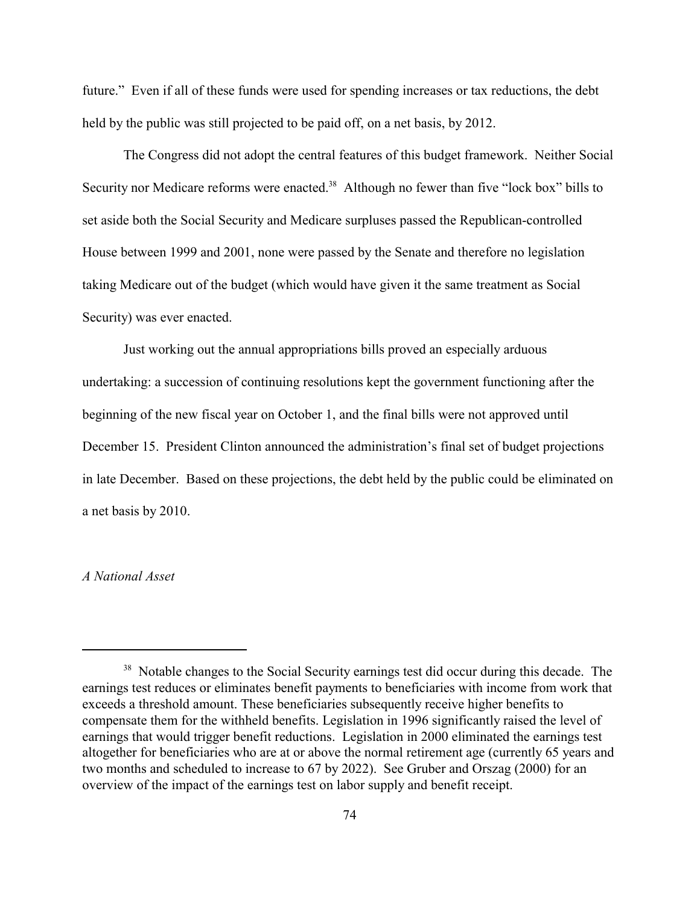future." Even if all of these funds were used for spending increases or tax reductions, the debt held by the public was still projected to be paid off, on a net basis, by 2012.

The Congress did not adopt the central features of this budget framework. Neither Social Security nor Medicare reforms were enacted.<sup>38</sup> Although no fewer than five "lock box" bills to set aside both the Social Security and Medicare surpluses passed the Republican-controlled House between 1999 and 2001, none were passed by the Senate and therefore no legislation taking Medicare out of the budget (which would have given it the same treatment as Social Security) was ever enacted.

Just working out the annual appropriations bills proved an especially arduous undertaking: a succession of continuing resolutions kept the government functioning after the beginning of the new fiscal year on October 1, and the final bills were not approved until December 15. President Clinton announced the administration's final set of budget projections in late December. Based on these projections, the debt held by the public could be eliminated on a net basis by 2010.

### *A National Asset*

<sup>&</sup>lt;sup>38</sup> Notable changes to the Social Security earnings test did occur during this decade. The earnings test reduces or eliminates benefit payments to beneficiaries with income from work that exceeds a threshold amount. These beneficiaries subsequently receive higher benefits to compensate them for the withheld benefits. Legislation in 1996 significantly raised the level of earnings that would trigger benefit reductions. Legislation in 2000 eliminated the earnings test altogether for beneficiaries who are at or above the normal retirement age (currently 65 years and two months and scheduled to increase to 67 by 2022). See Gruber and Orszag (2000) for an overview of the impact of the earnings test on labor supply and benefit receipt.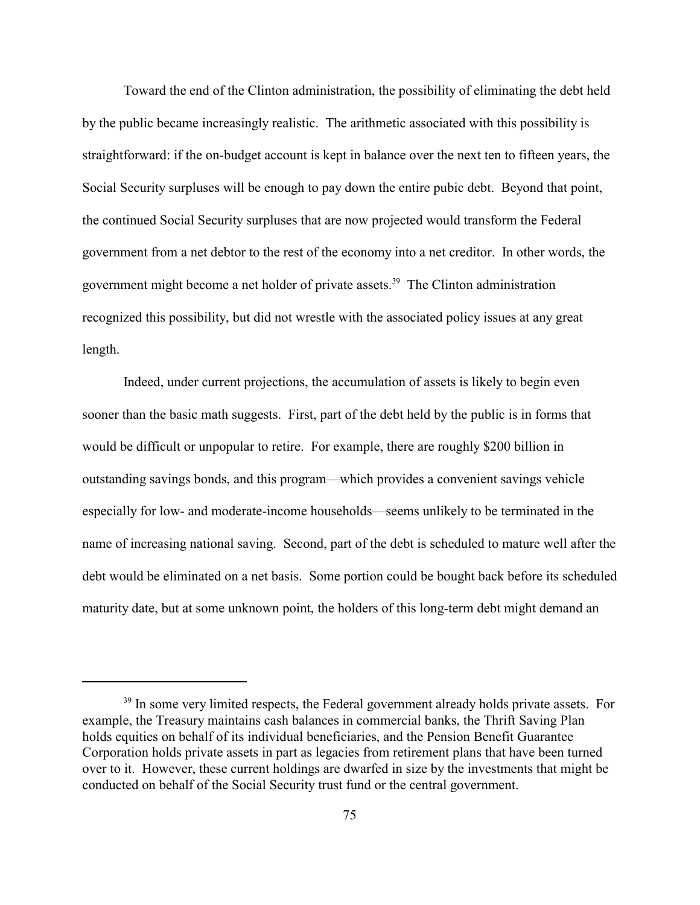Toward the end of the Clinton administration, the possibility of eliminating the debt held by the public became increasingly realistic. The arithmetic associated with this possibility is straightforward: if the on-budget account is kept in balance over the next ten to fifteen years, the Social Security surpluses will be enough to pay down the entire pubic debt. Beyond that point, the continued Social Security surpluses that are now projected would transform the Federal government from a net debtor to the rest of the economy into a net creditor. In other words, the government might become a net holder of private assets.<sup>39</sup> The Clinton administration recognized this possibility, but did not wrestle with the associated policy issues at any great length.

Indeed, under current projections, the accumulation of assets is likely to begin even sooner than the basic math suggests. First, part of the debt held by the public is in forms that would be difficult or unpopular to retire. For example, there are roughly \$200 billion in outstanding savings bonds, and this program—which provides a convenient savings vehicle especially for low- and moderate-income households—seems unlikely to be terminated in the name of increasing national saving. Second, part of the debt is scheduled to mature well after the debt would be eliminated on a net basis. Some portion could be bought back before its scheduled maturity date, but at some unknown point, the holders of this long-term debt might demand an

<sup>&</sup>lt;sup>39</sup> In some very limited respects, the Federal government already holds private assets. For example, the Treasury maintains cash balances in commercial banks, the Thrift Saving Plan holds equities on behalf of its individual beneficiaries, and the Pension Benefit Guarantee Corporation holds private assets in part as legacies from retirement plans that have been turned over to it. However, these current holdings are dwarfed in size by the investments that might be conducted on behalf of the Social Security trust fund or the central government.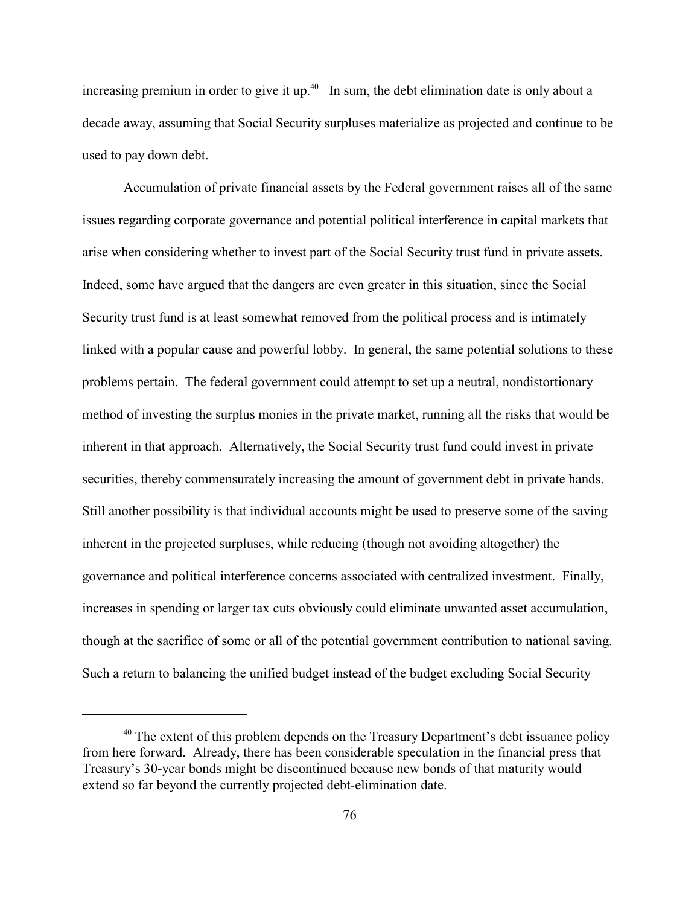increasing premium in order to give it up.<sup>40</sup> In sum, the debt elimination date is only about a decade away, assuming that Social Security surpluses materialize as projected and continue to be used to pay down debt.

Accumulation of private financial assets by the Federal government raises all of the same issues regarding corporate governance and potential political interference in capital markets that arise when considering whether to invest part of the Social Security trust fund in private assets. Indeed, some have argued that the dangers are even greater in this situation, since the Social Security trust fund is at least somewhat removed from the political process and is intimately linked with a popular cause and powerful lobby. In general, the same potential solutions to these problems pertain. The federal government could attempt to set up a neutral, nondistortionary method of investing the surplus monies in the private market, running all the risks that would be inherent in that approach. Alternatively, the Social Security trust fund could invest in private securities, thereby commensurately increasing the amount of government debt in private hands. Still another possibility is that individual accounts might be used to preserve some of the saving inherent in the projected surpluses, while reducing (though not avoiding altogether) the governance and political interference concerns associated with centralized investment. Finally, increases in spending or larger tax cuts obviously could eliminate unwanted asset accumulation, though at the sacrifice of some or all of the potential government contribution to national saving. Such a return to balancing the unified budget instead of the budget excluding Social Security

 $40$  The extent of this problem depends on the Treasury Department's debt issuance policy from here forward. Already, there has been considerable speculation in the financial press that Treasury's 30-year bonds might be discontinued because new bonds of that maturity would extend so far beyond the currently projected debt-elimination date.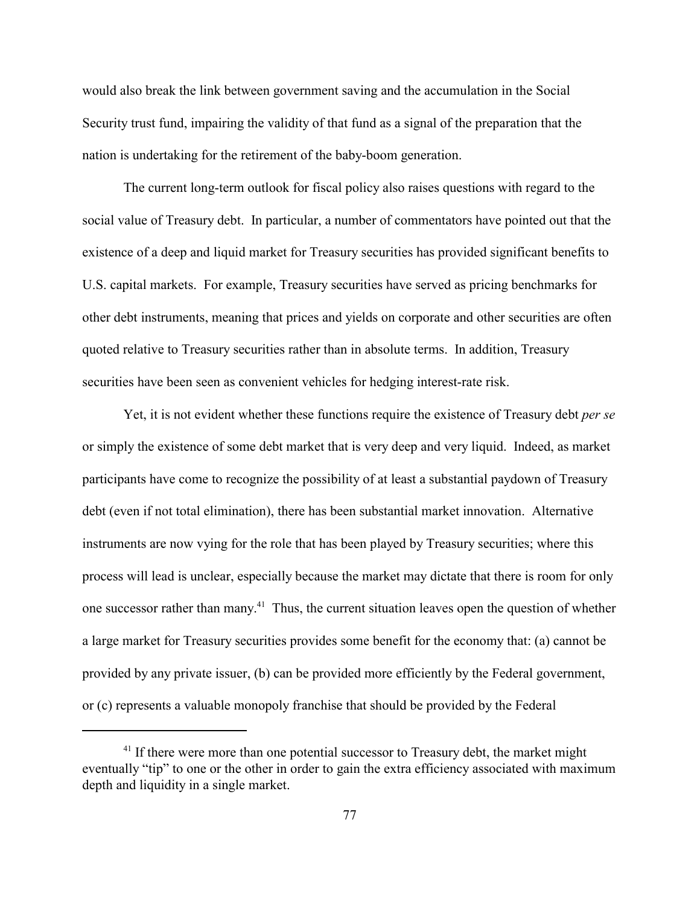would also break the link between government saving and the accumulation in the Social Security trust fund, impairing the validity of that fund as a signal of the preparation that the nation is undertaking for the retirement of the baby-boom generation.

The current long-term outlook for fiscal policy also raises questions with regard to the social value of Treasury debt. In particular, a number of commentators have pointed out that the existence of a deep and liquid market for Treasury securities has provided significant benefits to U.S. capital markets. For example, Treasury securities have served as pricing benchmarks for other debt instruments, meaning that prices and yields on corporate and other securities are often quoted relative to Treasury securities rather than in absolute terms. In addition, Treasury securities have been seen as convenient vehicles for hedging interest-rate risk.

Yet, it is not evident whether these functions require the existence of Treasury debt *per se* or simply the existence of some debt market that is very deep and very liquid. Indeed, as market participants have come to recognize the possibility of at least a substantial paydown of Treasury debt (even if not total elimination), there has been substantial market innovation. Alternative instruments are now vying for the role that has been played by Treasury securities; where this process will lead is unclear, especially because the market may dictate that there is room for only one successor rather than many.<sup>41</sup> Thus, the current situation leaves open the question of whether a large market for Treasury securities provides some benefit for the economy that: (a) cannot be provided by any private issuer, (b) can be provided more efficiently by the Federal government, or (c) represents a valuable monopoly franchise that should be provided by the Federal

 $41$  If there were more than one potential successor to Treasury debt, the market might eventually "tip" to one or the other in order to gain the extra efficiency associated with maximum depth and liquidity in a single market.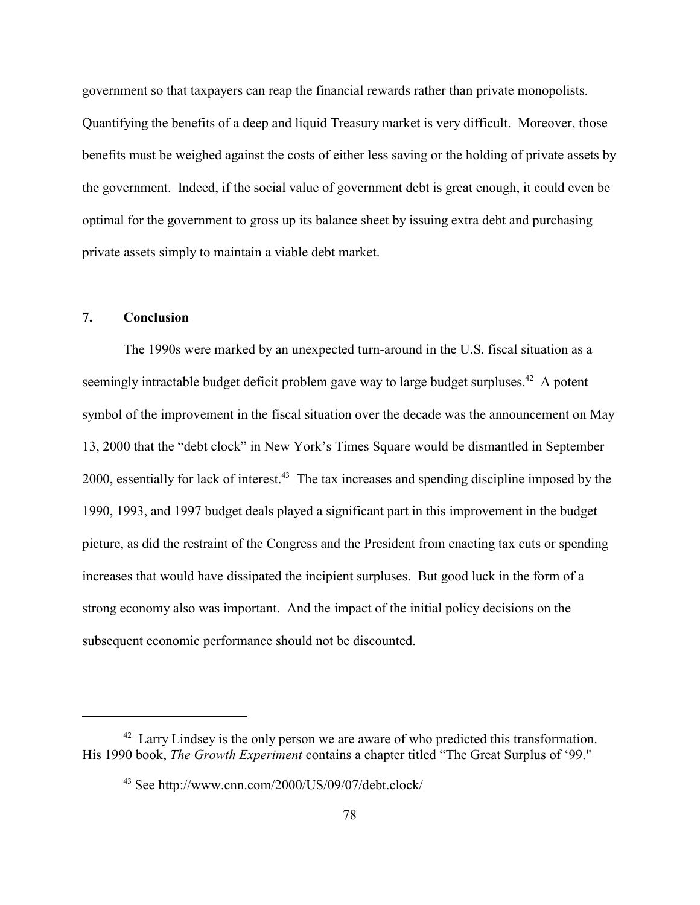government so that taxpayers can reap the financial rewards rather than private monopolists. Quantifying the benefits of a deep and liquid Treasury market is very difficult. Moreover, those benefits must be weighed against the costs of either less saving or the holding of private assets by the government. Indeed, if the social value of government debt is great enough, it could even be optimal for the government to gross up its balance sheet by issuing extra debt and purchasing private assets simply to maintain a viable debt market.

## **7. Conclusion**

The 1990s were marked by an unexpected turn-around in the U.S. fiscal situation as a seemingly intractable budget deficit problem gave way to large budget surpluses.<sup>42</sup> A potent symbol of the improvement in the fiscal situation over the decade was the announcement on May 13, 2000 that the "debt clock" in New York's Times Square would be dismantled in September 2000, essentially for lack of interest.<sup>43</sup> The tax increases and spending discipline imposed by the 1990, 1993, and 1997 budget deals played a significant part in this improvement in the budget picture, as did the restraint of the Congress and the President from enacting tax cuts or spending increases that would have dissipated the incipient surpluses. But good luck in the form of a strong economy also was important. And the impact of the initial policy decisions on the subsequent economic performance should not be discounted.

 $42$  Larry Lindsey is the only person we are aware of who predicted this transformation. His 1990 book, *The Growth Experiment* contains a chapter titled "The Great Surplus of '99."

<sup>43</sup> See http://www.cnn.com/2000/US/09/07/debt.clock/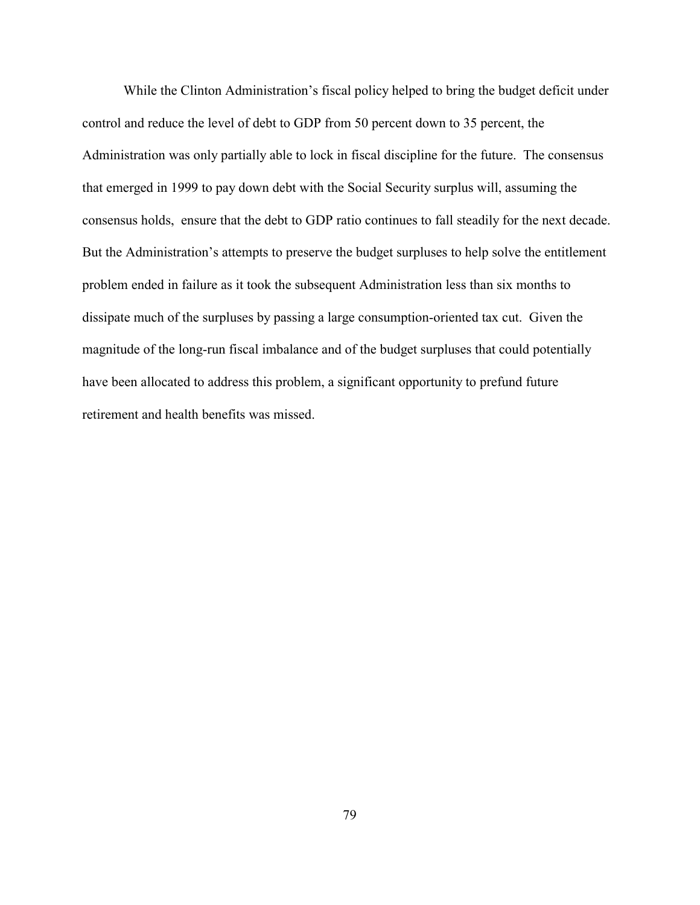While the Clinton Administration's fiscal policy helped to bring the budget deficit under control and reduce the level of debt to GDP from 50 percent down to 35 percent, the Administration was only partially able to lock in fiscal discipline for the future. The consensus that emerged in 1999 to pay down debt with the Social Security surplus will, assuming the consensus holds, ensure that the debt to GDP ratio continues to fall steadily for the next decade. But the Administration's attempts to preserve the budget surpluses to help solve the entitlement problem ended in failure as it took the subsequent Administration less than six months to dissipate much of the surpluses by passing a large consumption-oriented tax cut. Given the magnitude of the long-run fiscal imbalance and of the budget surpluses that could potentially have been allocated to address this problem, a significant opportunity to prefund future retirement and health benefits was missed.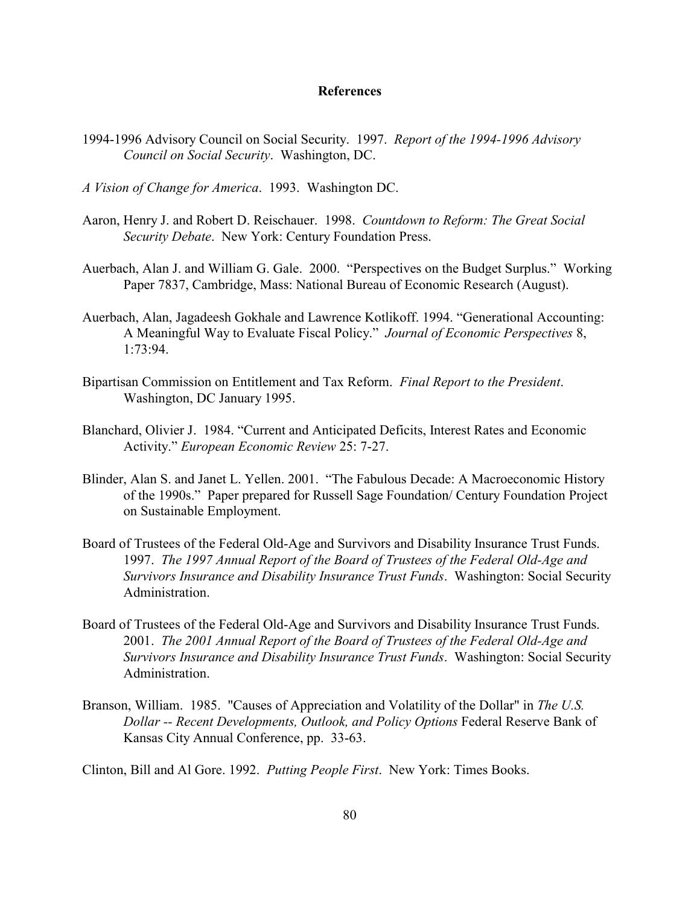#### **References**

- 1994-1996 Advisory Council on Social Security. 1997. *Report of the 1994-1996 Advisory Council on Social Security*. Washington, DC.
- *A Vision of Change for America*. 1993. Washington DC.
- Aaron, Henry J. and Robert D. Reischauer. 1998. *Countdown to Reform: The Great Social Security Debate*. New York: Century Foundation Press.
- Auerbach, Alan J. and William G. Gale. 2000. "Perspectives on the Budget Surplus." Working Paper 7837, Cambridge, Mass: National Bureau of Economic Research (August).
- Auerbach, Alan, Jagadeesh Gokhale and Lawrence Kotlikoff. 1994. "Generational Accounting: A Meaningful Way to Evaluate Fiscal Policy.î *Journal of Economic Perspectives* 8, 1:73:94.
- Bipartisan Commission on Entitlement and Tax Reform. *Final Report to the President*. Washington, DC January 1995.
- Blanchard, Olivier J. 1984. "Current and Anticipated Deficits, Interest Rates and Economic Activity.î *European Economic Review* 25: 7-27.
- Blinder, Alan S. and Janet L. Yellen. 2001. "The Fabulous Decade: A Macroeconomic History of the 1990s." Paper prepared for Russell Sage Foundation/ Century Foundation Project on Sustainable Employment.
- Board of Trustees of the Federal Old-Age and Survivors and Disability Insurance Trust Funds. 1997. *The 1997 Annual Report of the Board of Trustees of the Federal Old-Age and Survivors Insurance and Disability Insurance Trust Funds*. Washington: Social Security Administration.
- Board of Trustees of the Federal Old-Age and Survivors and Disability Insurance Trust Funds. 2001. *The 2001 Annual Report of the Board of Trustees of the Federal Old-Age and Survivors Insurance and Disability Insurance Trust Funds*. Washington: Social Security Administration.
- Branson, William. 1985. "Causes of Appreciation and Volatility of the Dollar" in *The U.S. Dollar -- Recent Developments, Outlook, and Policy Options* Federal Reserve Bank of Kansas City Annual Conference, pp. 33-63.

Clinton, Bill and Al Gore. 1992. *Putting People First*. New York: Times Books.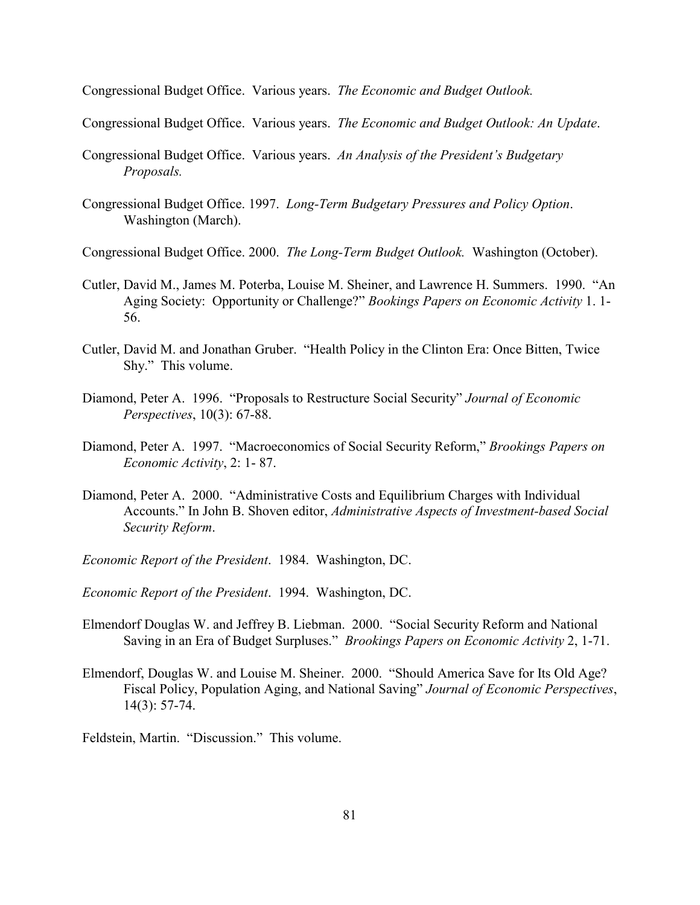Congressional Budget Office. Various years. *The Economic and Budget Outlook.*

Congressional Budget Office. Various years. *The Economic and Budget Outlook: An Update*.

- Congressional Budget Office. Various years. An Analysis of the President's Budgetary *Proposals.*
- Congressional Budget Office. 1997. *Long-Term Budgetary Pressures and Policy Option*. Washington (March).
- Congressional Budget Office. 2000. *The Long-Term Budget Outlook.* Washington (October).
- Cutler, David M., James M. Poterba, Louise M. Sheiner, and Lawrence H. Summers. 1990. "An Aging Society: Opportunity or Challenge?î *Bookings Papers on Economic Activity* 1. 1- 56.
- Cutler, David M. and Jonathan Gruber. "Health Policy in the Clinton Era: Once Bitten, Twice Shy." This volume.
- Diamond, Peter A. 1996. "Proposals to Restructure Social Security" Journal of Economic *Perspectives*, 10(3): 67-88.
- Diamond, Peter A. 1997. "Macroeconomics of Social Security Reform," *Brookings Papers on Economic Activity*, 2: 1- 87.
- Diamond, Peter A. 2000. "Administrative Costs and Equilibrium Charges with Individual Accounts.î In John B. Shoven editor, *Administrative Aspects of Investment-based Social Security Reform*.
- *Economic Report of the President*. 1984. Washington, DC.

*Economic Report of the President*. 1994. Washington, DC.

- Elmendorf Douglas W. and Jeffrey B. Liebman. 2000. "Social Security Reform and National Saving in an Era of Budget Surpluses." *Brookings Papers on Economic Activity* 2, 1-71.
- Elmendorf, Douglas W. and Louise M. Sheiner. 2000. "Should America Save for Its Old Age? Fiscal Policy, Population Aging, and National Savingî *Journal of Economic Perspectives*, 14(3): 57-74.

Feldstein, Martin. "Discussion." This volume.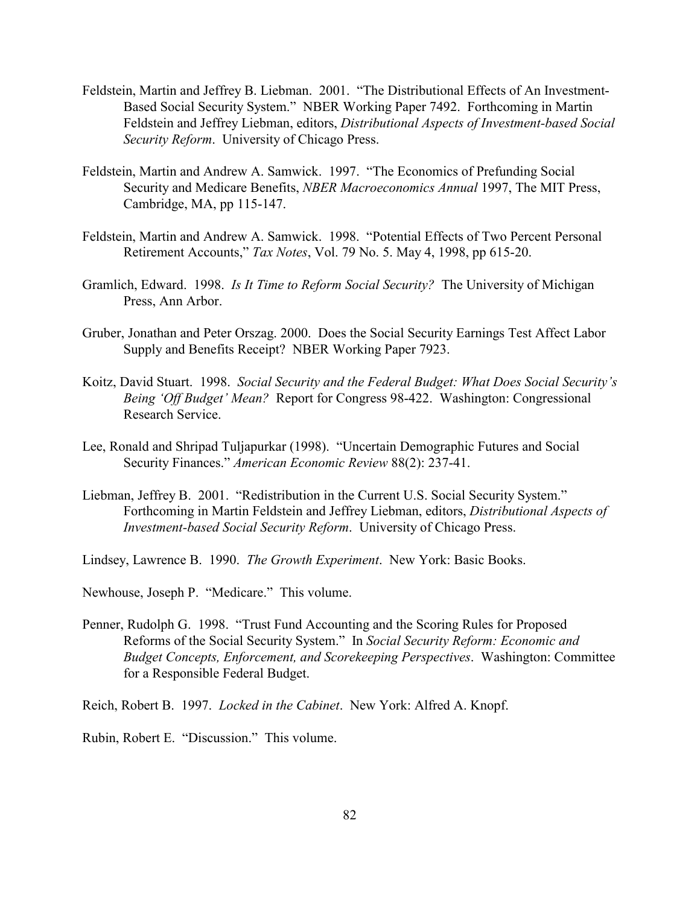- Feldstein, Martin and Jeffrey B. Liebman. 2001. "The Distributional Effects of An Investment-Based Social Security System." NBER Working Paper 7492. Forthcoming in Martin Feldstein and Jeffrey Liebman, editors, *Distributional Aspects of Investment-based Social Security Reform*. University of Chicago Press.
- Feldstein, Martin and Andrew A. Samwick. 1997. "The Economics of Prefunding Social Security and Medicare Benefits, *NBER Macroeconomics Annual* 1997, The MIT Press, Cambridge, MA, pp 115-147.
- Feldstein, Martin and Andrew A. Samwick. 1998. "Potential Effects of Two Percent Personal Retirement Accounts,î *Tax Notes*, Vol. 79 No. 5. May 4, 1998, pp 615-20.
- Gramlich, Edward. 1998. *Is It Time to Reform Social Security?* The University of Michigan Press, Ann Arbor.
- Gruber, Jonathan and Peter Orszag. 2000. Does the Social Security Earnings Test Affect Labor Supply and Benefits Receipt? NBER Working Paper 7923.
- Koitz, David Stuart. 1998. *Social Security and the Federal Budget: What Does Social Securityís Being 'Off Budget' Mean?* Report for Congress 98-422. Washington: Congressional Research Service.
- Lee, Ronald and Shripad Tuljapurkar (1998). "Uncertain Demographic Futures and Social Security Finances." American Economic Review 88(2): 237-41.
- Liebman, Jeffrey B. 2001. "Redistribution in the Current U.S. Social Security System." Forthcoming in Martin Feldstein and Jeffrey Liebman, editors, *Distributional Aspects of Investment-based Social Security Reform*. University of Chicago Press.

Lindsey, Lawrence B. 1990. *The Growth Experiment*. New York: Basic Books.

Newhouse, Joseph P. "Medicare." This volume.

Penner, Rudolph G. 1998. "Trust Fund Accounting and the Scoring Rules for Proposed Reforms of the Social Security System." In *Social Security Reform: Economic and Budget Concepts, Enforcement, and Scorekeeping Perspectives*. Washington: Committee for a Responsible Federal Budget.

Reich, Robert B. 1997. *Locked in the Cabinet*. New York: Alfred A. Knopf.

Rubin, Robert E. "Discussion." This volume.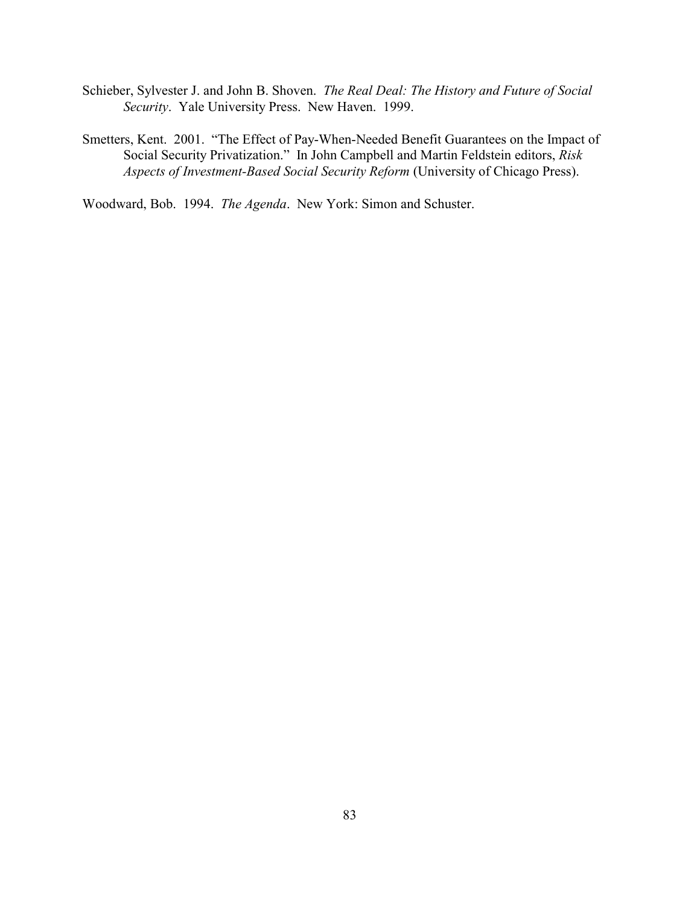- Schieber, Sylvester J. and John B. Shoven. *The Real Deal: The History and Future of Social Security*. Yale University Press. New Haven. 1999.
- Smetters, Kent. 2001. "The Effect of Pay-When-Needed Benefit Guarantees on the Impact of Social Security Privatization.<sup>7</sup> In John Campbell and Martin Feldstein editors, *Risk Aspects of Investment-Based Social Security Reform* (University of Chicago Press).

Woodward, Bob. 1994. *The Agenda*. New York: Simon and Schuster.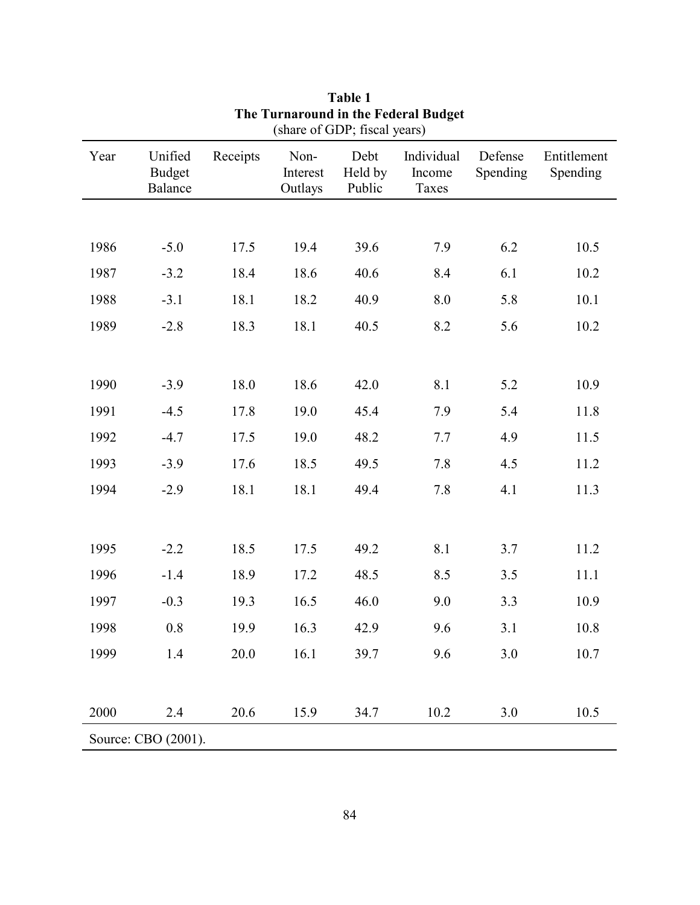| (share of GDP; fiscal years) |                                     |          |                             |                           |                               |                     |                         |  |  |
|------------------------------|-------------------------------------|----------|-----------------------------|---------------------------|-------------------------------|---------------------|-------------------------|--|--|
| Year                         | Unified<br><b>Budget</b><br>Balance | Receipts | Non-<br>Interest<br>Outlays | Debt<br>Held by<br>Public | Individual<br>Income<br>Taxes | Defense<br>Spending | Entitlement<br>Spending |  |  |
|                              |                                     |          |                             |                           |                               |                     |                         |  |  |
| 1986                         | $-5.0$                              | 17.5     | 19.4                        | 39.6                      | 7.9                           | 6.2                 | 10.5                    |  |  |
| 1987                         | $-3.2$                              | 18.4     | 18.6                        | 40.6                      | 8.4                           | 6.1                 | 10.2                    |  |  |
| 1988                         | $-3.1$                              | 18.1     | 18.2                        | 40.9                      | 8.0                           | 5.8                 | 10.1                    |  |  |
| 1989                         | $-2.8$                              | 18.3     | 18.1                        | 40.5                      | 8.2                           | 5.6                 | 10.2                    |  |  |
|                              |                                     |          |                             |                           |                               |                     |                         |  |  |
| 1990                         | $-3.9$                              | 18.0     | 18.6                        | 42.0                      | 8.1                           | 5.2                 | 10.9                    |  |  |
| 1991                         | $-4.5$                              | 17.8     | 19.0                        | 45.4                      | 7.9                           | 5.4                 | 11.8                    |  |  |
| 1992                         | $-4.7$                              | 17.5     | 19.0                        | 48.2                      | 7.7                           | 4.9                 | 11.5                    |  |  |
| 1993                         | $-3.9$                              | 17.6     | 18.5                        | 49.5                      | 7.8                           | 4.5                 | 11.2                    |  |  |
| 1994                         | $-2.9$                              | 18.1     | 18.1                        | 49.4                      | 7.8                           | 4.1                 | 11.3                    |  |  |
|                              |                                     |          |                             |                           |                               |                     |                         |  |  |
| 1995                         | $-2.2$                              | 18.5     | 17.5                        | 49.2                      | 8.1                           | 3.7                 | 11.2                    |  |  |
| 1996                         | $-1.4$                              | 18.9     | 17.2                        | 48.5                      | 8.5                           | 3.5                 | 11.1                    |  |  |
| 1997                         | $-0.3$                              | 19.3     | 16.5                        | 46.0                      | 9.0                           | 3.3                 | 10.9                    |  |  |
| 1998                         | 0.8                                 | 19.9     | 16.3                        | 42.9                      | 9.6                           | 3.1                 | 10.8                    |  |  |
| 1999                         | 1.4                                 | 20.0     | 16.1                        | 39.7                      | 9.6                           | 3.0                 | 10.7                    |  |  |
|                              |                                     |          |                             |                           |                               |                     |                         |  |  |
| 2000                         | 2.4                                 | 20.6     | 15.9                        | 34.7                      | 10.2                          | 3.0                 | 10.5                    |  |  |
| Source: CBO (2001).          |                                     |          |                             |                           |                               |                     |                         |  |  |

| Table 1                                          |
|--------------------------------------------------|
| The Turnaround in the Federal Budget             |
| $(\text{share of GDP} \cdot \text{fixed years})$ |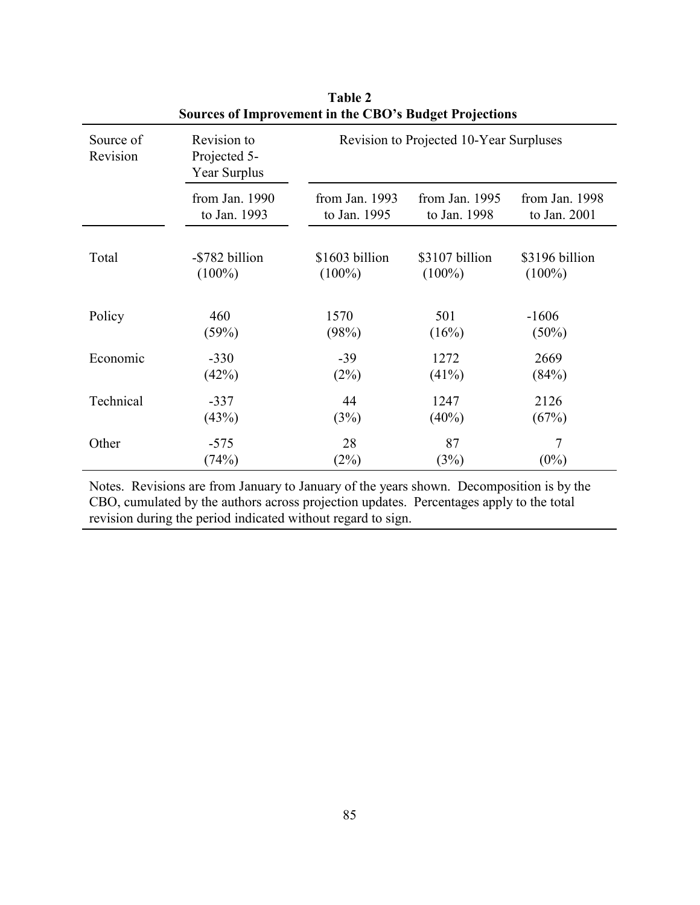| Source of<br>Revision | Revision to<br>Projected 5-<br>Year Surplus | Revision to Projected 10-Year Surpluses |                |                |  |  |
|-----------------------|---------------------------------------------|-----------------------------------------|----------------|----------------|--|--|
|                       | from Jan. 1990                              | from Jan. 1993                          | from Jan. 1995 | from Jan. 1998 |  |  |
|                       | to Jan. 1993                                | to Jan. 1995                            | to Jan. 1998   | to Jan. 2001   |  |  |
| Total                 | -\$782 billion                              | \$1603 billion                          | \$3107 billion | \$3196 billion |  |  |
|                       | $(100\%)$                                   | $(100\%)$                               | $(100\%)$      | $(100\%)$      |  |  |
| Policy                | 460                                         | 1570                                    | 501            | $-1606$        |  |  |
|                       | (59%)                                       | (98%)                                   | (16%)          | $(50\%)$       |  |  |
| Economic              | $-330$                                      | $-39$                                   | 1272           | 2669           |  |  |
|                       | (42%)                                       | (2%)                                    | (41%)          | (84%)          |  |  |
| Technical             | $-337$                                      | 44                                      | 1247           | 2126           |  |  |
|                       | (43%)                                       | (3%)                                    | $(40\%)$       | (67%)          |  |  |
| Other                 | $-575$                                      | 28                                      | 87             | 7              |  |  |
|                       | (74%)                                       | (2%)                                    | (3%)           | $(0\%)$        |  |  |

**Table 2 Sources of Improvement in the CBO's Budget Projections** 

Notes. Revisions are from January to January of the years shown. Decomposition is by the CBO, cumulated by the authors across projection updates. Percentages apply to the total revision during the period indicated without regard to sign.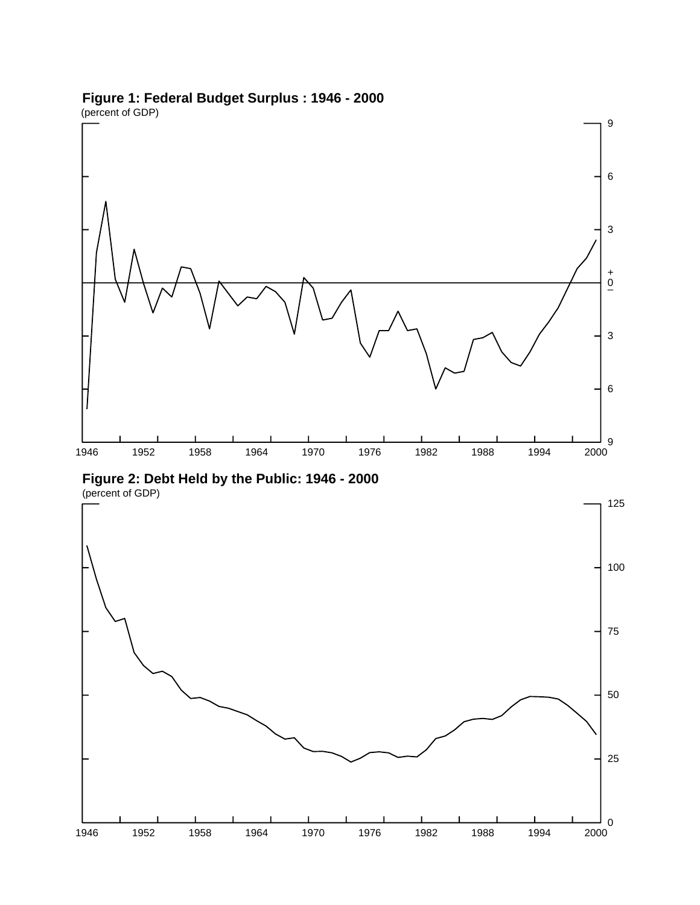# **Figure 1: Federal Budget Surplus : 1946 - 2000**





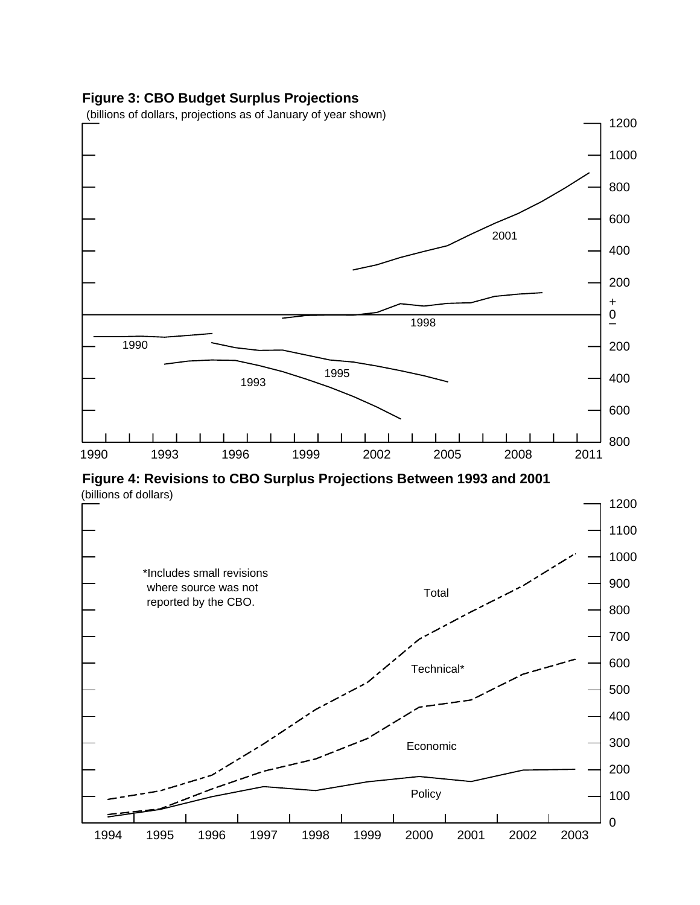# **Figure 3: CBO Budget Surplus Projections**

(billions of dollars, projections as of January of year shown)